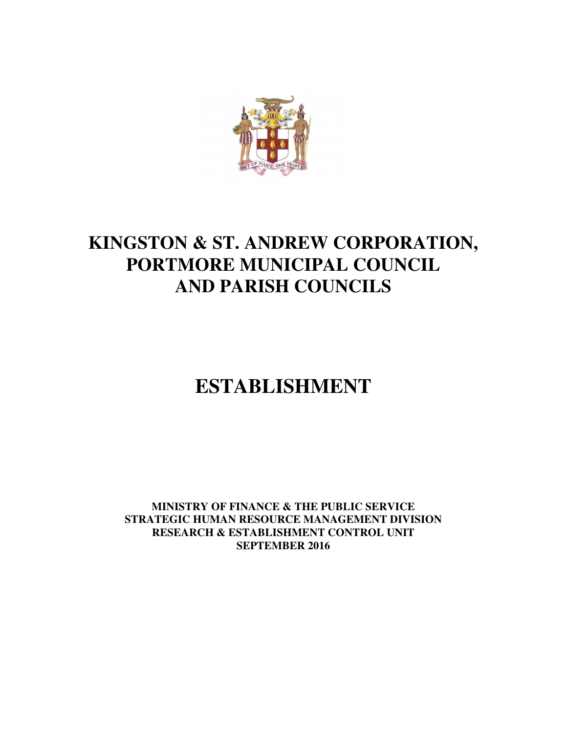

# **KINGSTON & ST. ANDREW CORPORATION, PORTMORE MUNICIPAL COUNCIL AND PARISH COUNCILS**

# **ESTABLISHMENT**

**MINISTRY OF FINANCE & THE PUBLIC SERVICE STRATEGIC HUMAN RESOURCE MANAGEMENT DIVISION RESEARCH & ESTABLISHMENT CONTROL UNIT SEPTEMBER 2016**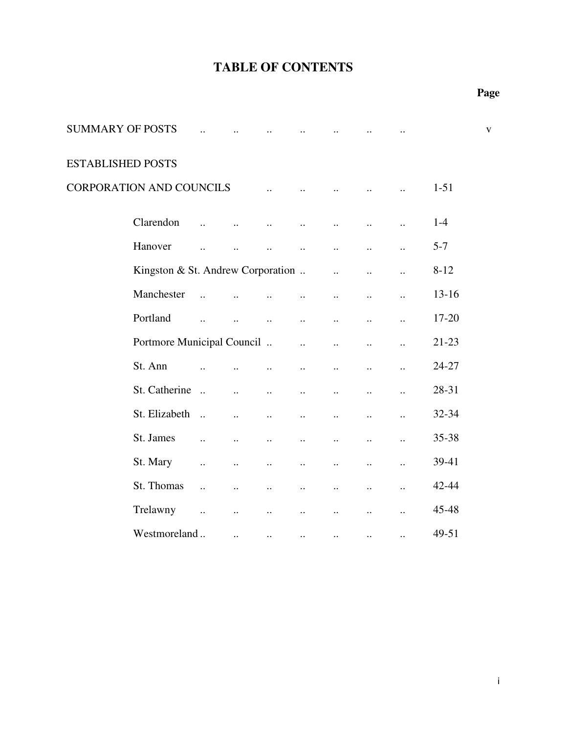| <b>SUMMARY OF POSTS</b>  |                                   |                       |                       |                      |                       |                       |                      |                      |           | $\mathbf{V}$ |
|--------------------------|-----------------------------------|-----------------------|-----------------------|----------------------|-----------------------|-----------------------|----------------------|----------------------|-----------|--------------|
| <b>ESTABLISHED POSTS</b> |                                   |                       |                       |                      |                       |                       |                      |                      |           |              |
|                          | CORPORATION AND COUNCILS          |                       |                       | $\ddot{\phantom{a}}$ | $\ddot{\phantom{a}}$  |                       |                      |                      | $1 - 51$  |              |
|                          | Clarendon                         |                       |                       | $\ddot{\phantom{a}}$ | $\ddot{\phantom{a}}$  | $\ddot{\phantom{a}}$  |                      |                      | $1 - 4$   |              |
|                          | Hanover                           | $\ddot{\phantom{a}}$  | $\ddot{\phantom{a}}$  | $\ddotsc$            | $\ddot{\phantom{a}}$  | $\ddot{\phantom{a}}$  | $\ddot{\phantom{a}}$ | $\ddot{\phantom{a}}$ | $5 - 7$   |              |
|                          | Kingston & St. Andrew Corporation |                       |                       |                      |                       | $\dddot{\phantom{0}}$ | $\ddot{\phantom{a}}$ | $\ddot{\phantom{a}}$ | $8 - 12$  |              |
|                          | Manchester                        | $\ddotsc$             |                       |                      | $\ddotsc$             | $\ddot{\phantom{a}}$  | $\ddot{\phantom{a}}$ | $\ddot{\phantom{a}}$ | $13 - 16$ |              |
|                          | Portland                          | $\dddot{\phantom{0}}$ |                       | $\ddot{\phantom{a}}$ | $\ddotsc$             | $\ddot{\phantom{a}}$  | $\ddot{\phantom{a}}$ | $\ddot{\phantom{a}}$ | 17-20     |              |
|                          | Portmore Municipal Council        |                       |                       |                      | $\dddot{\phantom{0}}$ | $\ddot{\phantom{a}}$  | $\ddotsc$            | $\ddot{\phantom{a}}$ | $21 - 23$ |              |
|                          | St. Ann                           |                       |                       | $\ddot{\phantom{a}}$ | $\ddot{\phantom{a}}$  | $\ddot{\phantom{a}}$  | $\ddot{\phantom{a}}$ | $\ddot{\phantom{a}}$ | 24-27     |              |
|                          | St. Catherine                     | $\dddotsc$            | $\ddot{\phantom{a}}$  | $\ddot{\phantom{a}}$ | $\ddotsc$             | $\ddot{\phantom{a}}$  | $\ddotsc$            | $\ddot{\phantom{a}}$ | 28-31     |              |
|                          | St. Elizabeth                     | $\dddot{\phantom{1}}$ | $\ddot{\phantom{a}}$  | $\ddotsc$            | $\ddotsc$             | $\ddot{\phantom{a}}$  | $\ddot{\phantom{a}}$ | $\ddot{\phantom{a}}$ | 32-34     |              |
|                          | St. James                         | $\ddot{\phantom{a}}$  | $\ddot{\phantom{a}}$  | $\ddot{\phantom{a}}$ | $\ddotsc$             | $\ddotsc$             | $\ddot{\phantom{a}}$ | $\ddot{\phantom{a}}$ | 35-38     |              |
|                          | St. Mary                          | $\ddot{\phantom{a}}$  | $\ddot{\phantom{a}}$  | $\ddot{\phantom{a}}$ | $\ddotsc$             | $\ddot{\phantom{a}}$  | $\ddot{\phantom{a}}$ | $\ddot{\phantom{a}}$ | 39-41     |              |
|                          | St. Thomas                        | $\ddot{\phantom{a}}$  | $\ddot{\phantom{a}}$  | $\ddotsc$            | $\ddotsc$             | $\ddot{\phantom{a}}$  | $\ddot{\phantom{a}}$ | $\ddot{\phantom{a}}$ | 42-44     |              |
|                          | Trelawny                          | $\ddots$              | $\dddot{\phantom{0}}$ | $\ddot{\phantom{a}}$ | $\ddot{\phantom{a}}$  | $\ddot{\phantom{a}}$  | $\ddot{\phantom{a}}$ | $\ddot{\phantom{a}}$ | 45-48     |              |
|                          | Westmoreland                      |                       | $\ddotsc$             | $\cdots$             | $\ddotsc$             | $\ddotsc$             | $\ddotsc$            | $\ddot{\phantom{a}}$ | 49-51     |              |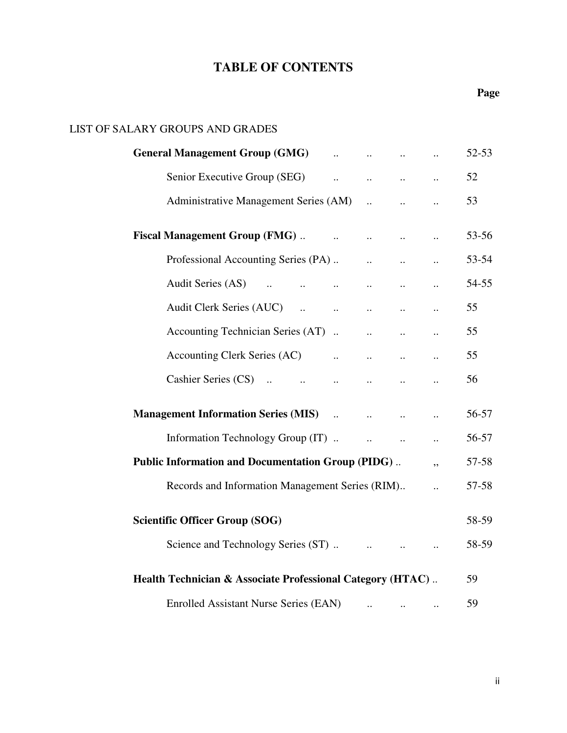### **Page**

### LIST OF SALARY GROUPS AND GRADES

| General Management Group (GMG) and the contract of the contract of the contract of the contract of the contract of the contract of the contract of the contract of the contract of the contract of the contract of the contrac |                                                                                           |                                                |                       | 52-53 |
|--------------------------------------------------------------------------------------------------------------------------------------------------------------------------------------------------------------------------------|-------------------------------------------------------------------------------------------|------------------------------------------------|-----------------------|-------|
| Senior Executive Group (SEG)                                                                                                                                                                                                   | $\mathbf{a}_{\mathbf{a}}$ , and $\mathbf{a}_{\mathbf{a}}$ , and $\mathbf{a}_{\mathbf{a}}$ |                                                | $\ddots$              | 52    |
|                                                                                                                                                                                                                                |                                                                                           |                                                |                       | 53    |
| <b>Fiscal Management Group (FMG)</b>                                                                                                                                                                                           |                                                                                           |                                                |                       | 53-56 |
| Professional Accounting Series (PA)                                                                                                                                                                                            |                                                                                           |                                                |                       | 53-54 |
|                                                                                                                                                                                                                                |                                                                                           |                                                |                       | 54-55 |
|                                                                                                                                                                                                                                |                                                                                           |                                                | $\ddotsc$             | 55    |
| Accounting Technician Series (AT)                                                                                                                                                                                              |                                                                                           | $\mathbf{a}$ and $\mathbf{b}$                  |                       | 55    |
|                                                                                                                                                                                                                                |                                                                                           | $\mathbf{a}$ , and $\mathbf{a}$                |                       | 55    |
|                                                                                                                                                                                                                                |                                                                                           |                                                | $\dddot{\phantom{0}}$ | 56    |
| <b>Management Information Series (MIS)</b>                                                                                                                                                                                     |                                                                                           |                                                | $\ddot{\phantom{a}}$  | 56-57 |
| Information Technology Group (IT).                                                                                                                                                                                             |                                                                                           | $\mathbf{a}$ and $\mathbf{a}$ and $\mathbf{a}$ |                       | 56-57 |
| <b>Public Information and Documentation Group (PIDG)</b>                                                                                                                                                                       |                                                                                           |                                                |                       | 57-58 |
| Records and Information Management Series (RIM)                                                                                                                                                                                |                                                                                           |                                                | $\dddot{\phantom{0}}$ | 57-58 |
| <b>Scientific Officer Group (SOG)</b>                                                                                                                                                                                          |                                                                                           |                                                |                       | 58-59 |
|                                                                                                                                                                                                                                |                                                                                           |                                                |                       | 58-59 |
| Health Technician & Associate Professional Category (HTAC)                                                                                                                                                                     |                                                                                           |                                                |                       | 59    |
| <b>Enrolled Assistant Nurse Series (EAN)</b>                                                                                                                                                                                   | $\ddotsc$                                                                                 | $\ddotsc$                                      | $\ldots$              | 59    |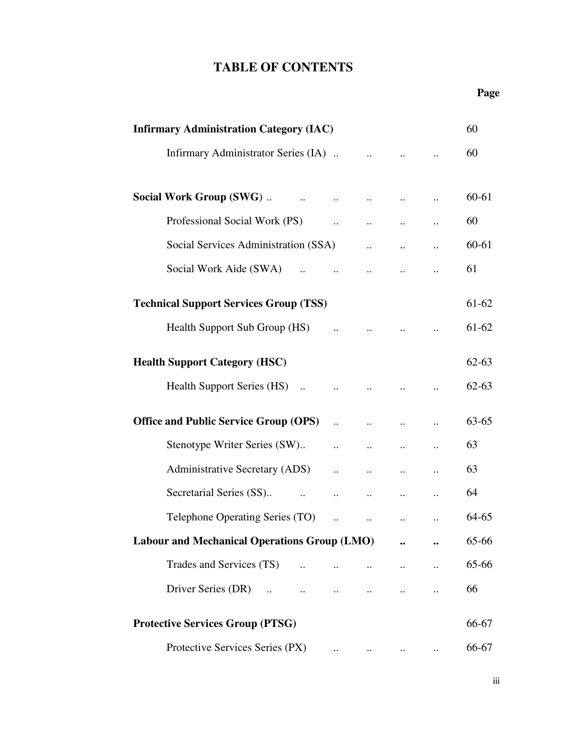| <b>Infirmary Administration Category (IAC)</b>                                            |                                 |                                                     |                                                             |                      | 60        |
|-------------------------------------------------------------------------------------------|---------------------------------|-----------------------------------------------------|-------------------------------------------------------------|----------------------|-----------|
|                                                                                           |                                 |                                                     |                                                             | $\ddotsc$            | 60        |
|                                                                                           | $\ddotsc$                       | $\dddot{\phantom{0}}$                               | $\ddots$                                                    | $\ddot{\phantom{a}}$ | 60-61     |
| Professional Social Work (PS)                                                             | $\mathbf{a}$ , and $\mathbf{a}$ | $\ddotsc$                                           | $\ddots$                                                    | $\ldots$             | 60        |
| Social Services Administration (SSA)                                                      |                                 | $\mathbf{r}$ . The state $\mathbf{r}$               | $\ddotsc$                                                   |                      | 60-61     |
| Social Work Aide (SWA)<br>$\mathbf{a}$ and $\mathbf{a}$ and $\mathbf{a}$ and $\mathbf{a}$ |                                 |                                                     |                                                             | $\ddotsc$            | 61        |
| <b>Technical Support Services Group (TSS)</b>                                             |                                 |                                                     |                                                             |                      | 61-62     |
| Health Support Sub Group (HS)                                                             |                                 | $\cdots$                                            | $\ddotsc$                                                   |                      | 61-62     |
| <b>Health Support Category (HSC)</b>                                                      |                                 |                                                     |                                                             |                      | $62 - 63$ |
| Health Support Series (HS)                                                                | $\ddotsc$                       | $\dddot{\bullet}$                                   | $\ddots$                                                    | $\ddots$             | $62 - 63$ |
| <b>Office and Public Service Group (OPS)</b>                                              | $\mathbf{a}$                    | $\ddotsc$                                           | $\ddotsc$                                                   | $\ddot{\phantom{a}}$ | 63-65     |
| Stenotype Writer Series (SW)                                                              | $\cdots$                        | $\ddotsc$                                           | $\ddots$                                                    | $\ldots$             | 63        |
| Administrative Secretary (ADS)                                                            | $\ddotsc$                       | $\ddotsc$                                           | $\cdots$                                                    | $\ldots$             | 63        |
| Secretarial Series (SS)<br>$\mathbf{r} = \mathbf{r} \cdot \mathbf{r}$                     | $\mathbf{1}$ .                  | $\bullet\bullet\bullet\bullet\bullet\bullet\bullet$ | $\bullet$ .<br><br><br><br><br><br><br><br><br><br><br><br> | $\ldots$             | 64        |
| Telephone Operating Series (TO)                                                           | $\ddotsc$                       |                                                     |                                                             |                      | 64-65     |
| <b>Labour and Mechanical Operations Group (LMO)</b>                                       |                                 |                                                     |                                                             |                      | 65-66     |
| Trades and Services (TS)<br>$\ddotsc$                                                     |                                 |                                                     |                                                             | $\ddot{\phantom{0}}$ | 65-66     |
| Driver Series (DR)                                                                        | $\ddots$                        | $\ddots$                                            |                                                             |                      | 66        |
| <b>Protective Services Group (PTSG)</b>                                                   |                                 |                                                     |                                                             |                      | 66-67     |
| Protective Services Series (PX)                                                           |                                 |                                                     |                                                             |                      | 66-67     |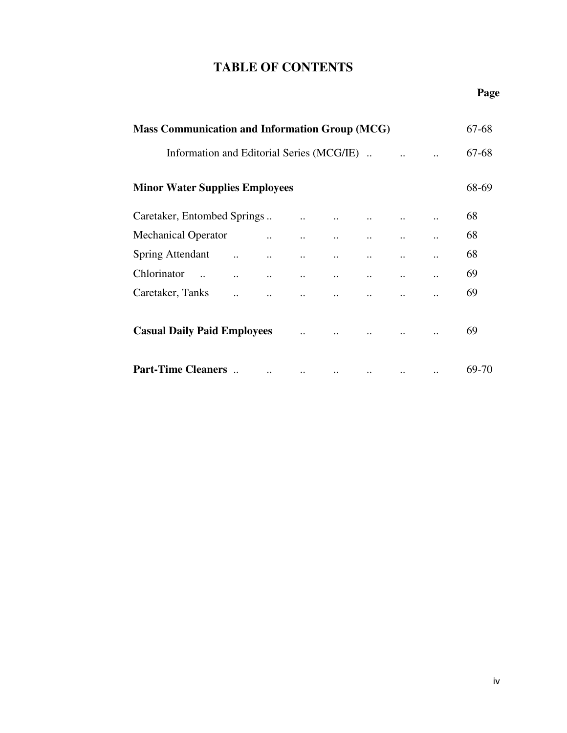### **Page**

| <b>Mass Communication and Information Group (MCG)</b> |                                                  |                                            |                                                    |          |                                     |           |                           | 67-68 |
|-------------------------------------------------------|--------------------------------------------------|--------------------------------------------|----------------------------------------------------|----------|-------------------------------------|-----------|---------------------------|-------|
| Information and Editorial Series (MCG/IE).            |                                                  |                                            |                                                    |          |                                     |           |                           | 67-68 |
| <b>Minor Water Supplies Employees</b>                 |                                                  |                                            |                                                    |          |                                     |           |                           | 68-69 |
| Caretaker, Entombed Springs                           |                                                  |                                            |                                                    |          | and the contract of the contract of |           |                           | 68    |
| <b>Mechanical Operator</b>                            |                                                  | $\mathbf{a}$ and $\mathbf{b}$              | $\mathbf{1}$ , and $\mathbf{1}$ , and $\mathbf{1}$ |          |                                     |           | $\ddot{\phantom{0}}$      | 68    |
| <b>Spring Attendant</b>                               |                                                  | $\mathbf{a} = \mathbf{a} \cdot \mathbf{a}$ |                                                    |          |                                     |           |                           | 68    |
| Chlorinator                                           | and the company of the company of the company of |                                            |                                                    |          | $\mathbf{r}$ , and $\mathbf{r}$     | $\ddotsc$ | $\ldots$                  | 69    |
| Caretaker, Tanks                                      |                                                  |                                            |                                                    |          |                                     |           | $\ddot{\phantom{0}}\cdot$ | 69    |
| <b>Casual Daily Paid Employees</b>                    |                                                  |                                            | $\dddot{\phantom{0}}$                              |          |                                     |           | $\ddotsc$                 | 69    |
| <b>Part-Time Cleaners</b>                             |                                                  | $\ddotsc$                                  | $\ddots$                                           | $\ddots$ | $\ldots$                            | $\ddotsc$ | $\ddotsc$                 | 69-70 |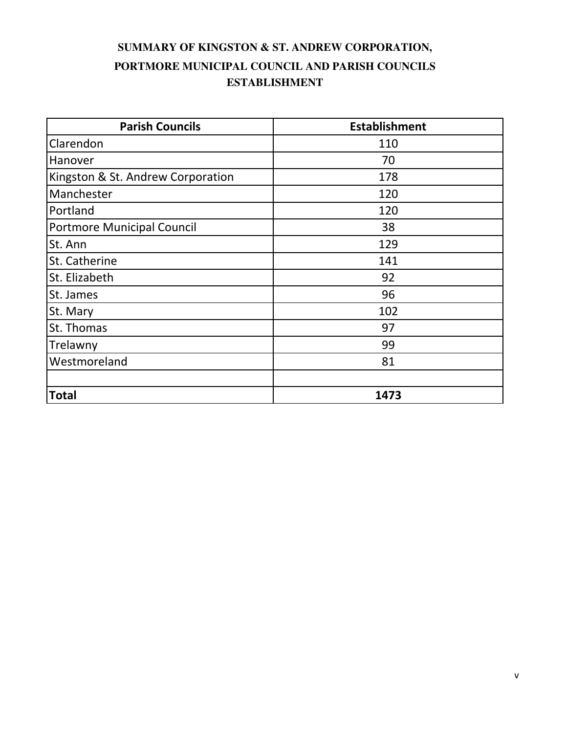### **SUMMARY OF KINGSTON & ST. ANDREW CORPORATION, ESTABLISHMENT PORTMORE MUNICIPAL COUNCIL AND PARISH COUNCILS**

| <b>Parish Councils</b>            | <b>Establishment</b> |
|-----------------------------------|----------------------|
| Clarendon                         | 110                  |
| Hanover                           | 70                   |
| Kingston & St. Andrew Corporation | 178                  |
| Manchester                        | 120                  |
| Portland                          | 120                  |
| Portmore Municipal Council        | 38                   |
| St. Ann                           | 129                  |
| St. Catherine                     | 141                  |
| St. Elizabeth                     | 92                   |
| St. James                         | 96                   |
| St. Mary                          | 102                  |
| St. Thomas                        | 97                   |
| Trelawny                          | 99                   |
| Westmoreland                      | 81                   |
|                                   |                      |
| <b>Total</b>                      | 1473                 |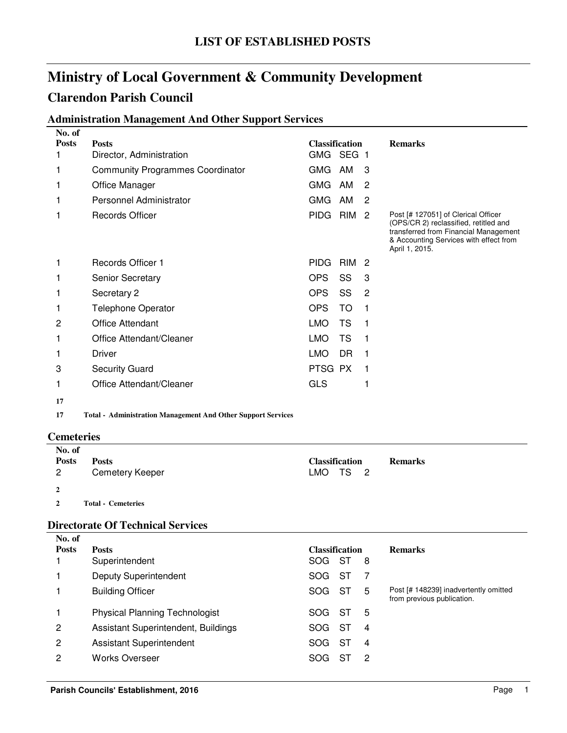### **Administration Management And Other Support Services**

| No. of                                   |                                                                     |                                     |            |                |                                                                                                                                                                                   |
|------------------------------------------|---------------------------------------------------------------------|-------------------------------------|------------|----------------|-----------------------------------------------------------------------------------------------------------------------------------------------------------------------------------|
| <b>Posts</b>                             | <b>Posts</b>                                                        | <b>Classification</b>               |            |                | <b>Remarks</b>                                                                                                                                                                    |
| 1                                        | Director, Administration                                            | GMG SEG 1                           |            |                |                                                                                                                                                                                   |
| 1                                        | <b>Community Programmes Coordinator</b>                             | GMG                                 | AM         | 3              |                                                                                                                                                                                   |
| 1                                        | Office Manager                                                      | <b>GMG</b>                          | AM         | $\overline{2}$ |                                                                                                                                                                                   |
| 1                                        | Personnel Administrator                                             | <b>GMG</b>                          | AM         | $\overline{2}$ |                                                                                                                                                                                   |
| 1                                        | <b>Records Officer</b>                                              | <b>PIDG</b>                         | <b>RIM</b> | $\overline{c}$ | Post [# 127051] of Clerical Officer<br>(OPS/CR 2) reclassified, retitled and<br>transferred from Financial Management<br>& Accounting Services with effect from<br>April 1, 2015. |
| 1                                        | Records Officer 1                                                   | <b>PIDG</b>                         | <b>RIM</b> | $\overline{2}$ |                                                                                                                                                                                   |
| 1                                        | Senior Secretary                                                    | <b>OPS</b>                          | SS         | 3              |                                                                                                                                                                                   |
| 1                                        | Secretary 2                                                         | <b>OPS</b>                          | SS         | 2              |                                                                                                                                                                                   |
| 1                                        | <b>Telephone Operator</b>                                           | <b>OPS</b>                          | <b>TO</b>  | 1              |                                                                                                                                                                                   |
| 2                                        | <b>Office Attendant</b>                                             | <b>LMO</b>                          | <b>TS</b>  | 1              |                                                                                                                                                                                   |
| 1                                        | Office Attendant/Cleaner                                            | <b>LMO</b>                          | <b>TS</b>  | 1              |                                                                                                                                                                                   |
| 1                                        | Driver                                                              | <b>LMO</b>                          | <b>DR</b>  | 1              |                                                                                                                                                                                   |
| 3                                        | <b>Security Guard</b>                                               | PTSG PX                             |            | 1              |                                                                                                                                                                                   |
| 1                                        | Office Attendant/Cleaner                                            | <b>GLS</b>                          |            | 1              |                                                                                                                                                                                   |
| 17                                       |                                                                     |                                     |            |                |                                                                                                                                                                                   |
| 17                                       | <b>Total - Administration Management And Other Support Services</b> |                                     |            |                |                                                                                                                                                                                   |
| <b>Cemeteries</b>                        |                                                                     |                                     |            |                |                                                                                                                                                                                   |
| No. of<br><b>Posts</b><br>$\overline{c}$ | <b>Posts</b><br><b>Cemetery Keeper</b>                              | <b>Classification</b><br><b>LMO</b> | <b>TS</b>  | 2              | <b>Remarks</b>                                                                                                                                                                    |
| $\mathbf{2}$                             |                                                                     |                                     |            |                |                                                                                                                                                                                   |
| $\mathbf{2}$                             | <b>Total - Cemeteries</b>                                           |                                     |            |                |                                                                                                                                                                                   |
|                                          |                                                                     |                                     |            |                |                                                                                                                                                                                   |
|                                          | <b>Directorate Of Technical Services</b>                            |                                     |            |                |                                                                                                                                                                                   |
| No. of<br><b>Posts</b>                   | <b>Posts</b>                                                        | <b>Classification</b>               |            |                | <b>Remarks</b>                                                                                                                                                                    |
| 1.                                       | <b>Cunorintondont</b>                                               |                                     | COC CT O   |                |                                                                                                                                                                                   |

| <b>Posts</b>   | <b>Posts</b>                          | <b>Classification</b> |      |                | <b>Remarks</b>                                                      |
|----------------|---------------------------------------|-----------------------|------|----------------|---------------------------------------------------------------------|
|                | Superintendent                        | SOG ST                |      | - 8            |                                                                     |
|                | <b>Deputy Superintendent</b>          | SOG                   | ST   |                |                                                                     |
|                | <b>Building Officer</b>               | SOG.                  | -ST  | 5              | Post [# 148239] inadvertently omitted<br>from previous publication. |
|                | <b>Physical Planning Technologist</b> | SOG.                  | - ST | 5              |                                                                     |
| $\overline{2}$ | Assistant Superintendent, Buildings   | SOG.                  | - ST | 4              |                                                                     |
| $\overline{2}$ | <b>Assistant Superintendent</b>       | SOG.                  | ST   | $\overline{4}$ |                                                                     |
| 2              | <b>Works Overseer</b>                 | SOG.                  | S7   | -2             |                                                                     |
|                |                                       |                       |      |                |                                                                     |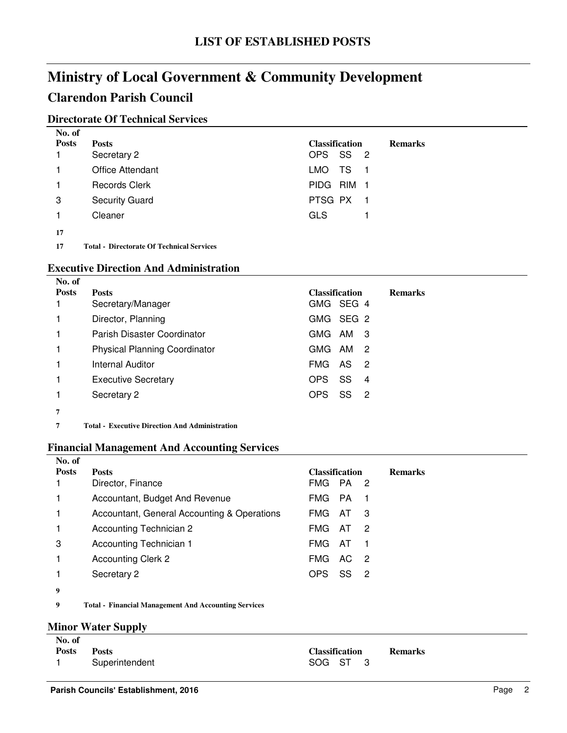### **Clarendon Parish Council**

### **Directorate Of Technical Services**

| No. of       |                         |                       |                |
|--------------|-------------------------|-----------------------|----------------|
| <b>Posts</b> | <b>Posts</b>            | <b>Classification</b> | <b>Remarks</b> |
|              | Secretary 2             | OPS SS 2              |                |
|              | <b>Office Attendant</b> | TS.<br>LMO .<br>- 1   |                |
|              | <b>Records Clerk</b>    | PIDG RIM 1            |                |
| 3            | <b>Security Guard</b>   | PTSG PX 1             |                |
|              | Cleaner                 | <b>GLS</b>            |                |
| 17           |                         |                       |                |

**17** Total - Directorate Of Technical Services

### **Executive Direction And Administration**

| No. of       |                                      |                                    |                |
|--------------|--------------------------------------|------------------------------------|----------------|
| <b>Posts</b> | <b>Posts</b><br>Secretary/Manager    | <b>Classification</b><br>GMG SEG 4 | <b>Remarks</b> |
|              | Director, Planning                   | GMG SEG 2                          |                |
|              |                                      |                                    |                |
|              | Parish Disaster Coordinator          | GMG<br>AM 3                        |                |
|              | <b>Physical Planning Coordinator</b> | GMG AM<br>-2                       |                |
|              | <b>Internal Auditor</b>              | <b>FMG</b><br>AS<br>-2             |                |
|              | <b>Executive Secretary</b>           | SS<br>OPS<br>4                     |                |
|              | Secretary 2                          | SS<br>OPS<br>$\overline{2}$        |                |
| 7            |                                      |                                    |                |

**7 Executive Direction And Administration Total -**

### **Financial Management And Accounting Services**

| No. of       |                                             |                                     |                |
|--------------|---------------------------------------------|-------------------------------------|----------------|
| <b>Posts</b> | <b>Posts</b>                                | <b>Classification</b>               | <b>Remarks</b> |
|              | Director, Finance                           | FMG PA 2                            |                |
|              | Accountant, Budget And Revenue              | FMG PA<br>- 1                       |                |
|              | Accountant, General Accounting & Operations | FMG<br>AT<br>- 3                    |                |
|              | Accounting Technician 2                     | FMG<br>AT<br>-2                     |                |
| 3            | Accounting Technician 1                     | AT<br>FMG                           |                |
| 1            | <b>Accounting Clerk 2</b>                   | <b>FMG</b><br>AC.<br>$\overline{2}$ |                |
|              | Secretary 2                                 | <b>OPS</b><br>SS<br>-2              |                |
| 9            |                                             |                                     |                |

**9 Financial Management And Accounting Services Total -**

#### **Minor Water Supply**

| No. of       |                |                       |                |
|--------------|----------------|-----------------------|----------------|
| <b>Posts</b> | <b>Posts</b>   | <b>Classification</b> | <b>Remarks</b> |
|              | Superintendent | SOG ST 3              |                |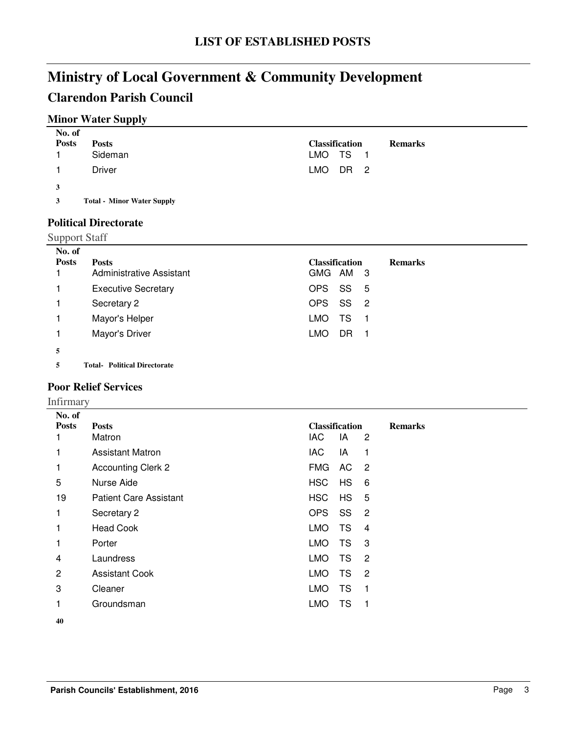### **Clarendon Parish Council**

### **Minor Water Supply**

| No. of<br><b>Posts</b> | <b>Posts</b><br>Sideman           | <b>Classification</b><br><b>Remarks</b><br>LMO TS 1 |
|------------------------|-----------------------------------|-----------------------------------------------------|
|                        | Driver                            | LMO DR 2                                            |
| 3                      |                                   |                                                     |
| 3                      | <b>Total - Minor Water Supply</b> |                                                     |

**Political Directorate**

### Support Staff

| No. of       |                            |            |                       |                |                |
|--------------|----------------------------|------------|-----------------------|----------------|----------------|
| <b>Posts</b> | <b>Posts</b>               |            | <b>Classification</b> |                | <b>Remarks</b> |
|              | Administrative Assistant   | GMG AM 3   |                       |                |                |
|              | <b>Executive Secretary</b> | <b>OPS</b> | <b>SS</b>             | - 5            |                |
|              | Secretary 2                | OPS SS     |                       | $\overline{2}$ |                |
|              | Mayor's Helper             | LMO.       | TS.                   |                |                |
|              | Mayor's Driver             | LMO        | DR                    |                |                |
| 5            |                            |            |                       |                |                |

**5 Political Directorate Total-**

### **Poor Relief Services**

Infirmary

| No. of       |                               |                                           |
|--------------|-------------------------------|-------------------------------------------|
| <b>Posts</b> | <b>Posts</b>                  | <b>Classification</b><br><b>Remarks</b>   |
|              | Matron                        | IAC.<br>IA.<br>2                          |
|              | <b>Assistant Matron</b>       | IAC.<br>1<br>IA                           |
| 1            | Accounting Clerk 2            | <b>FMG</b><br>AC<br>$\overline{2}$        |
| 5            | Nurse Aide                    | <b>HSC</b><br>HS<br>6                     |
| 19           | <b>Patient Care Assistant</b> | <b>HS</b><br>HSC<br>5                     |
| 1            | Secretary 2                   | SS<br>OPS<br>$\overline{2}$               |
|              | <b>Head Cook</b>              | <b>TS</b><br>LMO<br>$\overline{4}$        |
| 1            | Porter                        | <b>LMO</b><br><b>TS</b><br>3              |
| 4            | Laundress                     | <b>LMO</b><br><b>TS</b><br>$\overline{2}$ |
| 2            | <b>Assistant Cook</b>         | <b>TS</b><br><b>LMO</b><br>$\overline{2}$ |
| 3            | Cleaner                       | <b>TS</b><br><b>LMO</b><br>$\mathbf{1}$   |
| 1            | Groundsman                    | TS<br><b>LMO</b><br>1                     |
|              |                               |                                           |

**40**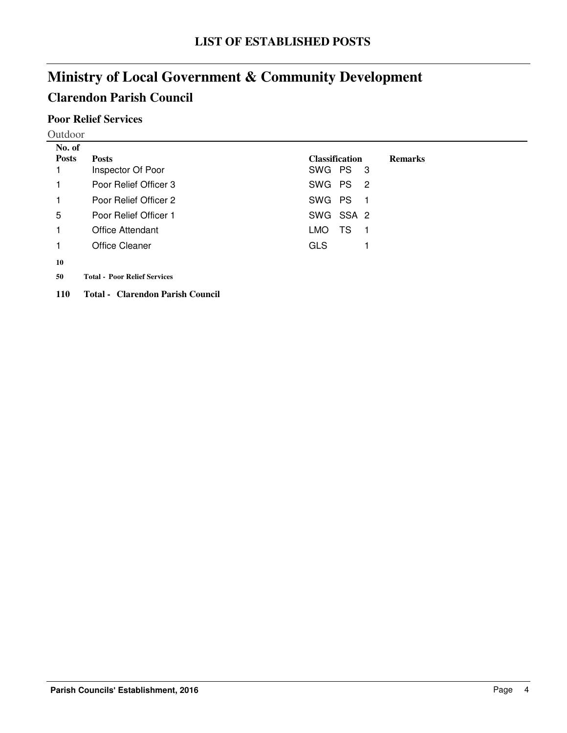### **Poor Relief Services**

| Outdoor |
|---------|
|---------|

| No. of       |                                     |                                         |
|--------------|-------------------------------------|-----------------------------------------|
| <b>Posts</b> | <b>Posts</b>                        | <b>Classification</b><br><b>Remarks</b> |
|              | Inspector Of Poor                   | SWG PS<br>- 3                           |
| 1            | Poor Relief Officer 3               | SWG PS<br>$\overline{\phantom{0}}^2$    |
| 1            | Poor Relief Officer 2               | SWG PS<br>- 1                           |
| 5            | Poor Relief Officer 1               | SWG SSA 2                               |
| 1            | Office Attendant                    | TS<br>LMO.<br>- 1                       |
| 1            | Office Cleaner                      | <b>GLS</b>                              |
| 10           |                                     |                                         |
| 50           | <b>Total - Poor Relief Services</b> |                                         |
| <b>110</b>   | Total - Clarendon Parish Council    |                                         |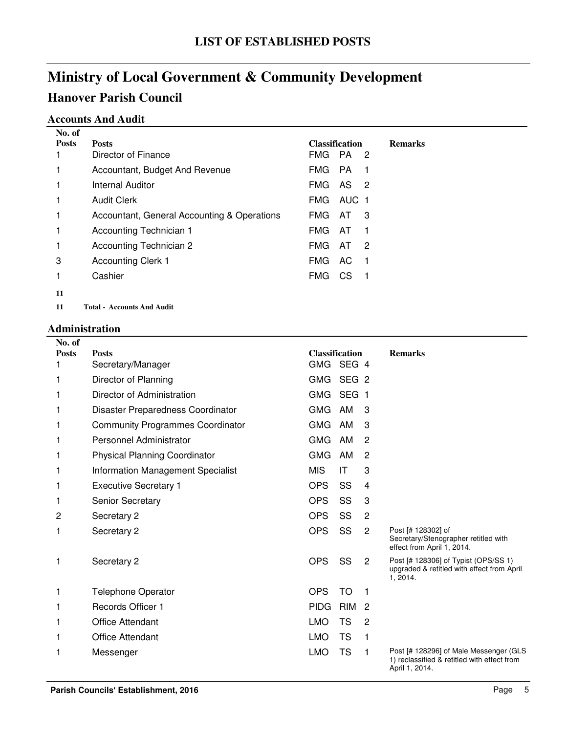### **Accounts And Audit**

| No. of       |                                             |                       |       |                            |                |
|--------------|---------------------------------------------|-----------------------|-------|----------------------------|----------------|
| <b>Posts</b> | <b>Posts</b>                                | <b>Classification</b> |       |                            | <b>Remarks</b> |
|              | Director of Finance                         | <b>FMG</b>            | PA    | $\overline{\phantom{0}}^2$ |                |
| 1            | Accountant, Budget And Revenue              | FMG.                  | PA.   | -1                         |                |
| 1            | <b>Internal Auditor</b>                     | <b>FMG</b>            | AS 2  |                            |                |
| 1            | Audit Clerk                                 | FMG.                  | AUC 1 |                            |                |
| 1            | Accountant, General Accounting & Operations | FMG.                  | AT.   | 3                          |                |
| 1            | Accounting Technician 1                     | <b>FMG</b>            | AT    | -1                         |                |
| 1            | Accounting Technician 2                     | <b>FMG</b>            | AT    | 2                          |                |
| 3            | <b>Accounting Clerk 1</b>                   | <b>FMG</b>            | AC.   | -1                         |                |
| 1            | Cashier                                     | <b>FMG</b>            | CS.   | -1                         |                |
| 11           |                                             |                       |       |                            |                |
| 11           | Total - Accounts And Audit                  |                       |       |                            |                |

#### **Administration**

| No. of       |                                         |                       |                  |                |                                                                                                         |
|--------------|-----------------------------------------|-----------------------|------------------|----------------|---------------------------------------------------------------------------------------------------------|
| <b>Posts</b> | <b>Posts</b>                            | <b>Classification</b> |                  |                | <b>Remarks</b>                                                                                          |
|              | Secretary/Manager                       | GMG SEG 4             |                  |                |                                                                                                         |
|              | Director of Planning                    | GMG                   | SEG <sub>2</sub> |                |                                                                                                         |
| 1            | Director of Administration              | <b>GMG</b>            | <b>SEG</b>       | -1             |                                                                                                         |
|              | Disaster Preparedness Coordinator       | <b>GMG</b>            | AM               | 3              |                                                                                                         |
| 1            | <b>Community Programmes Coordinator</b> | <b>GMG</b>            | AM               | 3              |                                                                                                         |
|              | Personnel Administrator                 | <b>GMG</b>            | AM               | 2              |                                                                                                         |
| 1            | <b>Physical Planning Coordinator</b>    | <b>GMG</b>            | AM               | $\overline{c}$ |                                                                                                         |
|              | Information Management Specialist       | <b>MIS</b>            | IT               | 3              |                                                                                                         |
| 1            | <b>Executive Secretary 1</b>            | <b>OPS</b>            | SS               | $\overline{4}$ |                                                                                                         |
|              | <b>Senior Secretary</b>                 | <b>OPS</b>            | SS               | 3              |                                                                                                         |
| 2            | Secretary 2                             | <b>OPS</b>            | SS               | $\overline{2}$ |                                                                                                         |
| 1            | Secretary 2                             | <b>OPS</b>            | SS               | 2              | Post [# 128302] of<br>Secretary/Stenographer retitled with<br>effect from April 1, 2014.                |
| 1            | Secretary 2                             | <b>OPS</b>            | SS               | 2              | Post [# 128306] of Typist (OPS/SS 1)<br>upgraded & retitled with effect from April<br>1, 2014.          |
| 1            | <b>Telephone Operator</b>               | <b>OPS</b>            | <b>TO</b>        | 1              |                                                                                                         |
|              | <b>Records Officer 1</b>                | <b>PIDG</b>           | <b>RIM</b>       | $\overline{2}$ |                                                                                                         |
|              | <b>Office Attendant</b>                 | <b>LMO</b>            | <b>TS</b>        | 2              |                                                                                                         |
|              | <b>Office Attendant</b>                 | <b>LMO</b>            | <b>TS</b>        | 1              |                                                                                                         |
| 1            | Messenger                               | <b>LMO</b>            | <b>TS</b>        | 1              | Post [# 128296] of Male Messenger (GLS<br>1) reclassified & retitled with effect from<br>April 1, 2014. |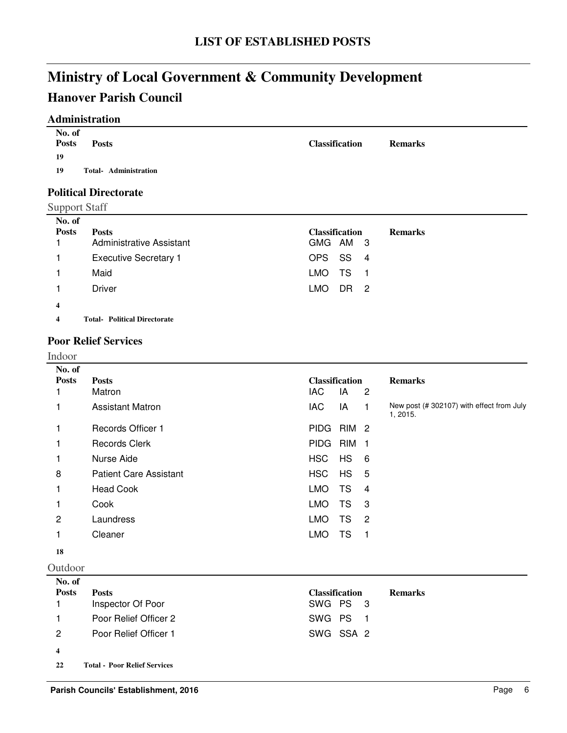### **Hanover Parish Council**

### **Administration**

| No. of<br><b>Posts</b><br><b>Posts</b><br>19 | <b>Classification</b> | <b>Remarks</b> |
|----------------------------------------------|-----------------------|----------------|
| Total- Administration<br>19                  |                       |                |

## **Political Directorate**

| No. of<br><b>Posts</b>  | <b>Posts</b><br><b>Administrative Assistant</b> | <b>Classification</b><br>GMG AM 3 | <b>Remarks</b> |
|-------------------------|-------------------------------------------------|-----------------------------------|----------------|
|                         | <b>Executive Secretary 1</b>                    | OPS SS 4                          |                |
|                         | Maid                                            | TS<br>LMO<br>$\blacksquare$       |                |
|                         | Driver                                          | <b>LMO</b><br>DR <sub>2</sub>     |                |
| 4                       |                                                 |                                   |                |
| $\overline{\mathbf{4}}$ | <b>Total- Political Directorate</b>             |                                   |                |

### **Poor Relief Services**

#### Indoor

| No. of         |                               |            |                       |                |                                                      |
|----------------|-------------------------------|------------|-----------------------|----------------|------------------------------------------------------|
| <b>Posts</b>   | <b>Posts</b>                  |            | <b>Classification</b> |                | <b>Remarks</b>                                       |
|                | Matron                        | <b>IAC</b> | IA                    | $\overline{c}$ |                                                      |
| 1              | <b>Assistant Matron</b>       | IAC        | IA                    | 1              | New post (#302107) with effect from July<br>1, 2015. |
|                | Records Officer 1             | PIDG RIM 2 |                       |                |                                                      |
|                | <b>Records Clerk</b>          | PIDG RIM   |                       | - 1            |                                                      |
| 1              | Nurse Aide                    | <b>HSC</b> | <b>HS</b>             | - 6            |                                                      |
| 8              | <b>Patient Care Assistant</b> | <b>HSC</b> | <b>HS</b>             | - 5            |                                                      |
| 1              | <b>Head Cook</b>              | <b>LMO</b> | TS                    | -4             |                                                      |
| 1              | Cook                          | <b>LMO</b> | TS                    | -3             |                                                      |
| $\overline{2}$ | Laundress                     | LMO.       | TS                    | $\overline{2}$ |                                                      |
| 1              | Cleaner                       | LMO.       | TS                    | -1             |                                                      |
| 18             |                               |            |                       |                |                                                      |

#### Outdoor

| No. of        |                                     |                       |                |
|---------------|-------------------------------------|-----------------------|----------------|
| <b>Posts</b>  | <b>Posts</b>                        | <b>Classification</b> | <b>Remarks</b> |
|               | Inspector Of Poor                   | SWG PS 3              |                |
|               | Poor Relief Officer 2               | SWG PS 1              |                |
| $\mathcal{P}$ | Poor Relief Officer 1               | SWG SSA 2             |                |
| 4             |                                     |                       |                |
| 22            | <b>Total - Poor Relief Services</b> |                       |                |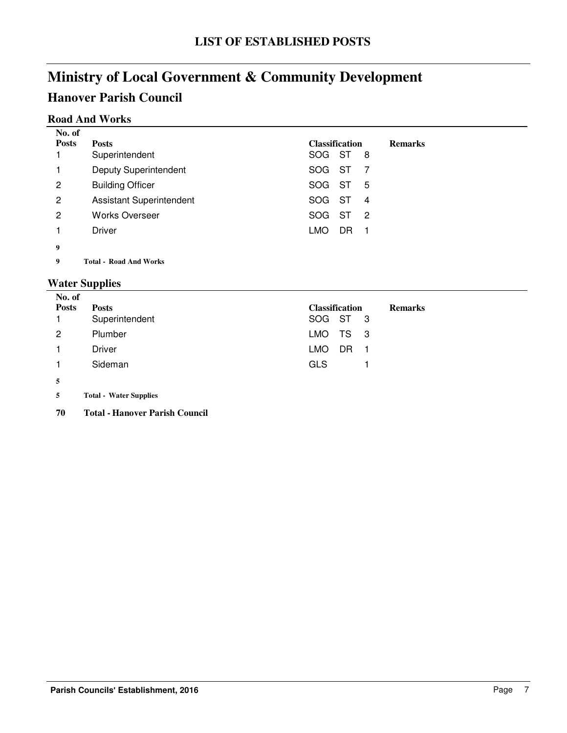### **Road And Works**

| No. of       |                                 |                       |      |     |                |
|--------------|---------------------------------|-----------------------|------|-----|----------------|
| <b>Posts</b> | <b>Posts</b>                    | <b>Classification</b> |      |     | <b>Remarks</b> |
|              | Superintendent                  | SOG ST                |      | 8   |                |
|              | <b>Deputy Superintendent</b>    | SOG.                  | - ST |     |                |
| 2            | <b>Building Officer</b>         | SOG.                  | ST   | 5   |                |
| 2            | <b>Assistant Superintendent</b> | SOG ST                |      | 4   |                |
| 2            | <b>Works Overseer</b>           | SOG.                  | ST   | - 2 |                |
|              | Driver                          | <b>LMO</b>            | DR   | - 1 |                |
| 9            |                                 |                       |      |     |                |
|              |                                 |                       |      |     |                |

**9 Road And Works Total -**

### **Water Supplies**

| No. of       |                               |                                         |
|--------------|-------------------------------|-----------------------------------------|
| <b>Posts</b> | <b>Posts</b>                  | <b>Classification</b><br><b>Remarks</b> |
|              | Superintendent                | SOG ST 3                                |
| 2            | Plumber                       | TS<br><b>LMO</b><br>- 3                 |
|              | Driver                        | LMO<br>DR                               |
|              | Sideman                       | <b>GLS</b>                              |
| 5            |                               |                                         |
| 5            | <b>Total - Water Supplies</b> |                                         |

**70 Total - Hanover Parish Council**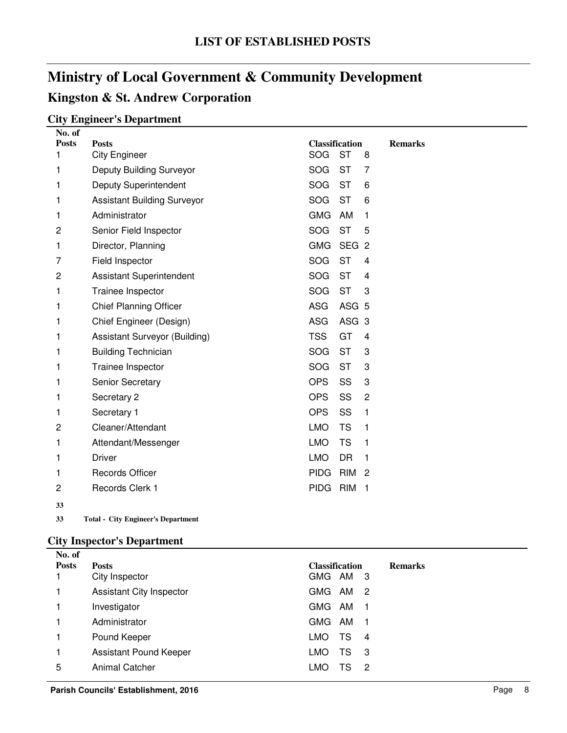### **Kingston & St. Andrew Corporation**

### **City Engineer's Department**

| No. of         |                                    |                       |                  |                |                |
|----------------|------------------------------------|-----------------------|------------------|----------------|----------------|
| <b>Posts</b>   | <b>Posts</b>                       | <b>Classification</b> |                  |                | <b>Remarks</b> |
| 1              | <b>City Engineer</b>               | SOG                   | <b>ST</b>        | 8              |                |
| 1              | Deputy Building Surveyor           | SOG                   | <b>ST</b>        | 7              |                |
| 1              | <b>Deputy Superintendent</b>       | SOG                   | <b>ST</b>        | 6              |                |
| 1              | <b>Assistant Building Surveyor</b> | <b>SOG</b>            | <b>ST</b>        | 6              |                |
| 1              | Administrator                      | <b>GMG</b>            | AM               | $\mathbf{1}$   |                |
| $\overline{c}$ | Senior Field Inspector             | <b>SOG</b>            | <b>ST</b>        | 5              |                |
| 1              | Director, Planning                 | <b>GMG</b>            | SEG <sub>2</sub> |                |                |
| 7              | Field Inspector                    | <b>SOG</b>            | <b>ST</b>        | 4              |                |
| $\overline{c}$ | <b>Assistant Superintendent</b>    | <b>SOG</b>            | <b>ST</b>        | 4              |                |
| 1              | Trainee Inspector                  | <b>SOG</b>            | <b>ST</b>        | 3              |                |
| 1              | <b>Chief Planning Officer</b>      | <b>ASG</b>            | ASG <sub>5</sub> |                |                |
| 1              | Chief Engineer (Design)            | <b>ASG</b>            | ASG <sub>3</sub> |                |                |
| 1              | Assistant Surveyor (Building)      | <b>TSS</b>            | GT               | 4              |                |
| 1              | <b>Building Technician</b>         | <b>SOG</b>            | <b>ST</b>        | 3              |                |
| 1              | Trainee Inspector                  | <b>SOG</b>            | <b>ST</b>        | 3              |                |
| 1              | Senior Secretary                   | <b>OPS</b>            | SS               | 3              |                |
| 1              | Secretary 2                        | <b>OPS</b>            | SS               | $\overline{2}$ |                |
| 1              | Secretary 1                        | <b>OPS</b>            | SS               | 1              |                |
| 2              | Cleaner/Attendant                  | <b>LMO</b>            | <b>TS</b>        | 1              |                |
| 1              | Attendant/Messenger                | <b>LMO</b>            | <b>TS</b>        | 1              |                |
| 1              | <b>Driver</b>                      | <b>LMO</b>            | <b>DR</b>        | $\mathbf{1}$   |                |
| 1              | <b>Records Officer</b>             | <b>PIDG</b>           | <b>RIM</b>       | 2              |                |
| 2              | Records Clerk 1                    | <b>PIDG</b>           | <b>RIM</b>       | $\mathbf{1}$   |                |
| 33             |                                    |                       |                  |                |                |

**33 City Engineer's Department Total -**

### **City Inspector's Department**

| No. of       |                                 |                                              |                |
|--------------|---------------------------------|----------------------------------------------|----------------|
| <b>Posts</b> | <b>Posts</b>                    | <b>Classification</b>                        | <b>Remarks</b> |
|              | City Inspector                  | <b>GMG</b><br>AM<br>- 3                      |                |
|              | <b>Assistant City Inspector</b> | <b>GMG</b><br>AM<br>-2                       |                |
|              | Investigator                    | <b>GMG</b><br>AM<br>$\overline{\phantom{1}}$ |                |
|              | Administrator                   | <b>GMG</b><br>AM<br>-1                       |                |
|              | Pound Keeper                    | TS<br><b>LMO</b><br>-4                       |                |
|              | Assistant Pound Keeper          | TS<br><b>LMO</b><br>-3                       |                |
| 5            | <b>Animal Catcher</b>           | LMO<br>TS<br>2                               |                |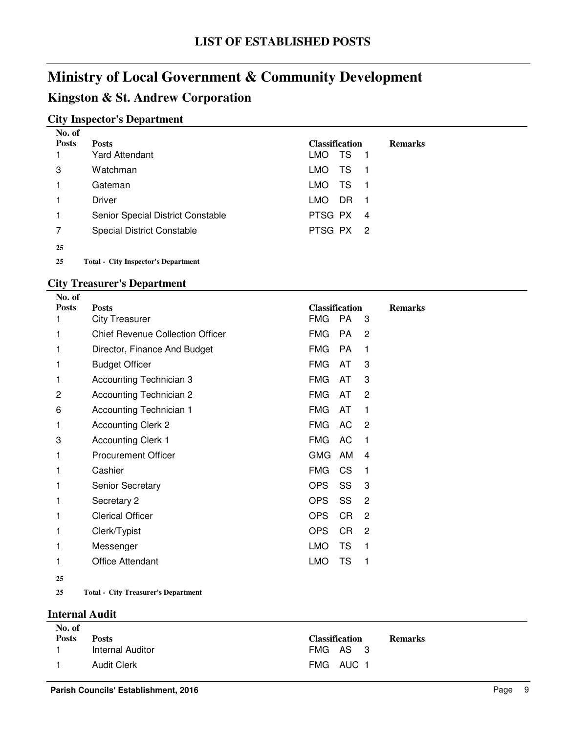### **Kingston & St. Andrew Corporation**

### **City Inspector's Department**

| No. of       |                                            |                       |     |     |                |
|--------------|--------------------------------------------|-----------------------|-----|-----|----------------|
| <b>Posts</b> | <b>Posts</b>                               | <b>Classification</b> |     |     | <b>Remarks</b> |
|              | <b>Yard Attendant</b>                      | LMO .                 | TS  | 1   |                |
| 3            | Watchman                                   | LMO.                  | TS  | - 1 |                |
| 1            | Gateman                                    | LMO.                  | TS  | 1   |                |
|              | Driver                                     | LMO.                  | DR. | - 1 |                |
| 1            | Senior Special District Constable          | PTSG PX               |     | 4   |                |
| 7            | <b>Special District Constable</b>          | PTSG PX 2             |     |     |                |
| 25           |                                            |                       |     |     |                |
| 25           | <b>Total - City Inspector's Department</b> |                       |     |     |                |

### **City Treasurer's Department**

| No. of       |                                         |                       |           |              |                |
|--------------|-----------------------------------------|-----------------------|-----------|--------------|----------------|
| <b>Posts</b> | <b>Posts</b>                            | <b>Classification</b> |           |              | <b>Remarks</b> |
| 1            | <b>City Treasurer</b>                   | <b>FMG</b>            | <b>PA</b> | 3            |                |
| 1            | <b>Chief Revenue Collection Officer</b> | <b>FMG</b>            | PA        | 2            |                |
| 1            | Director, Finance And Budget            | <b>FMG</b>            | PA        | 1            |                |
| 1            | <b>Budget Officer</b>                   | <b>FMG</b>            | AT        | 3            |                |
| 1            | Accounting Technician 3                 | <b>FMG</b>            | AT        | 3            |                |
| 2            | Accounting Technician 2                 | <b>FMG</b>            | AT        | 2            |                |
| 6            | <b>Accounting Technician 1</b>          | <b>FMG</b>            | AT        | 1            |                |
| 1            | <b>Accounting Clerk 2</b>               | <b>FMG</b>            | AC        | 2            |                |
| 3            | <b>Accounting Clerk 1</b>               | <b>FMG</b>            | AC        | $\mathbf{1}$ |                |
| 1            | <b>Procurement Officer</b>              | <b>GMG</b>            | AM        | 4            |                |
| 1            | Cashier                                 | <b>FMG</b>            | CS.       | 1            |                |
| 1            | <b>Senior Secretary</b>                 | OPS                   | SS        | 3            |                |
| 1            | Secretary 2                             | OPS                   | SS        | 2            |                |
| 1            | <b>Clerical Officer</b>                 | <b>OPS</b>            | CR        | 2            |                |
| 1            | Clerk/Typist                            | <b>OPS</b>            | CR.       | 2            |                |
| 1            | Messenger                               | <b>LMO</b>            | TS        | 1            |                |
| 1            | Office Attendant                        | <b>LMO</b>            | TS        | 1            |                |
| 25           |                                         |                       |           |              |                |

**25 City Treasurer's Department Total -**

#### **Internal Audit**

| No. of       |                    |                       |                |
|--------------|--------------------|-----------------------|----------------|
| <b>Posts</b> | <b>Posts</b>       | <b>Classification</b> | <b>Remarks</b> |
|              | Internal Auditor   | FMG AS 3              |                |
|              | <b>Audit Clerk</b> | FMG AUC 1             |                |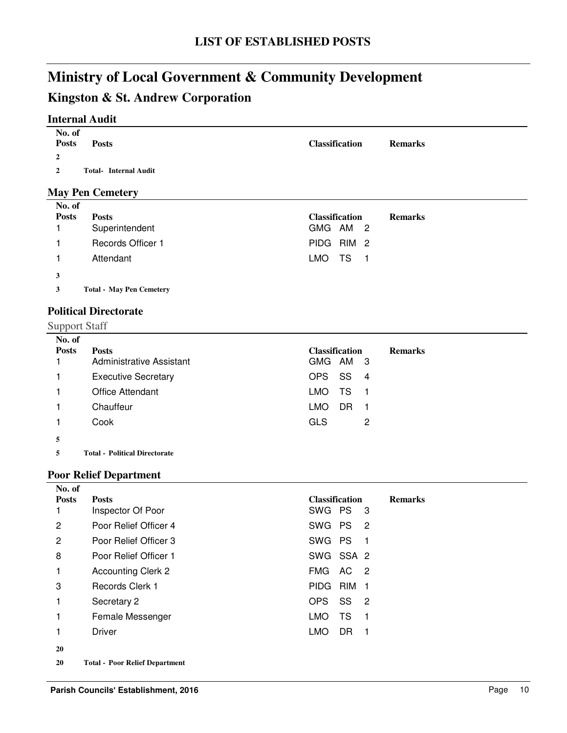### **Kingston & St. Andrew Corporation**

### **Internal Audit**

| No. of<br><b>Posts</b> | <b>Posts</b>                 | <b>Classification</b> | <b>Remarks</b> |
|------------------------|------------------------------|-----------------------|----------------|
| 2                      |                              |                       |                |
| 2                      | <b>Total- Internal Audit</b> |                       |                |

### **May Pen Cemetery**

| <b>Posts</b><br><b>Classification</b><br><b>Posts</b> | <b>Remarks</b> |
|-------------------------------------------------------|----------------|
| Superintendent<br>GMG AM 2                            |                |
| PIDG RIM 2<br><b>Records Officer 1</b>                |                |
| LMO.<br>TS<br>Attendant<br>- 1                        |                |
| 3                                                     |                |
| <b>Total - May Pen Cemetery</b><br>3                  |                |

### **Political Directorate**

Support Staff

| No. of<br><b>Posts</b> | <b>Posts</b><br>Administrative Assistant | <b>Classification</b><br>GMG AM<br>$_{3}$ | <b>Remarks</b> |
|------------------------|------------------------------------------|-------------------------------------------|----------------|
|                        | <b>Executive Secretary</b>               | SS<br>OPS<br>4                            |                |
|                        | <b>Office Attendant</b>                  | TS<br>LMO.                                |                |
|                        | Chauffeur                                | <b>LMO</b><br>DR                          |                |
|                        | Cook                                     | <b>GLS</b><br>2                           |                |
| 5                      |                                          |                                           |                |

**5 Political Directorate Total -**

### **Poor Relief Department**

| No. of       |                                       |                                           |
|--------------|---------------------------------------|-------------------------------------------|
| <b>Posts</b> | <b>Posts</b>                          | <b>Classification</b><br><b>Remarks</b>   |
|              | Inspector Of Poor                     | SWG PS<br>- 3                             |
| 2            | Poor Relief Officer 4                 | SWG PS <sub>2</sub>                       |
| 2            | Poor Relief Officer 3                 | SWG PS<br>$\overline{\phantom{1}}$        |
| 8            | Poor Relief Officer 1                 | SWG SSA 2                                 |
| 1            | <b>Accounting Clerk 2</b>             | FMG AC 2                                  |
| 3            | Records Clerk 1                       | PIDG RIM 1                                |
| 1            | Secretary 2                           | OPS<br>SS 2                               |
| 1            | Female Messenger                      | <b>TS</b><br><b>LMO</b><br>$\overline{1}$ |
| 1            | Driver                                | DR.<br><b>LMO</b><br>$\blacksquare$       |
| 20           |                                       |                                           |
| 20           | <b>Total - Poor Relief Department</b> |                                           |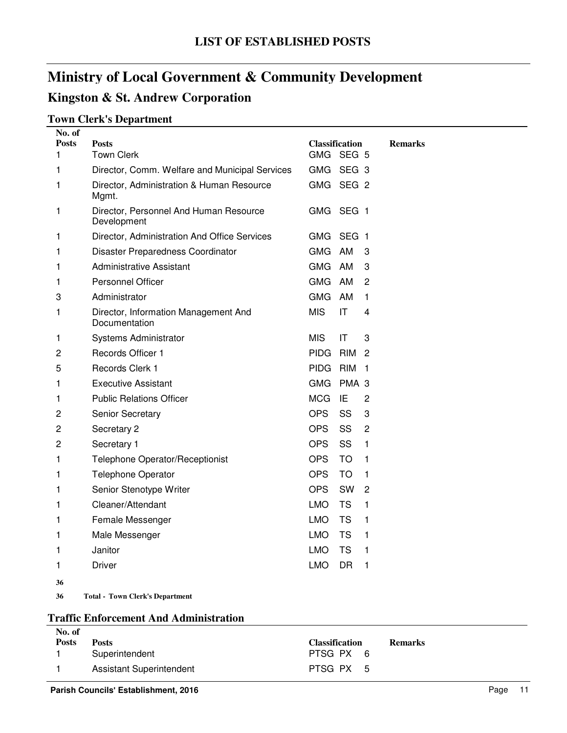### **Kingston & St. Andrew Corporation**

### **Town Clerk's Department**

| No. of            |                                                       |                                    |                        |                |
|-------------------|-------------------------------------------------------|------------------------------------|------------------------|----------------|
| <b>Posts</b><br>1 | <b>Posts</b><br><b>Town Clerk</b>                     | <b>Classification</b><br>GMG SEG 5 |                        | <b>Remarks</b> |
| 1                 | Director, Comm. Welfare and Municipal Services        | GMG SEG 3                          |                        |                |
| 1                 | Director, Administration & Human Resource<br>Mgmt.    | GMG SEG 2                          |                        |                |
| 1                 | Director, Personnel And Human Resource<br>Development | <b>GMG</b>                         | SEG <sub>1</sub>       |                |
| 1                 | Director, Administration And Office Services          | GMG SEG 1                          |                        |                |
| 1                 | Disaster Preparedness Coordinator                     | <b>GMG</b>                         | AM                     | 3              |
| 1                 | Administrative Assistant                              | <b>GMG</b>                         | AM                     | 3              |
| 1                 | <b>Personnel Officer</b>                              | <b>GMG</b>                         | AM                     | 2              |
| 3                 | Administrator                                         | <b>GMG</b>                         | AM                     | 1              |
| 1                 | Director, Information Management And<br>Documentation | <b>MIS</b>                         | $\mathsf{I}\mathsf{T}$ | 4              |
| 1                 | Systems Administrator                                 | <b>MIS</b>                         | ΙT                     | 3              |
| 2                 | Records Officer 1                                     | <b>PIDG</b>                        | <b>RIM</b>             | 2              |
| 5                 | Records Clerk 1                                       | PIDG RIM                           |                        | $\overline{1}$ |
| 1                 | <b>Executive Assistant</b>                            | <b>GMG</b>                         | PMA <sub>3</sub>       |                |
| 1                 | <b>Public Relations Officer</b>                       | <b>MCG</b>                         | IE                     | $\overline{c}$ |
| 2                 | Senior Secretary                                      | <b>OPS</b>                         | SS                     | 3              |
| $\overline{c}$    | Secretary 2                                           | OPS                                | SS                     | 2              |
| 2                 | Secretary 1                                           | OPS                                | SS                     | 1              |
| 1                 | Telephone Operator/Receptionist                       | <b>OPS</b>                         | <b>TO</b>              | 1              |
| 1                 | <b>Telephone Operator</b>                             | <b>OPS</b>                         | <b>TO</b>              | 1              |
| 1                 | Senior Stenotype Writer                               | <b>OPS</b>                         | SW                     | 2              |
| 1                 | Cleaner/Attendant                                     | <b>LMO</b>                         | <b>TS</b>              | 1              |
| 1                 | Female Messenger                                      | <b>LMO</b>                         | TS                     | 1              |
| 1                 | Male Messenger                                        | <b>LMO</b>                         | <b>TS</b>              | 1              |
| 1                 | Janitor                                               | <b>LMO</b>                         | TS                     | 1              |
| 1                 | <b>Driver</b>                                         | <b>LMO</b>                         | <b>DR</b>              | 1              |
| 36                |                                                       |                                    |                        |                |
| 36                | <b>Total - Town Clerk's Department</b>                |                                    |                        |                |

### **Traffic Enforcement And Administration**

| No. of       |                          |                       |                |
|--------------|--------------------------|-----------------------|----------------|
| <b>Posts</b> | <b>Posts</b>             | <b>Classification</b> | <b>Remarks</b> |
|              | Superintendent           | PTSG PX 6             |                |
|              | Assistant Superintendent | PTSG PX 5             |                |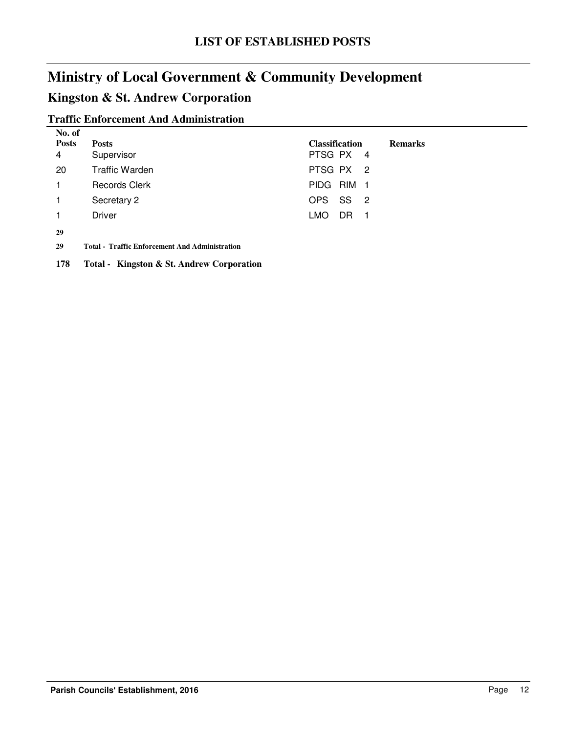### **Kingston & St. Andrew Corporation**

### **Traffic Enforcement And Administration**

| No. of       |                       |                       |     |  |                |
|--------------|-----------------------|-----------------------|-----|--|----------------|
| <b>Posts</b> | <b>Posts</b>          | <b>Classification</b> |     |  | <b>Remarks</b> |
| 4            | Supervisor            | PTSG PX 4             |     |  |                |
| 20           | <b>Traffic Warden</b> | PTSG PX 2             |     |  |                |
|              | <b>Records Clerk</b>  | PIDG RIM 1            |     |  |                |
|              | Secretary 2           | OPS SS 2              |     |  |                |
|              | <b>Driver</b>         | LMO.                  | DR. |  |                |
| $\sim$       |                       |                       |     |  |                |

**29**

**29 Traffic Enforcement And Administration Total -**

**178 Total - Kingston & St. Andrew Corporation**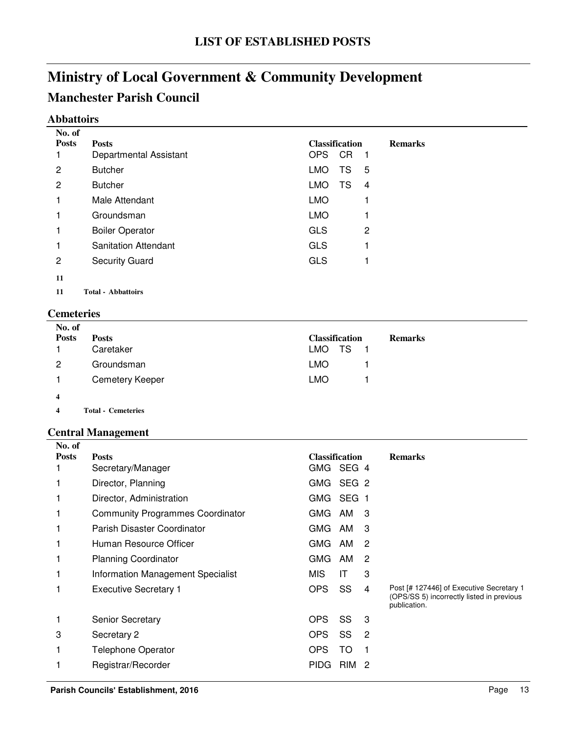### **Manchester Parish Council**

### **Abbattoirs**

|                | No. of                       |                                         |
|----------------|------------------------------|-----------------------------------------|
|                | <b>Posts</b><br><b>Posts</b> | <b>Classification</b><br><b>Remarks</b> |
|                | Departmental Assistant       | OPS<br><b>CR</b><br>- 1                 |
| $\mathbf{2}$   | <b>Butcher</b>               | <b>LMO</b><br>TS<br>5                   |
| $\overline{2}$ | <b>Butcher</b>               | <b>LMO</b><br>TS<br>$\overline{4}$      |
| 1              | Male Attendant               | <b>LMO</b>                              |
| 1              | Groundsman                   | <b>LMO</b>                              |
| 1              | <b>Boiler Operator</b>       | <b>GLS</b><br>$\overline{2}$            |
| 1              | <b>Sanitation Attendant</b>  | <b>GLS</b>                              |
| 2              | <b>Security Guard</b>        | <b>GLS</b>                              |
| 11             |                              |                                         |
| 11             | <b>Total - Abbattoirs</b>    |                                         |

### **Cemeteries**

| No. of       |                           |                                         |
|--------------|---------------------------|-----------------------------------------|
| <b>Posts</b> | <b>Posts</b>              | <b>Classification</b><br><b>Remarks</b> |
|              | Caretaker                 | LMO TS<br>$\blacksquare$ 1              |
| 2            | Groundsman                | <b>LMO</b>                              |
|              | <b>Cemetery Keeper</b>    | <b>LMO</b>                              |
| 4            |                           |                                         |
| 4            | <b>Total - Cemeteries</b> |                                         |

### **Central Management**

| No. of       |                                          |                       |            |                |                                                                                                       |
|--------------|------------------------------------------|-----------------------|------------|----------------|-------------------------------------------------------------------------------------------------------|
| <b>Posts</b> | <b>Posts</b>                             | <b>Classification</b> |            |                | <b>Remarks</b>                                                                                        |
|              | Secretary/Manager                        | GMG                   | SEG 4      |                |                                                                                                       |
|              | Director, Planning                       | GMG SEG 2             |            |                |                                                                                                       |
|              | Director, Administration                 | GMG SEG 1             |            |                |                                                                                                       |
|              | <b>Community Programmes Coordinator</b>  | GMG                   | AM         | 3              |                                                                                                       |
|              | Parish Disaster Coordinator              | GMG AM                |            | 3              |                                                                                                       |
|              | Human Resource Officer                   | GMG.                  | AM         | 2              |                                                                                                       |
|              | <b>Planning Coordinator</b>              | GMG                   | AM         | 2              |                                                                                                       |
| 1            | <b>Information Management Specialist</b> | <b>MIS</b>            | IT         | 3              |                                                                                                       |
|              | <b>Executive Secretary 1</b>             | <b>OPS</b>            | SS         | 4              | Post [# 127446] of Executive Secretary 1<br>(OPS/SS 5) incorrectly listed in previous<br>publication. |
|              | <b>Senior Secretary</b>                  | <b>OPS</b>            | SS         | 3              |                                                                                                       |
| 3            | Secretary 2                              | OPS                   | SS         | $\overline{2}$ |                                                                                                       |
| 1            | <b>Telephone Operator</b>                | <b>OPS</b>            | TO         | 1              |                                                                                                       |
|              | Registrar/Recorder                       | <b>PIDG</b>           | <b>RIM</b> | -2             |                                                                                                       |
|              |                                          |                       |            |                |                                                                                                       |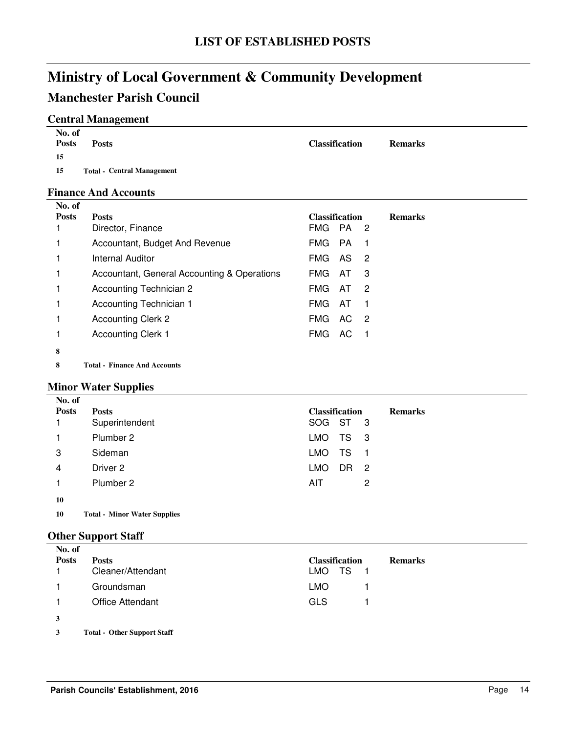### **Manchester Parish Council**

### **Central Management**

| No. of<br><b>Posts</b> | <b>Posts</b>                      | <b>Classification</b> | <b>Remarks</b> |
|------------------------|-----------------------------------|-----------------------|----------------|
| 15                     |                                   |                       |                |
| 15                     | <b>Total - Central Management</b> |                       |                |

### **Finance And Accounts**

| No. of       |                                             |                         |                |
|--------------|---------------------------------------------|-------------------------|----------------|
| <b>Posts</b> | <b>Posts</b>                                | <b>Classification</b>   | <b>Remarks</b> |
|              | Director, Finance                           | FMG PA 2                |                |
|              | Accountant, Budget And Revenue              | FMG<br><b>PA</b>        |                |
|              | <b>Internal Auditor</b>                     | <b>FMG</b><br>AS<br>-2  |                |
|              | Accountant, General Accounting & Operations | <b>FMG</b><br>-3<br>AT  |                |
|              | Accounting Technician 2                     | <b>FMG</b><br>-2<br>AT  |                |
|              | Accounting Technician 1                     | <b>FMG</b><br>AT        |                |
|              | <b>Accounting Clerk 2</b>                   | <b>FMG</b><br>AC.<br>-2 |                |
|              | <b>Accounting Clerk 1</b>                   | FMG.<br>AC.             |                |
| 8            |                                             |                         |                |
|              |                                             |                         |                |

**8 Finance And Accounts Total -**

### **Minor Water Supplies**

| No. of       |                |                         |                |
|--------------|----------------|-------------------------|----------------|
| <b>Posts</b> | <b>Posts</b>   | <b>Classification</b>   | <b>Remarks</b> |
|              | Superintendent | SOG ST 3                |                |
|              | Plumber 2      | TS 3<br><b>LMO</b>      |                |
| 3            | Sideman        | TS<br><b>LMO</b><br>- 1 |                |
| 4            | Driver 2       | <b>LMO</b><br>DR<br>- 2 |                |
|              | Plumber 2      | AIT<br>2                |                |
| 10           |                |                         |                |

**10 Total - Minor Water Supplies** 

### **Other Support Staff**

| No. of       |                         |                                         |
|--------------|-------------------------|-----------------------------------------|
| <b>Posts</b> | <b>Posts</b>            | <b>Classification</b><br><b>Remarks</b> |
|              | Cleaner/Attendant       | LMO TS<br>$\blacksquare$ 1              |
|              | Groundsman              | LMO.                                    |
| 1            | <b>Office Attendant</b> | <b>GLS</b>                              |
| 3            |                         |                                         |
|              |                         |                                         |

**3 Other Support Staff Total -**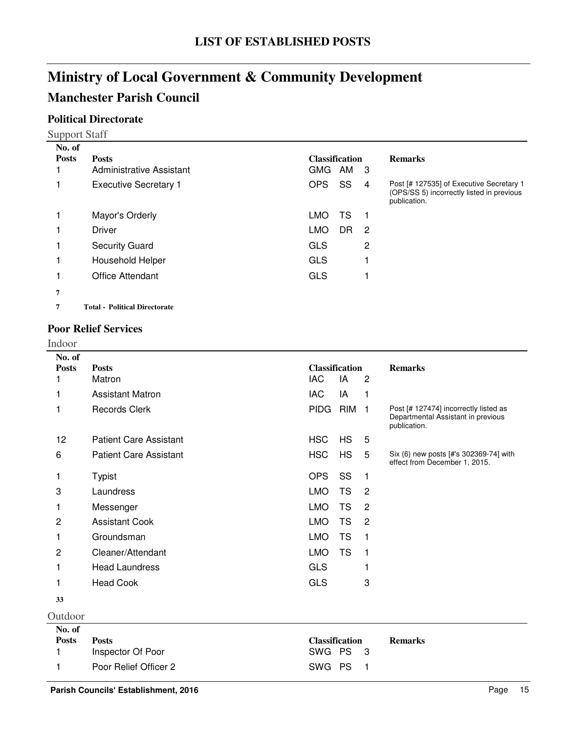### **Manchester Parish Council**

### **Political Directorate**

Support Staff

| No. of       |                                      |                       |    |    |                                                                                                       |
|--------------|--------------------------------------|-----------------------|----|----|-------------------------------------------------------------------------------------------------------|
| <b>Posts</b> | <b>Posts</b>                         | <b>Classification</b> |    |    | <b>Remarks</b>                                                                                        |
|              | Administrative Assistant             | GMG                   | AM | -3 |                                                                                                       |
|              | <b>Executive Secretary 1</b>         | <b>OPS</b>            | SS | 4  | Post [# 127535] of Executive Secretary 1<br>(OPS/SS 5) incorrectly listed in previous<br>publication. |
|              | Mayor's Orderly                      | <b>LMO</b>            | TS |    |                                                                                                       |
|              | <b>Driver</b>                        | <b>LMO</b>            | DR | -2 |                                                                                                       |
|              | <b>Security Guard</b>                | <b>GLS</b>            |    | 2  |                                                                                                       |
|              | Household Helper                     | <b>GLS</b>            |    |    |                                                                                                       |
|              | Office Attendant                     | <b>GLS</b>            |    |    |                                                                                                       |
| 7            |                                      |                       |    |    |                                                                                                       |
| 7            | <b>Total - Political Directorate</b> |                       |    |    |                                                                                                       |
|              |                                      |                       |    |    |                                                                                                       |

### **Poor Relief Services**

Indoor

| No. of<br><b>Posts</b><br>1 | <b>Posts</b><br>Matron            | <b>Classification</b><br><b>IAC</b> | IA         | $\overline{2}$ | <b>Remarks</b>                                                                              |
|-----------------------------|-----------------------------------|-------------------------------------|------------|----------------|---------------------------------------------------------------------------------------------|
| 1                           | <b>Assistant Matron</b>           | <b>IAC</b>                          | IA         | 1              |                                                                                             |
| 1                           | <b>Records Clerk</b>              | <b>PIDG</b>                         | <b>RIM</b> | $\overline{1}$ | Post [# 127474] incorrectly listed as<br>Departmental Assistant in previous<br>publication. |
| 12                          | <b>Patient Care Assistant</b>     | <b>HSC</b>                          | <b>HS</b>  | 5              |                                                                                             |
| 6                           | <b>Patient Care Assistant</b>     | <b>HSC</b>                          | <b>HS</b>  | 5              | Six (6) new posts [#'s 302369-74] with<br>effect from December 1, 2015.                     |
| 1                           | <b>Typist</b>                     | <b>OPS</b>                          | SS         | $\mathbf{1}$   |                                                                                             |
| 3                           | Laundress                         | <b>LMO</b>                          | <b>TS</b>  | $\overline{2}$ |                                                                                             |
| 1                           | Messenger                         | <b>LMO</b>                          | <b>TS</b>  | $\overline{c}$ |                                                                                             |
| 2                           | <b>Assistant Cook</b>             | <b>LMO</b>                          | <b>TS</b>  | $\overline{c}$ |                                                                                             |
| 1                           | Groundsman                        | <b>LMO</b>                          | <b>TS</b>  | 1              |                                                                                             |
| 2                           | Cleaner/Attendant                 | <b>LMO</b>                          | <b>TS</b>  | 1              |                                                                                             |
| 1                           | <b>Head Laundress</b>             | <b>GLS</b>                          |            |                |                                                                                             |
| 1                           | <b>Head Cook</b>                  | <b>GLS</b>                          |            | 3              |                                                                                             |
| 33                          |                                   |                                     |            |                |                                                                                             |
| Outdoor                     |                                   |                                     |            |                |                                                                                             |
| No. of                      |                                   |                                     |            |                |                                                                                             |
| <b>Posts</b><br>1           | <b>Posts</b><br>Inspector Of Poor | <b>Classification</b><br><b>SWG</b> | <b>PS</b>  | 3              | <b>Remarks</b>                                                                              |
| 1                           | Poor Relief Officer 2             | SWG                                 | <b>PS</b>  | 1              |                                                                                             |
|                             |                                   |                                     |            |                |                                                                                             |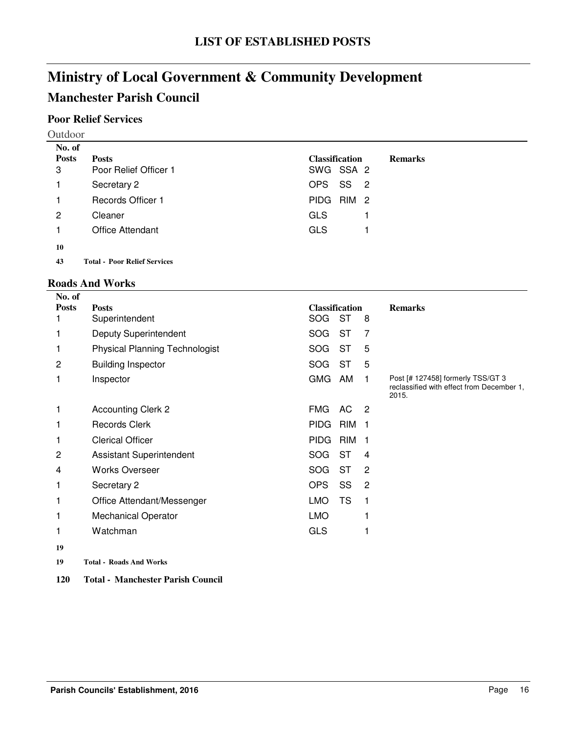### **Manchester Parish Council**

### **Poor Relief Services**

Outdoor

| No. of       |                                     |                                          |                |
|--------------|-------------------------------------|------------------------------------------|----------------|
| <b>Posts</b> | <b>Posts</b>                        | <b>Classification</b>                    | <b>Remarks</b> |
| 3            | Poor Relief Officer 1               | SWG SSA 2                                |                |
| 1            | Secretary 2                         | SS<br>OPS.<br>$\overline{\phantom{0}}^2$ |                |
| 1            | <b>Records Officer 1</b>            | RIM 2<br><b>PIDG</b>                     |                |
| 2            | Cleaner                             | <b>GLS</b>                               |                |
| 1            | <b>Office Attendant</b>             | <b>GLS</b>                               |                |
| 10           |                                     |                                          |                |
| 43           | <b>Total - Poor Relief Services</b> |                                          |                |

### **Roads And Works**

**No. of** 

| No. of       |                                       |                           |                |                                                                                         |
|--------------|---------------------------------------|---------------------------|----------------|-----------------------------------------------------------------------------------------|
| <b>Posts</b> | <b>Posts</b>                          | <b>Classification</b>     |                | <b>Remarks</b>                                                                          |
| 1            | Superintendent                        | <b>ST</b><br><b>SOG</b>   | 8              |                                                                                         |
| 1            | <b>Deputy Superintendent</b>          | <b>ST</b><br><b>SOG</b>   | 7              |                                                                                         |
| 1            | <b>Physical Planning Technologist</b> | <b>ST</b><br><b>SOG</b>   | 5              |                                                                                         |
| 2            | <b>Building Inspector</b>             | <b>ST</b><br>SOG          | 5              |                                                                                         |
| 1            | Inspector                             | <b>GMG</b><br>AM          | 1              | Post [# 127458] formerly TSS/GT 3<br>reclassified with effect from December 1,<br>2015. |
| 1            | <b>Accounting Clerk 2</b>             | FMG<br>AC                 | -2             |                                                                                         |
| 1            | <b>Records Clerk</b>                  | <b>PIDG</b><br><b>RIM</b> | 1              |                                                                                         |
| 1            | <b>Clerical Officer</b>               | <b>PIDG</b><br><b>RIM</b> | 1              |                                                                                         |
| 2            | <b>Assistant Superintendent</b>       | <b>SOG</b><br><b>ST</b>   | 4              |                                                                                         |
| 4            | <b>Works Overseer</b>                 | <b>SOG</b><br><b>ST</b>   | 2              |                                                                                         |
| 1            | Secretary 2                           | <b>OPS</b><br>SS          | $\overline{2}$ |                                                                                         |
| 1            | Office Attendant/Messenger            | <b>TS</b><br><b>LMO</b>   |                |                                                                                         |
|              | <b>Mechanical Operator</b>            | <b>LMO</b>                |                |                                                                                         |
| 1            | Watchman                              | <b>GLS</b>                |                |                                                                                         |
| 19           |                                       |                           |                |                                                                                         |
| 19           | <b>Total - Roads And Works</b>        |                           |                |                                                                                         |

**120 Total - Manchester Parish Council**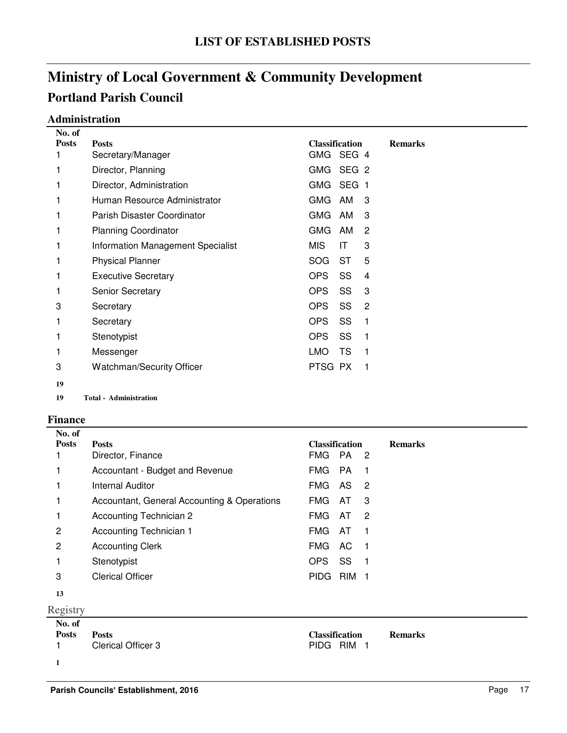#### **Administration**

| No. of       |                                          |                       |           |   |                |
|--------------|------------------------------------------|-----------------------|-----------|---|----------------|
| <b>Posts</b> | <b>Posts</b>                             | <b>Classification</b> |           |   | <b>Remarks</b> |
| 1            | Secretary/Manager                        | GMG SEG 4             |           |   |                |
| 1            | Director, Planning                       | GMG SEG 2             |           |   |                |
| 1            | Director, Administration                 | GMG SEG 1             |           |   |                |
|              | Human Resource Administrator             | GMG AM                |           | 3 |                |
| 1            | Parish Disaster Coordinator              | GMG                   | AM        | 3 |                |
| 1            | <b>Planning Coordinator</b>              | GMG                   | AM        | 2 |                |
| 1            | <b>Information Management Specialist</b> | MIS.                  | ΙT        | 3 |                |
| 1            | <b>Physical Planner</b>                  | SOG                   | ST        | 5 |                |
| 1            | <b>Executive Secretary</b>               | OPS.                  | SS        | 4 |                |
| 1            | <b>Senior Secretary</b>                  | OPS.                  | SS        | 3 |                |
| 3            | Secretary                                | OPS.                  | SS        | 2 |                |
| 1            | Secretary                                | <b>OPS</b>            | SS        | 1 |                |
| 1            | Stenotypist                              | OPS                   | SS.       | 1 |                |
| 1            | Messenger                                | LMO                   | <b>TS</b> | 1 |                |
| 3            | <b>Watchman/Security Officer</b>         | PTSG PX               |           | 1 |                |
| 19           |                                          |                       |           |   |                |

**19 Administration Total -**

#### **Finance**

| No. of       |                                             |                       |            |     |                |
|--------------|---------------------------------------------|-----------------------|------------|-----|----------------|
| <b>Posts</b> | <b>Posts</b>                                | <b>Classification</b> |            |     | <b>Remarks</b> |
|              | Director, Finance                           | FMG                   | <b>PA</b>  | -2  |                |
|              | Accountant - Budget and Revenue             | FMG.                  | PA.        |     |                |
|              | <b>Internal Auditor</b>                     | <b>FMG</b>            | AS         | - 2 |                |
| 1            | Accountant, General Accounting & Operations | FMG.                  | AT         | 3   |                |
|              | Accounting Technician 2                     | <b>FMG</b>            | AT         | -2  |                |
| 2            | Accounting Technician 1                     | <b>FMG</b>            | AT         |     |                |
| 2            | <b>Accounting Clerk</b>                     | <b>FMG</b>            | AC.        |     |                |
|              | Stenotypist                                 | <b>OPS</b>            | SS         |     |                |
| 3            | <b>Clerical Officer</b>                     | <b>PIDG</b>           | <b>RIM</b> |     |                |
|              |                                             |                       |            |     |                |

Registry **No. of Posts Posts Classification Remarks** 1 Clerical Officer 3 PIDG RIM 1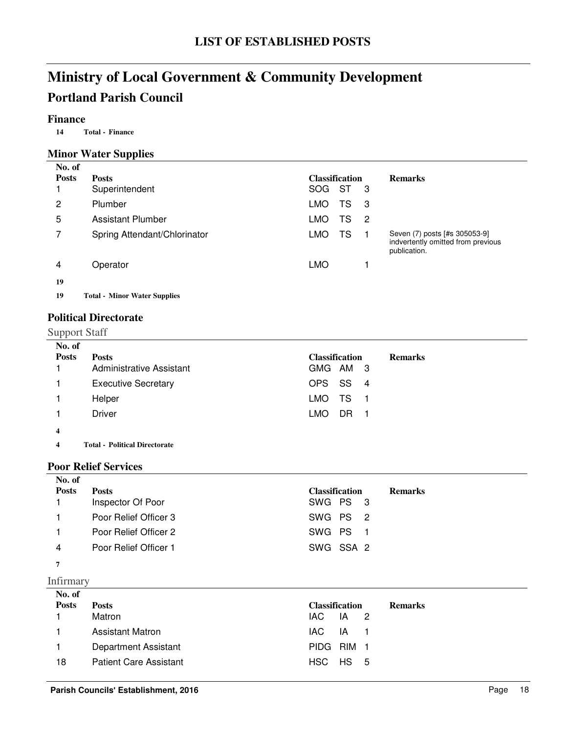### **Finance**

**14 Finance Total -**

### **Minor Water Supplies**

| No. of       |                                     |                             |                                                                                     |
|--------------|-------------------------------------|-----------------------------|-------------------------------------------------------------------------------------|
| <b>Posts</b> | <b>Posts</b>                        | <b>Classification</b>       | <b>Remarks</b>                                                                      |
|              | Superintendent                      | <b>SOG</b><br>ST<br>-3      |                                                                                     |
| 2            | Plumber                             | LMO<br>TS<br>-3             |                                                                                     |
| 5            | <b>Assistant Plumber</b>            | LMO<br>TS<br>$\overline{c}$ |                                                                                     |
|              | Spring Attendant/Chlorinator        | LMO<br>TS                   | Seven (7) posts [#s 305053-9]<br>indvertently omitted from previous<br>publication. |
| 4            | Operator                            | <b>LMO</b>                  |                                                                                     |
| 19           |                                     |                             |                                                                                     |
| 19           | <b>Total - Minor Water Supplies</b> |                             |                                                                                     |

### **Political Directorate**

Support Staff

| No. of       |                                 |                       |     |                |
|--------------|---------------------------------|-----------------------|-----|----------------|
| <b>Posts</b> | <b>Posts</b>                    | <b>Classification</b> |     | <b>Remarks</b> |
|              | <b>Administrative Assistant</b> | GMG AM 3              |     |                |
|              | <b>Executive Secretary</b>      | OPS SS 4              |     |                |
|              | Helper                          | LMO TS                | - 1 |                |
|              | <b>Driver</b>                   | LMO.<br>DR.           | - 1 |                |
| 4            |                                 |                       |     |                |
|              |                                 |                       |     |                |

**4 Political Directorate Total -**

#### **Poor Relief Services**

| No. of       |                       |                       |                |
|--------------|-----------------------|-----------------------|----------------|
| <b>Posts</b> | <b>Posts</b>          | <b>Classification</b> | <b>Remarks</b> |
|              | Inspector Of Poor     | SWG PS 3              |                |
|              | Poor Relief Officer 3 | SWG PS 2              |                |
|              | Poor Relief Officer 2 | SWG PS 1              |                |
| 4            | Poor Relief Officer 1 | SWG SSA 2             |                |
|              |                       |                       |                |

**7**

Infirmary

| No. of<br><b>Posts</b> | <b>Posts</b>                  | <b>Classification</b> |                       | <b>Remarks</b> |
|------------------------|-------------------------------|-----------------------|-----------------------|----------------|
|                        | Matron                        | IAC.                  | $\mathsf{IA} \quad 2$ |                |
| $\mathbf{1}$           | <b>Assistant Matron</b>       | IAC.                  | IA 1                  |                |
|                        | Department Assistant          | PIDG RIM 1            |                       |                |
| 18                     | <b>Patient Care Assistant</b> | $HSC$ $HS$ 5          |                       |                |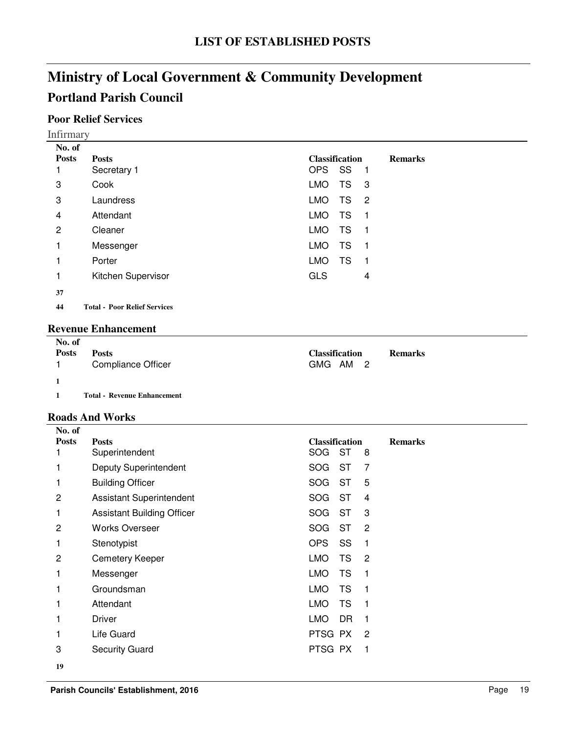### **Poor Relief Services**

| No. of       |                                     |                                                |
|--------------|-------------------------------------|------------------------------------------------|
| <b>Posts</b> | <b>Posts</b>                        | <b>Classification</b><br><b>Remarks</b>        |
|              | Secretary 1                         | <b>OPS</b><br>SS<br>- 1                        |
| 3            | Cook                                | <b>LMO</b><br>TS<br>- 3                        |
| 3            | Laundress                           | <b>LMO</b><br>TS<br>$\overline{\phantom{a}}^2$ |
| 4            | Attendant                           | <b>LMO</b><br>TS<br>-1                         |
| 2            | Cleaner                             | TS<br><b>LMO</b><br>- 1                        |
| 1            | Messenger                           | <b>LMO</b><br>TS<br>-1                         |
|              | Porter                              | TS<br><b>LMO</b><br>-1                         |
|              | Kitchen Supervisor                  | <b>GLS</b><br>4                                |
| 37           |                                     |                                                |
| 44           | <b>Total - Poor Relief Services</b> |                                                |

#### **Revenue Enhancement**

| No. of<br><b>Posts</b> | <b>Posts</b>                       | <b>Classification</b> | <b>Remarks</b> |
|------------------------|------------------------------------|-----------------------|----------------|
| $\blacksquare$ 1       | Compliance Officer                 | GMG AM 2              |                |
|                        |                                    |                       |                |
|                        | <b>Total - Revenue Enhancement</b> |                       |                |

#### **Roads And Works**

| No. of         |                                   |                                           |
|----------------|-----------------------------------|-------------------------------------------|
| <b>Posts</b>   | <b>Posts</b>                      | <b>Classification</b><br><b>Remarks</b>   |
|                | Superintendent                    | <b>ST</b><br><b>SOG</b><br>8              |
|                | Deputy Superintendent             | <b>ST</b><br>$\overline{7}$<br><b>SOG</b> |
|                | <b>Building Officer</b>           | <b>ST</b><br>5<br>SOG                     |
| $\overline{c}$ | <b>Assistant Superintendent</b>   | <b>ST</b><br><b>SOG</b><br>4              |
|                | <b>Assistant Building Officer</b> | <b>ST</b><br><b>SOG</b><br>3              |
| $\overline{c}$ | <b>Works Overseer</b>             | <b>ST</b><br><b>SOG</b><br>$\overline{2}$ |
| 1              | Stenotypist                       | <b>OPS</b><br>SS<br>1                     |
| 2              | <b>Cemetery Keeper</b>            | <b>LMO</b><br>TS<br>$\overline{2}$        |
|                | Messenger                         | <b>TS</b><br><b>LMO</b><br>1              |
|                | Groundsman                        | <b>LMO</b><br><b>TS</b><br>1              |
|                | Attendant                         | <b>LMO</b><br><b>TS</b><br>1              |
|                | Driver                            | LMO.<br>DR<br>1                           |
|                | Life Guard                        | PTSG PX<br>$\overline{2}$                 |
| 3              | <b>Security Guard</b>             | PTSG PX<br>1                              |
| 19             |                                   |                                           |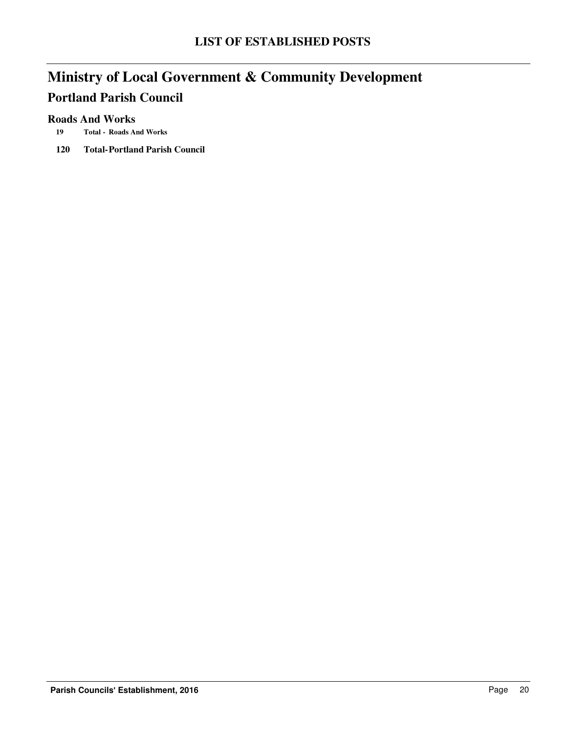### **Roads And Works**

- **19 Roads And Works Total -**
- **120 Total-Portland Parish Council**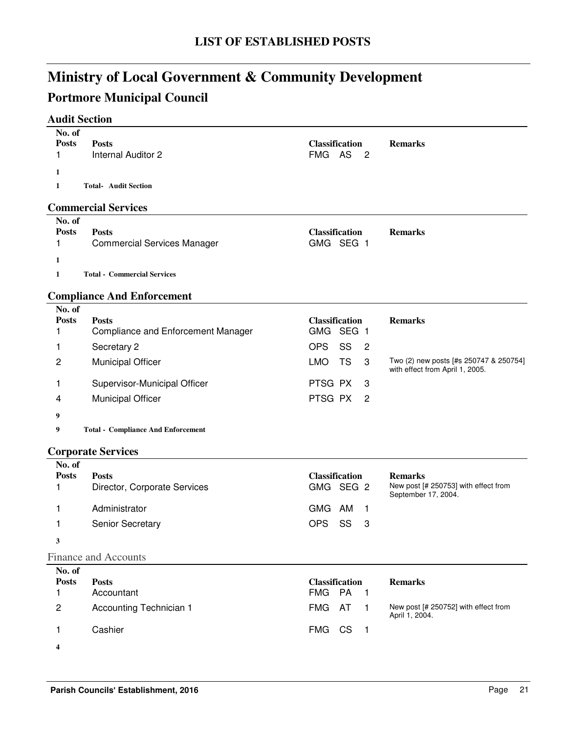## **Portmore Municipal Council**

### **Audit Section**

| No. of                 |                                                           |                                      |                                                                           |
|------------------------|-----------------------------------------------------------|--------------------------------------|---------------------------------------------------------------------------|
| <b>Posts</b><br>1      | <b>Posts</b><br><b>Internal Auditor 2</b>                 | <b>Classification</b><br>FMG AS<br>2 | <b>Remarks</b>                                                            |
|                        |                                                           |                                      |                                                                           |
| 1                      |                                                           |                                      |                                                                           |
| 1                      | <b>Total- Audit Section</b>                               |                                      |                                                                           |
|                        | <b>Commercial Services</b>                                |                                      |                                                                           |
| No. of                 |                                                           |                                      |                                                                           |
| <b>Posts</b><br>1      | <b>Posts</b><br><b>Commercial Services Manager</b>        | <b>Classification</b><br>GMG SEG 1   | <b>Remarks</b>                                                            |
|                        |                                                           |                                      |                                                                           |
| 1                      |                                                           |                                      |                                                                           |
| 1                      | <b>Total - Commercial Services</b>                        |                                      |                                                                           |
|                        | <b>Compliance And Enforcement</b>                         |                                      |                                                                           |
| No. of                 |                                                           |                                      |                                                                           |
| <b>Posts</b><br>1      | <b>Posts</b><br><b>Compliance and Enforcement Manager</b> | <b>Classification</b><br>GMG SEG 1   | <b>Remarks</b>                                                            |
|                        |                                                           | <b>OPS</b><br>SS                     |                                                                           |
| 1                      | Secretary 2                                               | 2                                    |                                                                           |
| $\overline{c}$         | <b>Municipal Officer</b>                                  | <b>LMO</b><br><b>TS</b><br>3         | Two (2) new posts [#s 250747 & 250754]<br>with effect from April 1, 2005. |
| 1                      | Supervisor-Municipal Officer                              | PTSG PX<br>3                         |                                                                           |
| 4                      | <b>Municipal Officer</b>                                  | PTSG PX<br>2                         |                                                                           |
| 9                      |                                                           |                                      |                                                                           |
| 9                      | <b>Total - Compliance And Enforcement</b>                 |                                      |                                                                           |
|                        |                                                           |                                      |                                                                           |
|                        | <b>Corporate Services</b>                                 |                                      |                                                                           |
| No. of<br><b>Posts</b> | <b>Posts</b>                                              | <b>Classification</b>                | <b>Remarks</b>                                                            |
| 1                      | Director, Corporate Services                              | GMG SEG 2                            | New post [# 250753] with effect from                                      |
|                        |                                                           |                                      | September 17, 2004.                                                       |
| 1                      | Administrator                                             | GMG AM<br>$\overline{1}$             |                                                                           |
| 1                      | Senior Secretary                                          | <b>OPS</b><br>SS<br>3                |                                                                           |
| 3                      |                                                           |                                      |                                                                           |
|                        | <b>Finance and Accounts</b>                               |                                      |                                                                           |
| No. of                 |                                                           |                                      |                                                                           |
| <b>Posts</b>           | <b>Posts</b>                                              | <b>Classification</b>                | <b>Remarks</b>                                                            |
| 1                      | Accountant                                                | PA<br><b>FMG</b><br>$\mathbf{1}$     |                                                                           |
| 2                      | Accounting Technician 1                                   | AT<br><b>FMG</b><br>$\mathbf{1}$     | New post [# 250752] with effect from<br>April 1, 2004.                    |
| 1                      | Cashier                                                   | FMG CS<br>$\blacksquare$             |                                                                           |

**4**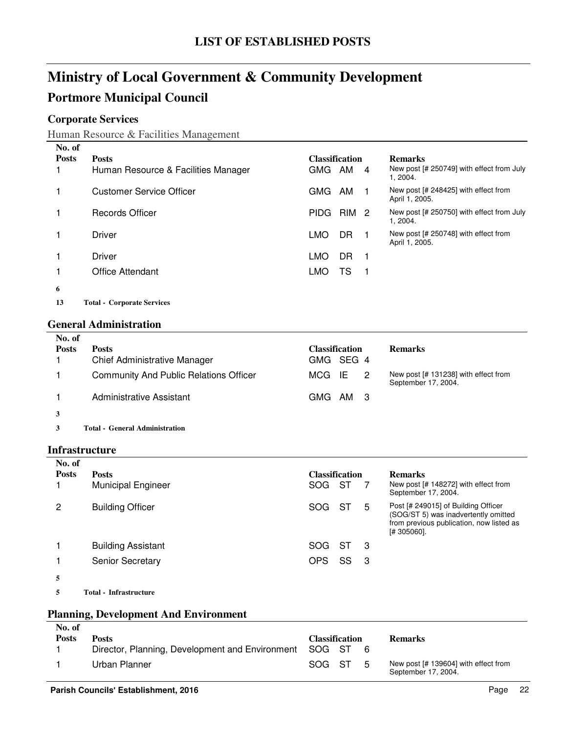## **Ministry of Local Government & Community Development Portmore Municipal Council**

### **Corporate Services**

Human Resource & Facilities Management

| No. of       |                                     |                       |     |    |                                                        |
|--------------|-------------------------------------|-----------------------|-----|----|--------------------------------------------------------|
| <b>Posts</b> | <b>Posts</b>                        | <b>Classification</b> |     |    | <b>Remarks</b>                                         |
|              | Human Resource & Facilities Manager | <b>GMG</b>            | AM  | 4  | New post [# 250749] with effect from July<br>1, 2004.  |
|              | Customer Service Officer            | <b>GMG</b>            | AM  |    | New post [# 248425] with effect from<br>April 1, 2005. |
|              | Records Officer                     | <b>PIDG</b>           | RIM | -2 | New post [# 250750] with effect from July<br>1, 2004.  |
|              | Driver                              | LMO                   | DR. |    | New post [# 250748] with effect from<br>April 1, 2005. |
|              | Driver                              | <b>LMO</b>            | DR  |    |                                                        |
|              | <b>Office Attendant</b>             | <b>LMO</b>            | TS  |    |                                                        |
| 6            |                                     |                       |     |    |                                                        |
| 13           | <b>Total - Corporate Services</b>   |                       |     |    |                                                        |

#### **General Administration**

| No. of<br><b>Posts</b> | <b>Posts</b><br><b>Chief Administrative Manager</b> | <b>Classification</b><br>GMG SEG 4 | <b>Remarks</b>                                              |
|------------------------|-----------------------------------------------------|------------------------------------|-------------------------------------------------------------|
|                        | <b>Community And Public Relations Officer</b>       | - IE<br>MCG<br>-2                  | New post [# 131238] with effect from<br>September 17, 2004. |
|                        | Administrative Assistant                            | GMG AM 3                           |                                                             |
| 3                      |                                                     |                                    |                                                             |
|                        | Total - General Administration                      |                                    |                                                             |

#### **Infrastructure**

| No. of       |                           |                       |      |     |                                                                                                                                        |
|--------------|---------------------------|-----------------------|------|-----|----------------------------------------------------------------------------------------------------------------------------------------|
| <b>Posts</b> | <b>Posts</b>              | <b>Classification</b> |      |     | <b>Remarks</b>                                                                                                                         |
|              | <b>Municipal Engineer</b> | SOG.                  | - ST |     | New post [# 148272] with effect from<br>September 17, 2004.                                                                            |
| 2            | <b>Building Officer</b>   | SOG ST                |      | 5   | Post [# 249015] of Building Officer<br>(SOG/ST 5) was inadvertently omitted<br>from previous publication, now listed as<br>[# 305060]. |
|              | <b>Building Assistant</b> | SOG ST                |      | - 3 |                                                                                                                                        |
|              | Senior Secretary          | <b>OPS</b>            | SS   | - 3 |                                                                                                                                        |
|              |                           |                       |      |     |                                                                                                                                        |

**5 Infrastructure Total -**

### **Planning, Development And Environment**

| No. of<br>Posts | <b>Posts</b><br>Director, Planning, Development and Environment SOG ST 6 | <b>Classification</b> |    | <b>Remarks</b>                                                |
|-----------------|--------------------------------------------------------------------------|-----------------------|----|---------------------------------------------------------------|
|                 | Urban Planner                                                            | SOG ST                | -5 | New post $[# 139604]$ with effect from<br>September 17, 2004. |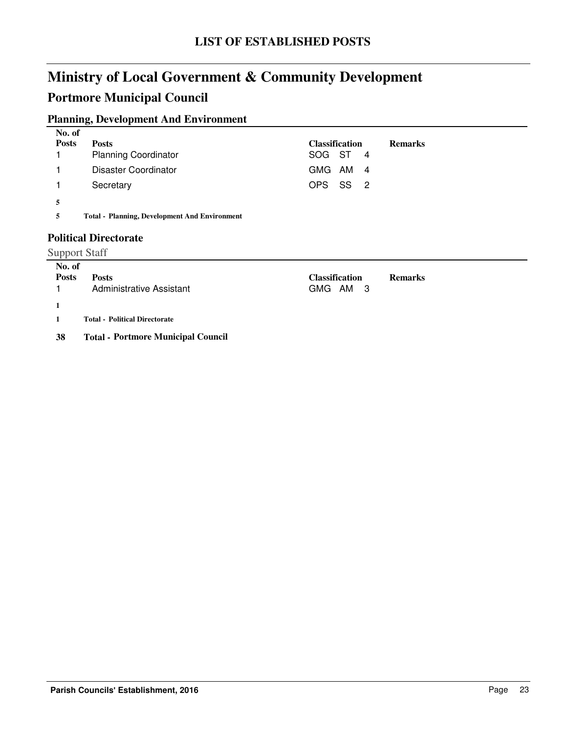### **Portmore Municipal Council**

### **Planning, Development And Environment**

| No. of       |                                                      |                       |                |
|--------------|------------------------------------------------------|-----------------------|----------------|
| <b>Posts</b> | <b>Posts</b>                                         | <b>Classification</b> | <b>Remarks</b> |
|              | <b>Planning Coordinator</b>                          | SOG ST 4              |                |
|              | Disaster Coordinator                                 | GMG AM 4              |                |
|              | Secretary                                            | OPS SS 2              |                |
| 5            |                                                      |                       |                |
| 5            | <b>Total - Planning, Development And Environment</b> |                       |                |

### **Political Directorate**

#### Support Staff

| No. of         |                                      |                       |                |
|----------------|--------------------------------------|-----------------------|----------------|
| <b>Posts</b>   | <b>Posts</b>                         | <b>Classification</b> | <b>Remarks</b> |
| $\overline{1}$ | <b>Administrative Assistant</b>      | GMG AM 3              |                |
|                |                                      |                       |                |
| $\blacksquare$ | <b>Total - Political Directorate</b> |                       |                |
|                |                                      |                       |                |

#### **38 Total - Portmore Municipal Council**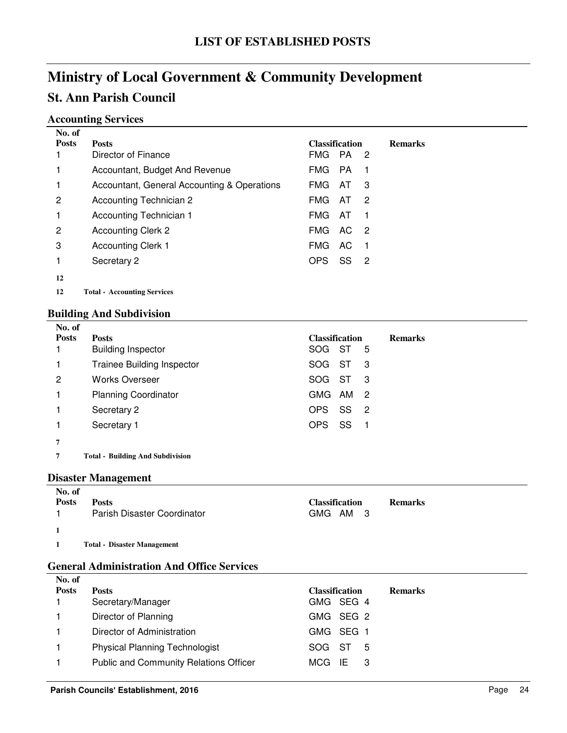## **Accounting Services**

| No. of       |                                             |                       |           |                            |                |
|--------------|---------------------------------------------|-----------------------|-----------|----------------------------|----------------|
| <b>Posts</b> | <b>Posts</b>                                | <b>Classification</b> |           |                            | <b>Remarks</b> |
|              | Director of Finance                         | FMG.                  | PA.       | -2                         |                |
|              | Accountant, Budget And Revenue              | FMG.                  | <b>PA</b> | -1                         |                |
| 1            | Accountant, General Accounting & Operations | <b>FMG</b>            | AT        | 3                          |                |
| 2            | Accounting Technician 2                     | FMG.                  | AT        | 2                          |                |
| 1            | Accounting Technician 1                     | FMG.                  | AT        | -1                         |                |
| 2            | <b>Accounting Clerk 2</b>                   | <b>FMG</b>            | AC.       | $\overline{\phantom{0}}^2$ |                |
| 3            | <b>Accounting Clerk 1</b>                   | FMG.                  | AC.       | -1                         |                |
| 1            | Secretary 2                                 | OPS                   | SS        | -2                         |                |
| 12           |                                             |                       |           |                            |                |
| 12           | <b>Total - Accounting Services</b>          |                       |           |                            |                |

### **Building And Subdivision**

| No. of       |                                         |                                         |
|--------------|-----------------------------------------|-----------------------------------------|
| <b>Posts</b> | <b>Posts</b>                            | <b>Classification</b><br><b>Remarks</b> |
|              | <b>Building Inspector</b>               | SOG ST<br>5                             |
|              | <b>Trainee Building Inspector</b>       | -ST<br>SOG<br>- 3                       |
| 2            | <b>Works Overseer</b>                   | SOG<br>-ST<br>- 3                       |
|              | <b>Planning Coordinator</b>             | GMG.<br>AM<br>$\overline{2}$            |
|              | Secretary 2                             | SS<br>OPS<br>- 2                        |
|              | Secretary 1                             | SS<br>OPS<br>$\overline{1}$             |
| 7            |                                         |                                         |
|              | <b>Total - Building And Subdivision</b> |                                         |

#### **Disaster Management**

| No. of       |                                    |                       |                |
|--------------|------------------------------------|-----------------------|----------------|
| <b>Posts</b> | <b>Posts</b>                       | <b>Classification</b> | <b>Remarks</b> |
|              | Parish Disaster Coordinator        | AM 3<br>GMG           |                |
|              |                                    |                       |                |
|              | <b>Total - Disaster Management</b> |                       |                |

### **General Administration And Office Services**

| No. of       |                                               |                       |                |
|--------------|-----------------------------------------------|-----------------------|----------------|
| <b>Posts</b> | <b>Posts</b>                                  | <b>Classification</b> | <b>Remarks</b> |
|              | Secretary/Manager                             | GMG SEG 4             |                |
|              | Director of Planning                          | GMG SEG 2             |                |
|              | Director of Administration                    | GMG SEG               |                |
|              | <b>Physical Planning Technologist</b>         | SOG ST<br>5           |                |
|              | <b>Public and Community Relations Officer</b> | MCG IE<br>- 3         |                |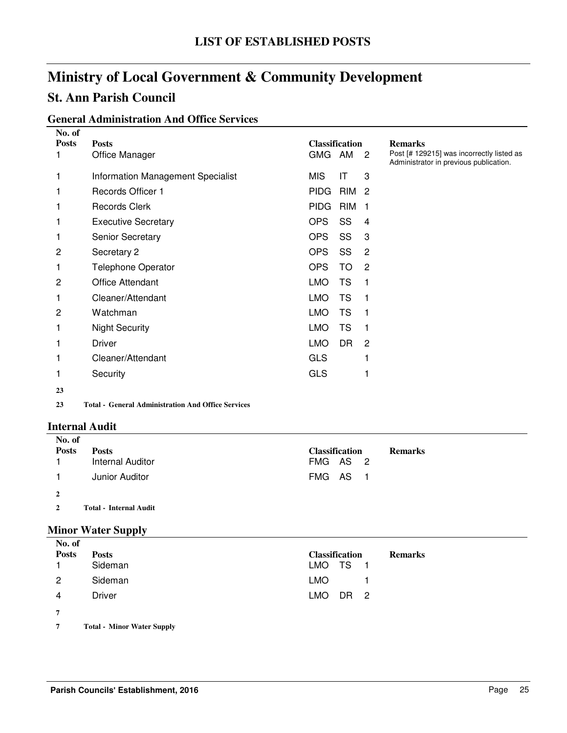### **St. Ann Parish Council**

### **General Administration And Office Services**

| No. of<br><b>Posts</b> | <b>Posts</b>                                                                                                                        | <b>Classification</b>                | <b>Remarks</b>                                                                      |
|------------------------|-------------------------------------------------------------------------------------------------------------------------------------|--------------------------------------|-------------------------------------------------------------------------------------|
|                        | Office Manager                                                                                                                      | GMG AM<br>$\overline{\phantom{a}}^2$ | Post [# 129215] was incorrectly listed as<br>Administrator in previous publication. |
| 1                      | Information Management Specialist                                                                                                   | <b>MIS</b><br>IT<br>3                |                                                                                     |
|                        | Records Officer 1                                                                                                                   | <b>PIDG</b><br>RIM<br>$\overline{2}$ |                                                                                     |
|                        | <b>Records Clerk</b>                                                                                                                | <b>RIM</b><br><b>PIDG</b><br>1       |                                                                                     |
|                        | <b>Executive Secretary</b>                                                                                                          | SS<br><b>OPS</b><br>4                |                                                                                     |
|                        | <b>Senior Secretary</b>                                                                                                             | <b>OPS</b><br>SS<br>3                |                                                                                     |
| 2                      | Secretary 2                                                                                                                         | SS<br><b>OPS</b><br>$\overline{2}$   |                                                                                     |
|                        | <b>Telephone Operator</b>                                                                                                           | <b>OPS</b><br>TO<br>$\overline{2}$   |                                                                                     |
| 2                      | <b>Office Attendant</b>                                                                                                             | <b>TS</b><br><b>LMO</b><br>1         |                                                                                     |
| 1                      | Cleaner/Attendant                                                                                                                   | <b>LMO</b><br><b>TS</b><br>1         |                                                                                     |
| 2                      | Watchman                                                                                                                            | <b>LMO</b><br><b>TS</b><br>1         |                                                                                     |
| 1                      | <b>Night Security</b>                                                                                                               | <b>LMO</b><br><b>TS</b><br>1         |                                                                                     |
|                        | <b>Driver</b>                                                                                                                       | <b>LMO</b><br>DR<br>$\overline{c}$   |                                                                                     |
|                        | Cleaner/Attendant                                                                                                                   | <b>GLS</b>                           |                                                                                     |
|                        | Security                                                                                                                            | <b>GLS</b>                           |                                                                                     |
| 23                     |                                                                                                                                     |                                      |                                                                                     |
| $\mathbf{A}$           | $\mathbf{m}$ and $\mathbf{c}$ and $\mathbf{r}$ and $\mathbf{r}$ and $\mathbf{r}$ and $\mathbf{r}$ and $\mathbf{r}$ and $\mathbf{r}$ |                                      |                                                                                     |

**23 General Administration And Office Services Total -**

#### **Internal Audit**

| No. of         |                               |                                         |
|----------------|-------------------------------|-----------------------------------------|
| <b>Posts</b>   | <b>Posts</b>                  | <b>Classification</b><br><b>Remarks</b> |
|                | Internal Auditor              | FMG AS 2                                |
|                | Junior Auditor                | FMG AS 1                                |
| $\overline{2}$ |                               |                                         |
|                | <b>Total - Internal Audit</b> |                                         |

### **Minor Water Supply**

| No. of                   |               |                       |                |
|--------------------------|---------------|-----------------------|----------------|
| <b>Posts</b>             | <b>Posts</b>  | <b>Classification</b> | <b>Remarks</b> |
|                          | Sideman       | LMO TS 1              |                |
| 2                        | Sideman       | LMO                   |                |
| 4                        | <b>Driver</b> | LMO DR 2              |                |
| 7                        |               |                       |                |
| $\overline{\phantom{0}}$ |               |                       |                |

**7** Total - Minor Water Supply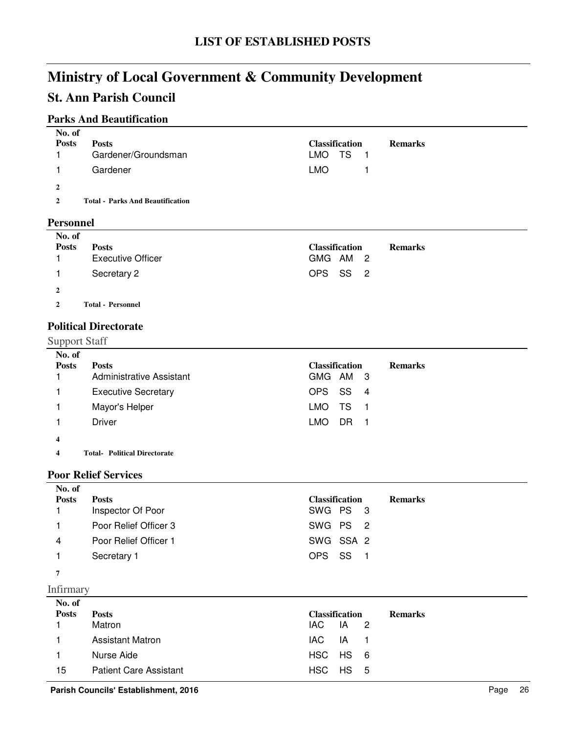### **St. Ann Parish Council**

### **Parks And Beautification**

| No. of       |                                         |                       |                |
|--------------|-----------------------------------------|-----------------------|----------------|
| <b>Posts</b> | <b>Posts</b>                            | <b>Classification</b> | <b>Remarks</b> |
|              | Gardener/Groundsman                     | LMO TS<br>- 1         |                |
|              | Gardener                                | LMO                   |                |
| $\mathbf{2}$ |                                         |                       |                |
| 2            | <b>Total - Parks And Beautification</b> |                       |                |
| n.           |                                         |                       |                |

#### **Personnel**

| No. of       |                          |                       |                |
|--------------|--------------------------|-----------------------|----------------|
| <b>Posts</b> | <b>Posts</b>             | <b>Classification</b> | <b>Remarks</b> |
|              | <b>Executive Officer</b> | GMG AM 2              |                |
|              | Secretary 2              | OPS SS 2              |                |
| $\mathbf{2}$ |                          |                       |                |
| 2            | <b>Total - Personnel</b> |                       |                |

### **Political Directorate**

### Support Staff

|                            | <b>Classification</b><br><b>Remarks</b>  |
|----------------------------|------------------------------------------|
|                            | GMG AM 3                                 |
| <b>Executive Secretary</b> | OPS SS 4                                 |
| Mayor's Helper             | TS.<br>LMO<br>- 1                        |
| <b>Driver</b>              | LMO.<br>DR.<br>$\blacksquare$            |
|                            |                                          |
|                            | <b>Posts</b><br>Administrative Assistant |

**4 Political Directorate Total-**

### **Poor Relief Services**

| No. of       |                       |                       |                |
|--------------|-----------------------|-----------------------|----------------|
| <b>Posts</b> | <b>Posts</b>          | <b>Classification</b> | <b>Remarks</b> |
|              | Inspector Of Poor     | SWG PS 3              |                |
|              | Poor Relief Officer 3 | SWG PS <sub>2</sub>   |                |
| 4            | Poor Relief Officer 1 | SWG SSA 2             |                |
|              | Secretary 1           | OPS SS 1              |                |
| −            |                       |                       |                |

**<sup>7</sup>**

Infirmary

| No. of       |                               |                       |
|--------------|-------------------------------|-----------------------|
| <b>Posts</b> | <b>Posts</b>                  | <b>Classification</b> |
|              | Matron                        | IAC IA 2              |
|              | <b>Assistant Matron</b>       | IAC IA 1              |
|              | Nurse Aide                    | HSC HS 6              |
| 15           | <b>Patient Care Assistant</b> | HSC HS 5              |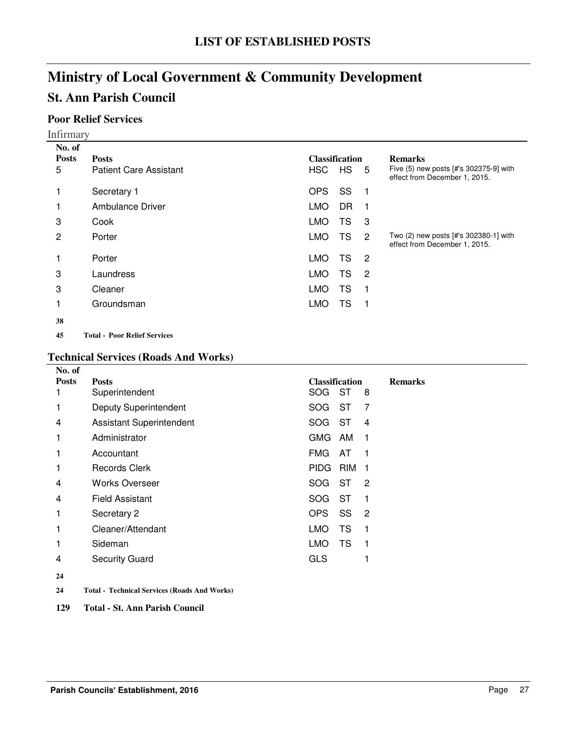### **St. Ann Parish Council**

### **Poor Relief Services**

Infirmary

| No. of       |                                     |            |                       |                |                                                                         |
|--------------|-------------------------------------|------------|-----------------------|----------------|-------------------------------------------------------------------------|
| <b>Posts</b> | <b>Posts</b>                        |            | <b>Classification</b> |                | <b>Remarks</b>                                                          |
| 5            | <b>Patient Care Assistant</b>       | HSC        | <b>HS</b>             | - 5            | Five (5) new posts [#'s 302375-9] with<br>effect from December 1, 2015. |
| 1            | Secretary 1                         | <b>OPS</b> | SS                    | - 1            |                                                                         |
| 1            | Ambulance Driver                    | <b>LMO</b> | DR                    | -1             |                                                                         |
| 3            | Cook                                | <b>LMO</b> | TS                    | - 3            |                                                                         |
| 2            | Porter                              | <b>LMO</b> | TS                    | $\overline{2}$ | Two (2) new posts [#'s 302380-1] with<br>effect from December 1, 2015.  |
|              | Porter                              | <b>LMO</b> | TS                    | $^{\circ}$ 2   |                                                                         |
| 3            | Laundress                           | <b>LMO</b> | TS.                   | $\overline{2}$ |                                                                         |
| 3            | Cleaner                             | <b>LMO</b> | TS                    | -1             |                                                                         |
|              | Groundsman                          | <b>LMO</b> | TS                    | $\overline{1}$ |                                                                         |
| 38           |                                     |            |                       |                |                                                                         |
| 45           | <b>Total - Poor Relief Services</b> |            |                       |                |                                                                         |

#### **Technical Services (Roads And Works)**

| No. of        |                                 |                       |            |                |                |
|---------------|---------------------------------|-----------------------|------------|----------------|----------------|
| <b>Posts</b>  | <b>Posts</b>                    | <b>Classification</b> |            |                | <b>Remarks</b> |
|               | Superintendent                  | <b>SOG</b>            | <b>ST</b>  | 8              |                |
|               | Deputy Superintendent           | <b>SOG</b>            | <b>ST</b>  | 7              |                |
| 4             | <b>Assistant Superintendent</b> | <b>SOG</b>            | <b>ST</b>  | 4              |                |
|               | Administrator                   | <b>GMG</b>            | AM         | - 1            |                |
| 1             | Accountant                      | <b>FMG</b>            | AT         | -1             |                |
| 1             | <b>Records Clerk</b>            | <b>PIDG</b>           | <b>RIM</b> | - 1            |                |
| 4             | <b>Works Overseer</b>           | SOG                   | - ST       | $\overline{2}$ |                |
| 4             | <b>Field Assistant</b>          | SOG                   | ST         | -1             |                |
|               | Secretary 2                     | <b>OPS</b>            | SS         | $\overline{2}$ |                |
| 1             | Cleaner/Attendant               | <b>LMO</b>            | TS         | -1             |                |
|               | Sideman                         | <b>LMO</b>            | <b>TS</b>  | -1             |                |
| 4             | <b>Security Guard</b>           | <b>GLS</b>            |            |                |                |
| $\sim$ $\sim$ |                                 |                       |            |                |                |

**24**

**24 Technical Services (Roads And Works) Total -**

**129 Total - St. Ann Parish Council**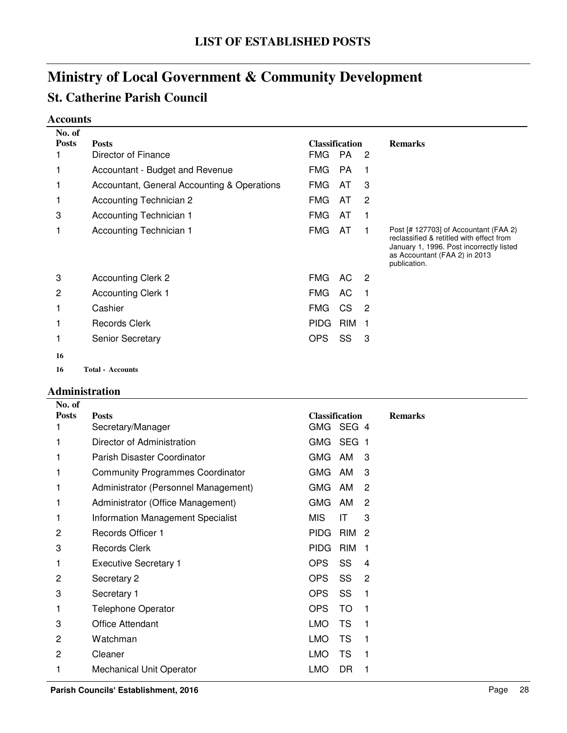## **St. Catherine Parish Council**

### **Accounts**

| No. of       |                                             |             |                  |                            |                                                                                                                                                                                |
|--------------|---------------------------------------------|-------------|------------------|----------------------------|--------------------------------------------------------------------------------------------------------------------------------------------------------------------------------|
| <b>Posts</b> | <b>Classification</b><br><b>Posts</b>       |             | <b>Remarks</b>   |                            |                                                                                                                                                                                |
|              | Director of Finance                         | FMG         | <b>PA</b>        | -2                         |                                                                                                                                                                                |
|              | Accountant - Budget and Revenue             | <b>FMG</b>  | <b>PA</b>        | 1                          |                                                                                                                                                                                |
|              | Accountant, General Accounting & Operations | <b>FMG</b>  | AT               | 3                          |                                                                                                                                                                                |
|              | <b>Accounting Technician 2</b>              | FMG         | AT               | $\overline{c}$             |                                                                                                                                                                                |
| 3            | Accounting Technician 1                     | <b>FMG</b>  | AT               |                            |                                                                                                                                                                                |
|              | Accounting Technician 1                     | <b>FMG</b>  | AT               |                            | Post [# 127703] of Accountant (FAA 2)<br>reclassified & retitled with effect from<br>January 1, 1996. Post incorrectly listed<br>as Accountant (FAA 2) in 2013<br>publication. |
| 3            | <b>Accounting Clerk 2</b>                   | FMG         | AC.              | $\overline{\phantom{0}}^2$ |                                                                                                                                                                                |
| 2            | <b>Accounting Clerk 1</b>                   | FMG         | AC               | - 1                        |                                                                                                                                                                                |
|              | Cashier                                     | FMG.        | CS               | $\overline{\phantom{a}}^2$ |                                                                                                                                                                                |
|              | <b>Records Clerk</b>                        | <b>PIDG</b> | RIM <sub>1</sub> |                            |                                                                                                                                                                                |
|              | <b>Senior Secretary</b>                     | <b>OPS</b>  | SS               | 3                          |                                                                                                                                                                                |
| 16           |                                             |             |                  |                            |                                                                                                                                                                                |
| 16           | <b>Total - Accounts</b>                     |             |                  |                            |                                                                                                                                                                                |

#### **Administration**

| No. of         |                                          |             |                       |                |                |
|----------------|------------------------------------------|-------------|-----------------------|----------------|----------------|
| <b>Posts</b>   | <b>Posts</b>                             |             | <b>Classification</b> |                | <b>Remarks</b> |
|                | Secretary/Manager                        | <b>GMG</b>  | SEG 4                 |                |                |
|                | Director of Administration               | <b>GMG</b>  | SEG 1                 |                |                |
| 1              | Parish Disaster Coordinator              | <b>GMG</b>  | AM                    | 3              |                |
| 1              | <b>Community Programmes Coordinator</b>  | <b>GMG</b>  | AM                    | 3              |                |
| 1              | Administrator (Personnel Management)     | <b>GMG</b>  | AM                    | 2              |                |
|                | Administrator (Office Management)        | <b>GMG</b>  | AM                    | 2              |                |
| 1              | <b>Information Management Specialist</b> | <b>MIS</b>  | IT                    | 3              |                |
| 2              | <b>Records Officer 1</b>                 | <b>PIDG</b> | RIM <sub>2</sub>      |                |                |
| 3              | <b>Records Clerk</b>                     | <b>PIDG</b> | RIM                   | - 1            |                |
| 1              | <b>Executive Secretary 1</b>             | OPS         | SS                    | $\overline{4}$ |                |
| 2              | Secretary 2                              | <b>OPS</b>  | SS                    | $\overline{c}$ |                |
| 3              | Secretary 1                              | <b>OPS</b>  | SS                    | 1              |                |
| 1              | <b>Telephone Operator</b>                | <b>OPS</b>  | <b>TO</b>             | 1              |                |
| 3              | Office Attendant                         | <b>LMO</b>  | TS                    | 1              |                |
| 2              | Watchman                                 | <b>LMO</b>  | <b>TS</b>             | 1              |                |
| $\overline{2}$ | Cleaner                                  | <b>LMO</b>  | <b>TS</b>             | $\mathbf 1$    |                |
| 1              | <b>Mechanical Unit Operator</b>          | <b>LMO</b>  | <b>DR</b>             |                |                |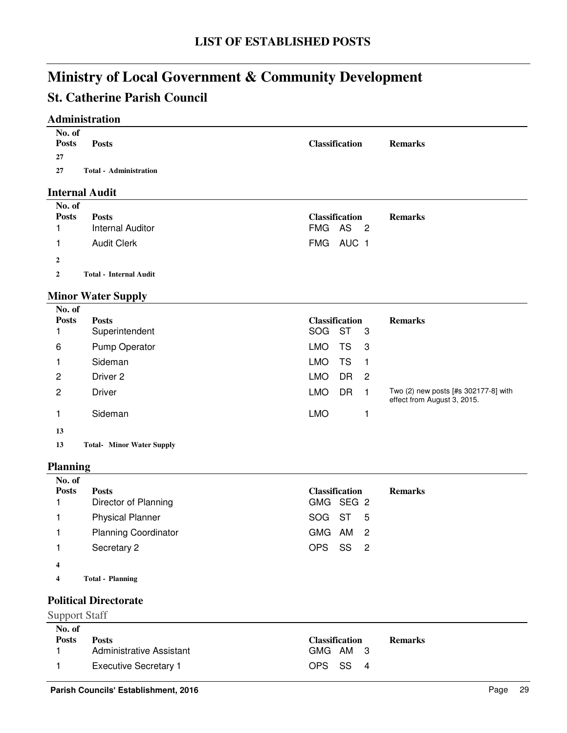### **St. Catherine Parish Council**

### **Administration**

| No. of<br><b>Posts</b><br>27 | <b>Posts</b>                  | <b>Classification</b> | <b>Remarks</b> |
|------------------------------|-------------------------------|-----------------------|----------------|
| 27                           | <b>Total - Administration</b> |                       |                |

### **Internal Audit**

| No. of<br><b>Posts</b> | <b>Posts</b><br>Internal Auditor | <b>Classification</b><br>FMG AS 2 | <b>Remarks</b> |
|------------------------|----------------------------------|-----------------------------------|----------------|
|                        | <b>Audit Clerk</b>               | FMG AUC 1                         |                |
| $\mathbf{2}$           |                                  |                                   |                |
| 2                      | <b>Total - Internal Audit</b>    |                                   |                |

### **Minor Water Supply**

| No. of         |                            |                                     |                                                                     |
|----------------|----------------------------|-------------------------------------|---------------------------------------------------------------------|
| <b>Posts</b>   | <b>Posts</b>               | <b>Classification</b>               | <b>Remarks</b>                                                      |
|                | Superintendent             | <b>ST</b><br><b>SOG</b><br>-3       |                                                                     |
| 6              | Pump Operator              | LMO<br>TS<br>- 3                    |                                                                     |
|                | Sideman                    | TS<br>LMO<br>-1                     |                                                                     |
| 2              | Driver 2                   | <b>LMO</b><br>DR.<br>$\overline{2}$ |                                                                     |
| $\overline{c}$ | <b>Driver</b>              | <b>DR</b><br><b>LMO</b><br>- 1      | Two (2) new posts [#s 302177-8] with<br>effect from August 3, 2015. |
|                | Sideman                    | <b>LMO</b>                          |                                                                     |
| 13             |                            |                                     |                                                                     |
| 12             | Total Miner Water Consiler |                                     |                                                                     |

13 Total- Minor Water Supply

#### **Planning**

| No. of<br><b>Posts</b>  | <b>Posts</b><br>Director of Planning | <b>Classification</b><br><b>Remarks</b><br>GMG SEG 2 |
|-------------------------|--------------------------------------|------------------------------------------------------|
|                         | <b>Physical Planner</b>              | SOG ST<br>-5                                         |
|                         | <b>Planning Coordinator</b>          | GMG AM 2                                             |
|                         | Secretary 2                          | SS 2<br>OPS                                          |
| $\overline{\mathbf{4}}$ |                                      |                                                      |
| 4                       | <b>Total - Planning</b>              |                                                      |

### **Political Directorate**

#### Support Staff

| No. of       |                              |                       |                |
|--------------|------------------------------|-----------------------|----------------|
| <b>Posts</b> | Posts                        | <b>Classification</b> | <b>Remarks</b> |
|              | Administrative Assistant     | GMG AM 3              |                |
|              | <b>Executive Secretary 1</b> | OPS SS 4              |                |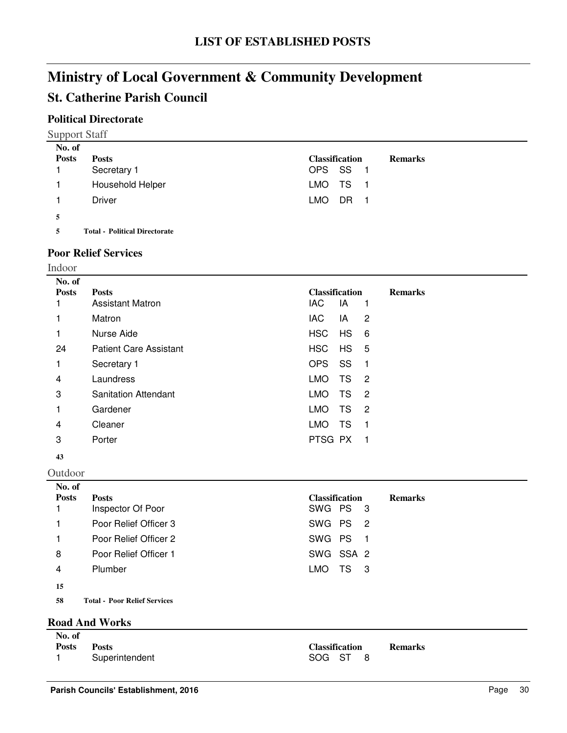### **St. Catherine Parish Council**

### **Political Directorate**

Support Staff

| No. of       |                                      |                       |                |
|--------------|--------------------------------------|-----------------------|----------------|
| <b>Posts</b> | <b>Posts</b>                         | <b>Classification</b> | <b>Remarks</b> |
|              | Secretary 1                          | OPS SS 1              |                |
| 1.           | Household Helper                     | LMO TS 1              |                |
|              | Driver                               | LMO.<br>DR 1          |                |
| 5            |                                      |                       |                |
| 5            | <b>Total - Political Directorate</b> |                       |                |

#### **Poor Relief Services**

Indoor

| No. of       |                               |                                                 |                |
|--------------|-------------------------------|-------------------------------------------------|----------------|
| <b>Posts</b> | <b>Posts</b>                  | <b>Classification</b>                           | <b>Remarks</b> |
|              | <b>Assistant Matron</b>       | IAC.<br>IA<br>1                                 |                |
| 1            | Matron                        | IAC<br>$\overline{2}$<br>IA                     |                |
| 1            | Nurse Aide                    | <b>HSC</b><br><b>HS</b><br>- 6                  |                |
| 24           | <b>Patient Care Assistant</b> | HSC<br><b>HS</b><br>- 5                         |                |
| 1            | Secretary 1                   | <b>OPS</b><br>SS<br>- 1                         |                |
| 4            | Laundress                     | <b>LMO</b><br>TS.<br>$\overline{\phantom{0}}^2$ |                |
| 3            | <b>Sanitation Attendant</b>   | <b>LMO</b><br><b>TS</b><br>$\overline{2}$       |                |
| 1            | Gardener                      | <b>LMO</b><br>TS<br>$\overline{2}$              |                |
| 4            | Cleaner                       | <b>LMO</b><br>TS<br>-1                          |                |
| 3            | Porter                        | PTSG PX<br>-1                                   |                |
| 43           |                               |                                                 |                |

Outdoor

| No. of       |                                     |                                         |
|--------------|-------------------------------------|-----------------------------------------|
| <b>Posts</b> | <b>Posts</b>                        | <b>Classification</b><br><b>Remarks</b> |
|              | Inspector Of Poor                   | SWG PS 3                                |
|              | Poor Relief Officer 3               | SWG PS <sub>2</sub>                     |
|              | Poor Relief Officer 2               | SWG PS 1                                |
| 8            | Poor Relief Officer 1               | SWG SSA 2                               |
| 4            | Plumber                             | LMO.<br>TS.<br>- 3                      |
| 15           |                                     |                                         |
| 58           | <b>Total - Poor Relief Services</b> |                                         |

#### **Road And Works**

| No. of       |                |                       |                |
|--------------|----------------|-----------------------|----------------|
| <b>Posts</b> | <b>Posts</b>   | <b>Classification</b> | <b>Remarks</b> |
|              | Superintendent | SOG ST 8              |                |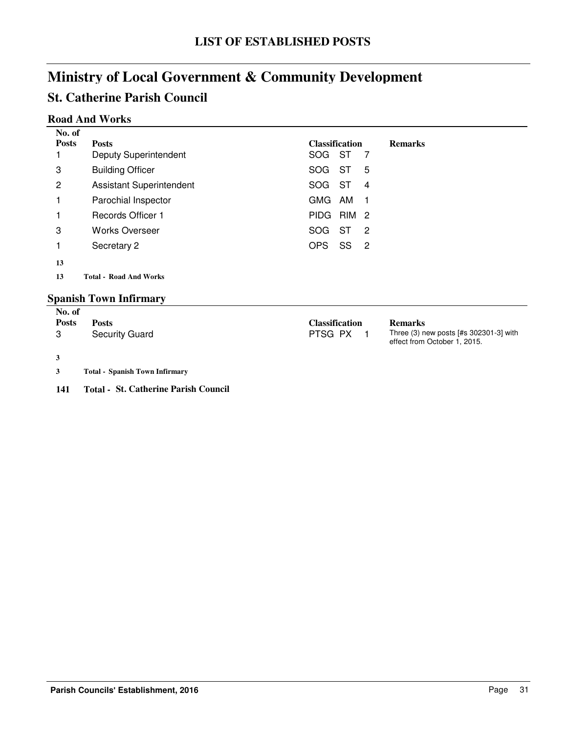# **St. Catherine Parish Council**

### **Road And Works**

| No. of       |                                 |                       |     |     |                |  |
|--------------|---------------------------------|-----------------------|-----|-----|----------------|--|
| <b>Posts</b> | <b>Posts</b>                    | <b>Classification</b> |     |     | <b>Remarks</b> |  |
|              | <b>Deputy Superintendent</b>    | SOG.                  | ST  | -7  |                |  |
| 3            | <b>Building Officer</b>         | <b>SOG</b>            | ST  | 5   |                |  |
| 2            | <b>Assistant Superintendent</b> | <b>SOG</b>            | ST  | 4   |                |  |
| 1            | Parochial Inspector             | GMG                   | AM  | - 1 |                |  |
| 1            | <b>Records Officer 1</b>        | <b>PIDG</b>           | RIM | - 2 |                |  |
| 3            | <b>Works Overseer</b>           | <b>SOG</b>            | ST  | 2   |                |  |
| 1            | Secretary 2                     | <b>OPS</b>            | SS  | -2  |                |  |
| 13           |                                 |                       |     |     |                |  |
| 13           | <b>Total - Road And Works</b>   |                       |     |     |                |  |
|              |                                 |                       |     |     |                |  |

## **Spanish Town Infirmary**

| No. of       |                                             |                |                                                                        |
|--------------|---------------------------------------------|----------------|------------------------------------------------------------------------|
| <b>Posts</b> | <b>Posts</b>                                | Classification | <b>Remarks</b>                                                         |
| 3            | <b>Security Guard</b>                       | PTSG PX        | Three (3) new posts [#s 302301-3] with<br>effect from October 1, 2015. |
| 3            |                                             |                |                                                                        |
| 3            | <b>Total - Spanish Town Infirmary</b>       |                |                                                                        |
| 141          | <b>Total - St. Catherine Parish Council</b> |                |                                                                        |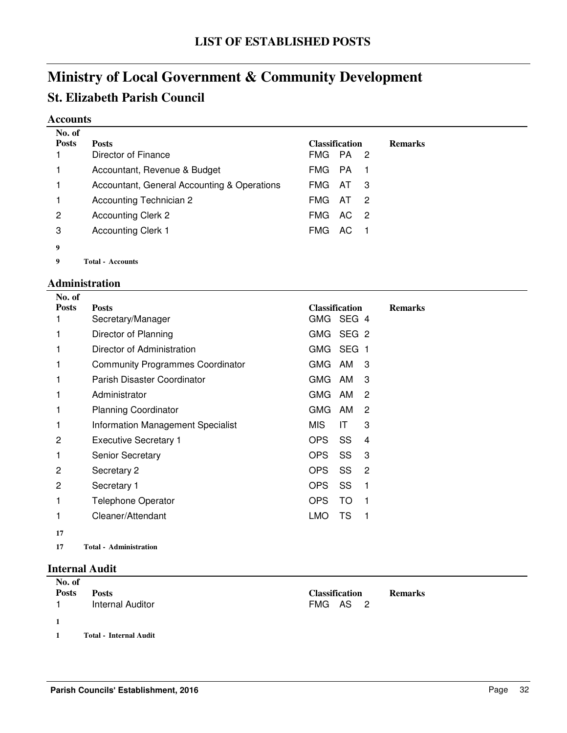# **Ministry of Local Government & Community Development St. Elizabeth Parish Council**

#### **Accounts**

| No. of       |                                             |                       |      |     |                |
|--------------|---------------------------------------------|-----------------------|------|-----|----------------|
| <b>Posts</b> | <b>Posts</b>                                | <b>Classification</b> |      |     | <b>Remarks</b> |
|              | Director of Finance                         | <b>FMG</b>            | - PA | -2  |                |
|              | Accountant, Revenue & Budget                | <b>FMG</b>            | PA   | 1   |                |
|              | Accountant, General Accounting & Operations | <b>FMG</b>            | AT   | 3   |                |
|              | Accounting Technician 2                     | <b>FMG</b>            | AT.  | -2  |                |
| 2            | <b>Accounting Clerk 2</b>                   | <b>FMG</b>            | AC.  | - 2 |                |
| 3            | <b>Accounting Clerk 1</b>                   | <b>FMG</b>            | AC   |     |                |
| 9            |                                             |                       |      |     |                |
| 9            | <b>Total - Accounts</b>                     |                       |      |     |                |

### **Administration**

| No. of            |                                         |                                    |     |                |                |
|-------------------|-----------------------------------------|------------------------------------|-----|----------------|----------------|
| <b>Posts</b><br>1 | <b>Posts</b><br>Secretary/Manager       | <b>Classification</b><br>GMG SEG 4 |     |                | <b>Remarks</b> |
|                   | Director of Planning                    | GMG SEG 2                          |     |                |                |
|                   | Director of Administration              | GMG SEG 1                          |     |                |                |
| 1                 | <b>Community Programmes Coordinator</b> | GMG AM                             |     | 3              |                |
|                   | Parish Disaster Coordinator             | GMG AM                             |     | 3              |                |
|                   | Administrator                           | GMG AM                             |     | 2              |                |
| 1                 | <b>Planning Coordinator</b>             | GMG AM                             |     | 2              |                |
| 1                 | Information Management Specialist       | MIS.                               | ΙT  | 3              |                |
| 2                 | <b>Executive Secretary 1</b>            | OPS.                               | SS  | 4              |                |
| 1                 | <b>Senior Secretary</b>                 | <b>OPS</b>                         | SS  | 3              |                |
| 2                 | Secretary 2                             | OPS                                | SS  | $\overline{c}$ |                |
| 2                 | Secretary 1                             | OPS.                               | SS  | 1              |                |
| 1                 | <b>Telephone Operator</b>               | OPS.                               | TO. | 1              |                |
|                   | Cleaner/Attendant                       | <b>LMO</b>                         | TS  | 1              |                |
| 17                |                                         |                                    |     |                |                |

**17 Administration Total -**

### **Internal Audit**

| No. of<br><b>Posts</b> | <b>Posts</b><br><b>Internal Auditor</b> | <b>Classification</b><br><b>Remarks</b><br>FMG AS 2 |
|------------------------|-----------------------------------------|-----------------------------------------------------|
| $\mathbf{1}$           |                                         |                                                     |
|                        | <b>Total - Internal Audit</b>           |                                                     |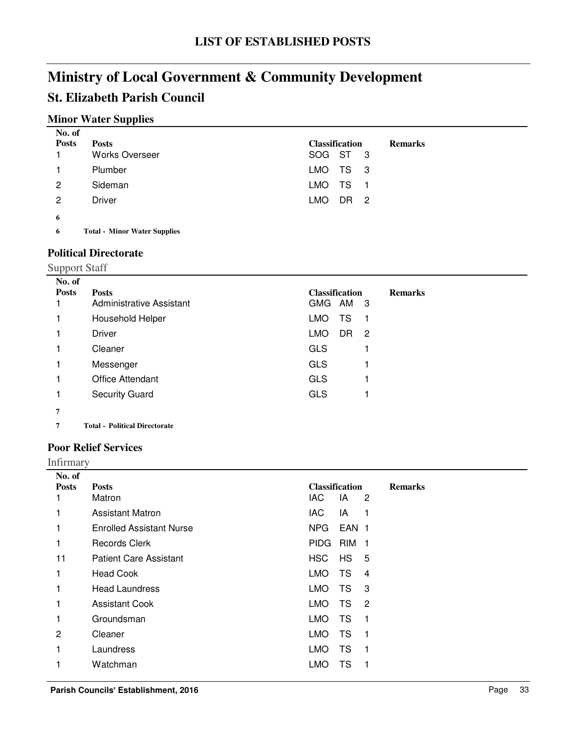# **Ministry of Local Government & Community Development St. Elizabeth Parish Council**

## **Minor Water Supplies**

| No. of       |                       |                       |      |  |                |
|--------------|-----------------------|-----------------------|------|--|----------------|
| <b>Posts</b> | <b>Posts</b>          | <b>Classification</b> |      |  | <b>Remarks</b> |
|              | <b>Works Overseer</b> | SOG ST 3              |      |  |                |
|              | Plumber               | LMO TS 3              |      |  |                |
| 2            | Sideman               | LMO TS 1              |      |  |                |
| 2            | Driver                | LMO                   | DR 2 |  |                |
| 6            |                       |                       |      |  |                |

Total - Minor Water Supplies

### **Political Directorate**

|                        | <b>Support Staff</b>                     |                                                     |  |  |  |  |  |
|------------------------|------------------------------------------|-----------------------------------------------------|--|--|--|--|--|
| No. of<br><b>Posts</b> | <b>Posts</b><br>Administrative Assistant | <b>Classification</b><br><b>Remarks</b><br>GMG AM 3 |  |  |  |  |  |
|                        | Household Helper                         | TS<br><b>LMO</b><br>-1                              |  |  |  |  |  |
|                        | <b>Driver</b>                            | <b>LMO</b><br>DR.<br>$\overline{c}$                 |  |  |  |  |  |
|                        | Cleaner                                  | <b>GLS</b>                                          |  |  |  |  |  |
|                        | Messenger                                | <b>GLS</b>                                          |  |  |  |  |  |
|                        | <b>Office Attendant</b>                  | <b>GLS</b>                                          |  |  |  |  |  |
|                        | <b>Security Guard</b>                    | <b>GLS</b>                                          |  |  |  |  |  |
| 7                      |                                          |                                                     |  |  |  |  |  |
| 7                      | <b>Total - Political Directorate</b>     |                                                     |  |  |  |  |  |

### **Poor Relief Services**

Infirmary

| No. of       |                                 |             |                       |                            |                |
|--------------|---------------------------------|-------------|-----------------------|----------------------------|----------------|
| <b>Posts</b> | <b>Posts</b>                    |             | <b>Classification</b> |                            | <b>Remarks</b> |
|              | Matron                          | <b>IAC</b>  | IA                    | 2                          |                |
|              | <b>Assistant Matron</b>         | <b>IAC</b>  | IA                    | 1                          |                |
|              | <b>Enrolled Assistant Nurse</b> | NPG.        | EAN 1                 |                            |                |
| 1            | Records Clerk                   | <b>PIDG</b> | <b>RIM</b>            | $\mathbf{1}$               |                |
| 11           | <b>Patient Care Assistant</b>   | HSC         | HS                    | 5                          |                |
| 1            | <b>Head Cook</b>                | LMO         | TS                    | $\overline{4}$             |                |
| 1            | <b>Head Laundress</b>           | <b>LMO</b>  | <b>TS</b>             | 3                          |                |
|              | <b>Assistant Cook</b>           | LMO.        | <b>TS</b>             | $\overline{\phantom{a}}^2$ |                |
| 1            | Groundsman                      | <b>LMO</b>  | TS                    | 1                          |                |
| 2            | Cleaner                         | <b>LMO</b>  | TS                    | 1                          |                |
|              | Laundress                       | LMO.        | TS                    | 1                          |                |
|              | Watchman                        | LMO         | TS                    |                            |                |
|              |                                 |             |                       |                            |                |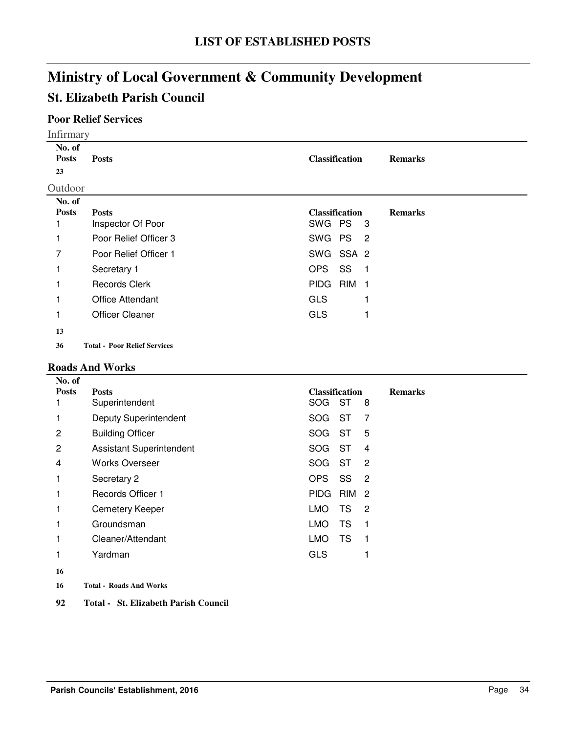# **Ministry of Local Government & Community Development St. Elizabeth Parish Council**

### **Poor Relief Services**

|                                       | <b>Infirmary</b>                                                                                                           |                                                                                                                                         |                |  |  |  |  |
|---------------------------------------|----------------------------------------------------------------------------------------------------------------------------|-----------------------------------------------------------------------------------------------------------------------------------------|----------------|--|--|--|--|
| No. of<br><b>Posts</b><br>23          | <b>Posts</b>                                                                                                               | <b>Classification</b>                                                                                                                   | <b>Remarks</b> |  |  |  |  |
| Outdoor                               |                                                                                                                            |                                                                                                                                         |                |  |  |  |  |
| No. of<br><b>Posts</b><br>1<br>7<br>1 | <b>Posts</b><br>Inspector Of Poor<br>Poor Relief Officer 3<br>Poor Relief Officer 1<br>Secretary 1<br><b>Records Clerk</b> | <b>Classification</b><br>SWG PS<br>-3<br>SWG PS <sub>2</sub><br>SWG SSA 2<br><b>OPS</b><br>SS<br>- 1<br><b>PIDG</b><br>RIM <sub>1</sub> | <b>Remarks</b> |  |  |  |  |
| 1<br>13                               | <b>Office Attendant</b><br><b>Officer Cleaner</b>                                                                          | <b>GLS</b><br><b>GLS</b>                                                                                                                |                |  |  |  |  |
| 36                                    | <b>Total - Poor Relief Services</b>                                                                                        |                                                                                                                                         |                |  |  |  |  |

### **Roads And Works**

| No. of       |                                 |                                    |                |
|--------------|---------------------------------|------------------------------------|----------------|
| <b>Posts</b> | <b>Posts</b>                    | <b>Classification</b>              | <b>Remarks</b> |
|              | Superintendent                  | ST<br>SOG<br>8                     |                |
|              | <b>Deputy Superintendent</b>    | SOG<br>ST<br>7                     |                |
| 2            | <b>Building Officer</b>         | ST<br>5<br><b>SOG</b>              |                |
| 2            | <b>Assistant Superintendent</b> | ST<br><b>SOG</b><br>4              |                |
| 4            | <b>Works Overseer</b>           | <b>SOG</b><br>ST<br>$\overline{2}$ |                |
|              | Secretary 2                     | <b>OPS</b><br>SS<br>$\overline{c}$ |                |
|              | Records Officer 1               | <b>PIDG</b><br>RIM <sub>2</sub>    |                |
| 1            | <b>Cemetery Keeper</b>          | <b>LMO</b><br><b>TS</b><br>2       |                |
|              | Groundsman                      | <b>LMO</b><br><b>TS</b><br>1       |                |
|              | Cleaner/Attendant               | <b>TS</b><br><b>LMO</b><br>1       |                |
| 1            | Yardman                         | <b>GLS</b>                         |                |
| 16           |                                 |                                    |                |
|              |                                 |                                    |                |

- **16 Roads And Works Total -**
- **92 Total - St. Elizabeth Parish Council**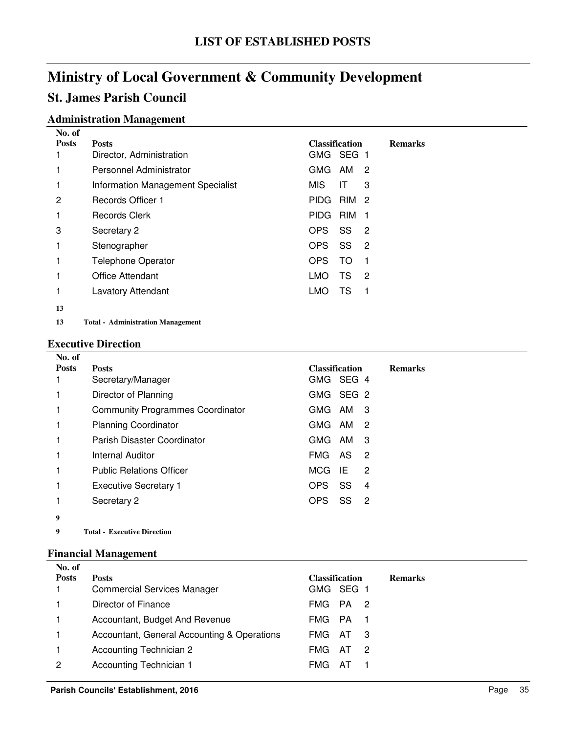# **St. James Parish Council**

#### **Administration Management No. of**

| 180. OI<br><b>Posts</b> | <b>Posts</b>                      | <b>Classification</b> |           |                            | <b>Remarks</b> |
|-------------------------|-----------------------------------|-----------------------|-----------|----------------------------|----------------|
|                         | Director, Administration          | GMG SEG 1             |           |                            |                |
|                         | Personnel Administrator           | GMG AM                |           | $\overline{2}$             |                |
|                         | Information Management Specialist | <b>MIS</b>            | ΙT        | 3                          |                |
| 2                       | <b>Records Officer 1</b>          | PIDG RIM 2            |           |                            |                |
|                         | Records Clerk                     | PIDG RIM 1            |           |                            |                |
| 3                       | Secretary 2                       | OPS.                  | SS        | $\overline{\phantom{0}}^2$ |                |
| 1                       | Stenographer                      | OPS.                  | SS        | $\overline{2}$             |                |
| 1                       | <b>Telephone Operator</b>         | OPS                   | <b>TO</b> | 1                          |                |
|                         | <b>Office Attendant</b>           | <b>LMO</b>            | TS        | 2                          |                |
|                         | <b>Lavatory Attendant</b>         | <b>LMO</b>            | TS        | 1                          |                |
| 13                      |                                   |                       |           |                            |                |
|                         |                                   |                       |           |                            |                |

13 Total - Administration Management

#### **Executive Direction**

| No. of       |                                         |                                          |                |
|--------------|-----------------------------------------|------------------------------------------|----------------|
| <b>Posts</b> | <b>Posts</b>                            | <b>Classification</b>                    | <b>Remarks</b> |
|              | Secretary/Manager                       | GMG SEG 4                                |                |
|              | Director of Planning                    | GMG SEG 2                                |                |
|              | <b>Community Programmes Coordinator</b> | GMG AM<br>- 3                            |                |
|              | <b>Planning Coordinator</b>             | GMG AM<br>-2                             |                |
|              | Parish Disaster Coordinator             | GMG AM<br>3                              |                |
|              | Internal Auditor                        | FMG AS<br>$\overline{\phantom{0}}^2$     |                |
|              | <b>Public Relations Officer</b>         | <b>MCG</b><br>-IE<br>2                   |                |
|              | <b>Executive Secretary 1</b>            | SS<br>OPS.<br>4                          |                |
|              | Secretary 2                             | SS<br>OPS.<br>$\overline{\phantom{0}}^2$ |                |
| 9            |                                         |                                          |                |
|              |                                         |                                          |                |

**9 Executive Direction Total -**

### **Financial Management**

| No. of       |                                             |                                      |                |
|--------------|---------------------------------------------|--------------------------------------|----------------|
| <b>Posts</b> | <b>Posts</b>                                | <b>Classification</b>                | <b>Remarks</b> |
|              | <b>Commercial Services Manager</b>          | GMG SEG 1                            |                |
|              | Director of Finance                         | FMG PA 2                             |                |
|              | Accountant, Budget And Revenue              | FMG PA                               |                |
|              | Accountant, General Accounting & Operations | FMG AT<br>- 3                        |                |
|              | <b>Accounting Technician 2</b>              | <b>FMG</b><br>- AT<br>$\overline{2}$ |                |
| 2            | Accounting Technician 1                     | FMG.<br>– Ai                         |                |
|              |                                             |                                      |                |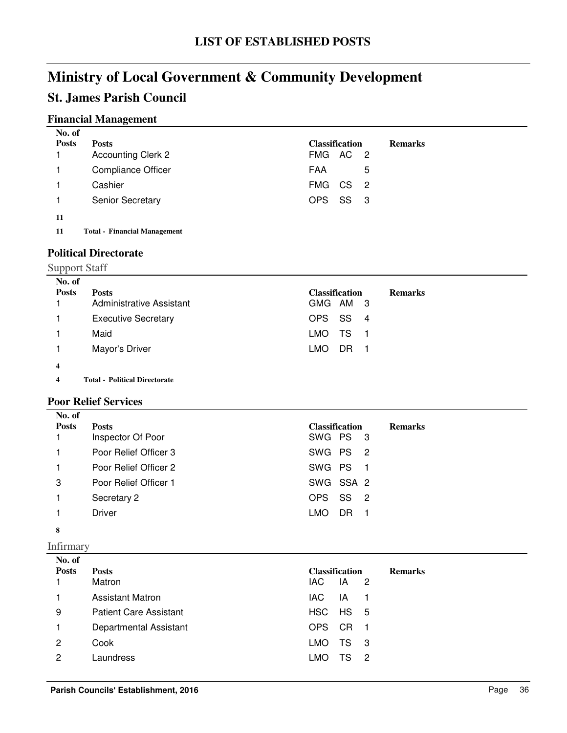# **St. James Parish Council**

## **Financial Management**

| No. of       |                           |                       |   |                |
|--------------|---------------------------|-----------------------|---|----------------|
| <b>Posts</b> | <b>Posts</b>              | <b>Classification</b> |   | <b>Remarks</b> |
|              | <b>Accounting Clerk 2</b> | FMG AC 2              |   |                |
|              | <b>Compliance Officer</b> | FAA                   | 5 |                |
|              | Cashier                   | FMG CS 2              |   |                |
|              | <b>Senior Secretary</b>   | OPS SS 3              |   |                |
| 11           |                           |                       |   |                |

**11 Financial Management Total -**

### **Political Directorate**

| <b>Support Staff</b>    |                                          |                                                     |
|-------------------------|------------------------------------------|-----------------------------------------------------|
| No. of<br><b>Posts</b>  | <b>Posts</b><br>Administrative Assistant | <b>Classification</b><br><b>Remarks</b><br>GMG AM 3 |
|                         | <b>Executive Secretary</b>               | SS.<br>OPS<br>$\overline{\phantom{a}}$              |
|                         | Maid                                     | TS<br>LMO.<br>- 1                                   |
|                         | Mayor's Driver                           | DR<br><b>LMO</b>                                    |
| $\overline{\mathbf{4}}$ |                                          |                                                     |
| 4                       | <b>Total - Political Directorate</b>     |                                                     |

### **Poor Relief Services**

| No. of       |                       |                                         |
|--------------|-----------------------|-----------------------------------------|
| <b>Posts</b> | <b>Posts</b>          | <b>Classification</b><br><b>Remarks</b> |
|              | Inspector Of Poor     | SWG PS 3                                |
|              | Poor Relief Officer 3 | SWG PS<br>$\overline{\phantom{0}}^2$    |
|              | Poor Relief Officer 2 | SWG PS<br>$\blacksquare$ 1              |
| 3            | Poor Relief Officer 1 | SWG SSA 2                               |
|              | Secretary 2           | SS<br>OPS<br>$\overline{2}$             |
|              | Driver                | <b>LMO</b><br>DR                        |
| 8            |                       |                                         |

Infirmary

| No. of<br><b>Posts</b> | <b>Posts</b><br>Matron        | <b>Classification</b><br>IAC.<br>IA | 2   | <b>Remarks</b> |
|------------------------|-------------------------------|-------------------------------------|-----|----------------|
|                        | <b>Assistant Matron</b>       | IAC.<br>IA                          |     |                |
| 9                      | <b>Patient Care Assistant</b> | HSC HS 5                            |     |                |
|                        | Departmental Assistant        | CR<br><b>OPS</b>                    |     |                |
| 2                      | Cook                          | TS<br>LMO.                          | - 3 |                |
| 2                      | Laundress                     | TS<br><b>LMO</b>                    | - 2 |                |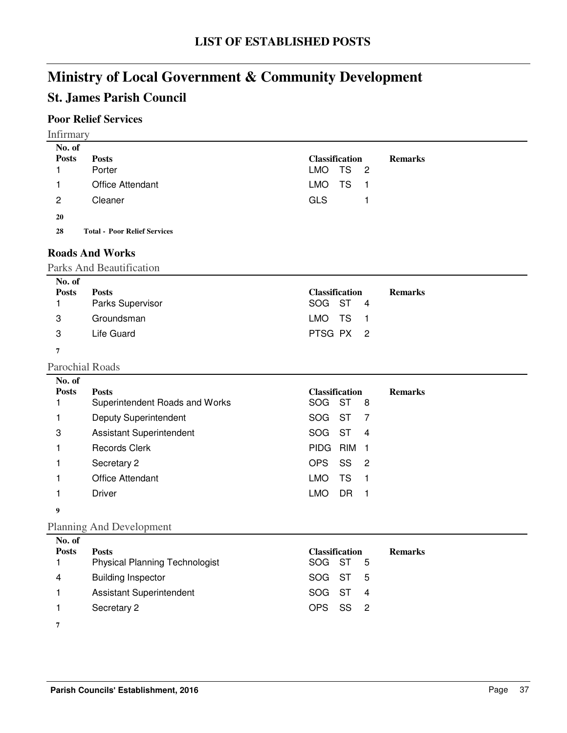# **St. James Parish Council**

# **Poor Relief Services**

| <b>Infirmary</b><br>No. of |                                     |                        |                |
|----------------------------|-------------------------------------|------------------------|----------------|
| <b>Posts</b>               | <b>Posts</b>                        | <b>Classification</b>  | <b>Remarks</b> |
|                            | Porter                              | TS <sub>2</sub><br>LMO |                |
|                            | <b>Office Attendant</b>             | TS<br>LMO<br>- 1       |                |
| $\overline{2}$             | Cleaner                             | <b>GLS</b>             |                |
| 20                         |                                     |                        |                |
| 28                         | <b>Total - Poor Relief Services</b> |                        |                |

### **Roads And Works**

#### Parks And Beautification

| No. of       |                         |                       |                |
|--------------|-------------------------|-----------------------|----------------|
| <b>Posts</b> | <b>Posts</b>            | <b>Classification</b> | <b>Remarks</b> |
|              | <b>Parks Supervisor</b> | SOG ST 4              |                |
| 3            | Groundsman              | LMO TS 1              |                |
| 3            | Life Guard              | PTSG PX 2             |                |
| ,            |                         |                       |                |

#### Parochial Roads **No. of**

| 11V. VI      |                                 |                       |    |     |                |
|--------------|---------------------------------|-----------------------|----|-----|----------------|
| <b>Posts</b> | <b>Posts</b>                    | <b>Classification</b> |    |     | <b>Remarks</b> |
|              | Superintendent Roads and Works  | SOG ST                |    | 8   |                |
|              | <b>Deputy Superintendent</b>    | SOG                   | ST |     |                |
| 3            | <b>Assistant Superintendent</b> | SOG.                  | ST | 4   |                |
|              | <b>Records Clerk</b>            | PIDG RIM              |    |     |                |
|              | Secretary 2                     | OPS.                  | SS | - 2 |                |
|              | <b>Office Attendant</b>         | LMO                   | TS |     |                |
|              | Driver                          | LMO                   |    |     |                |
|              |                                 |                       |    |     |                |

# **9**

### Planning And Development

| No. of<br><b>Posts</b> | <b>Posts</b>                          | <b>Classification</b> | <b>Remarks</b> |
|------------------------|---------------------------------------|-----------------------|----------------|
|                        | <b>Physical Planning Technologist</b> | SOG ST 5              |                |
| 4                      | <b>Building Inspector</b>             | SOG ST 5              |                |
|                        | <b>Assistant Superintendent</b>       | SOG ST 4              |                |
|                        | Secretary 2                           | OPS SS 2              |                |
|                        |                                       |                       |                |

**7**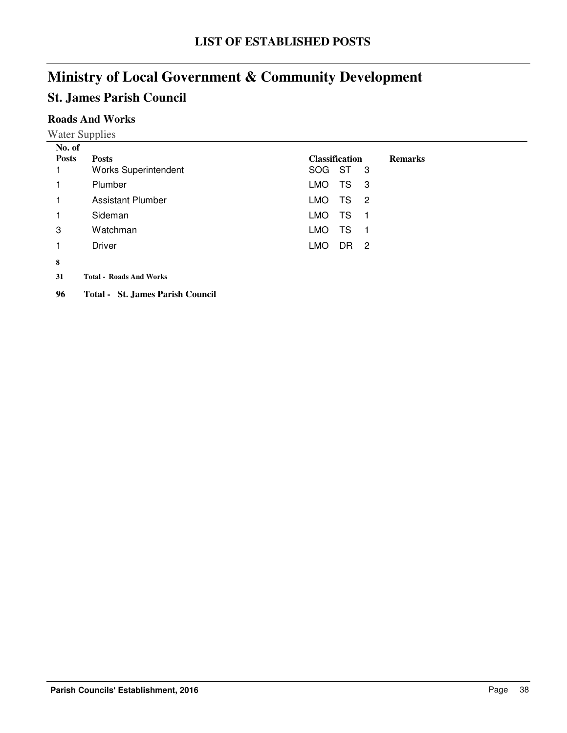# **St. James Parish Council**

## **Roads And Works**

Water Supplies

| No. of       |                                         |                                                 |
|--------------|-----------------------------------------|-------------------------------------------------|
| <b>Posts</b> | <b>Posts</b>                            | <b>Classification</b><br><b>Remarks</b>         |
|              | <b>Works Superintendent</b>             | SOG ST<br>$_{3}$                                |
| 1            | Plumber                                 | TS<br>LMO.<br>- 3                               |
| 1            | <b>Assistant Plumber</b>                | <b>LMO</b><br>TS<br>$\overline{2}$              |
| 1            | Sideman                                 | <b>LMO</b><br>TS<br>-1                          |
| 3            | Watchman                                | TS<br><b>LMO</b><br>-1                          |
| 1            | Driver                                  | <b>LMO</b><br>DR.<br>$\overline{\phantom{0}}^2$ |
| 8            |                                         |                                                 |
| 31           | <b>Total - Roads And Works</b>          |                                                 |
| 96           | <b>Total - St. James Parish Council</b> |                                                 |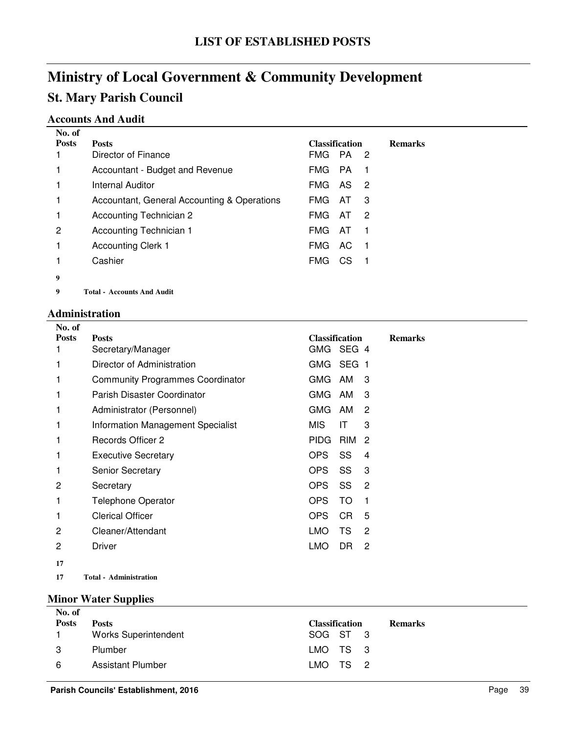# **Ministry of Local Government & Community Development St. Mary Parish Council**

## **Accounts And Audit**

| No. of       |                                             |                       |     |                            |                |
|--------------|---------------------------------------------|-----------------------|-----|----------------------------|----------------|
| <b>Posts</b> | <b>Posts</b>                                | <b>Classification</b> |     |                            | <b>Remarks</b> |
|              | Director of Finance                         | FMG PA                |     | $\overline{\phantom{0}}^2$ |                |
|              | Accountant - Budget and Revenue             | FMG.                  | PA. | - 1                        |                |
| 1            | <b>Internal Auditor</b>                     | FMG.                  | AS. | $\overline{\phantom{0}}^2$ |                |
| 1            | Accountant, General Accounting & Operations | <b>FMG</b>            | AT  | 3                          |                |
| 1            | Accounting Technician 2                     | FMG.                  | AT. | $\overline{\phantom{0}}^2$ |                |
| 2            | <b>Accounting Technician 1</b>              | <b>FMG</b>            | AT  | -1                         |                |
| 1            | <b>Accounting Clerk 1</b>                   | FMG.                  | AC. | - 1                        |                |
|              | Cashier                                     | FMG.                  | CS. |                            |                |
| 9            |                                             |                       |     |                            |                |
| 9            | <b>Total - Accounts And Audit</b>           |                       |     |                            |                |

**Administration**

| No. of       |                                         |                                      |                |
|--------------|-----------------------------------------|--------------------------------------|----------------|
| <b>Posts</b> | <b>Posts</b>                            | <b>Classification</b>                | <b>Remarks</b> |
|              | Secretary/Manager                       | GMG SEG 4                            |                |
|              | Director of Administration              | GMG SEG 1                            |                |
|              | <b>Community Programmes Coordinator</b> | <b>GMG</b><br>AM<br>-3               |                |
|              | Parish Disaster Coordinator             | <b>GMG</b><br>AM<br>3                |                |
|              | Administrator (Personnel)               | <b>GMG</b><br>AM<br>$\overline{2}$   |                |
|              | Information Management Specialist       | <b>MIS</b><br>3<br>IT                |                |
|              | Records Officer 2                       | <b>PIDG</b><br>RIM<br>$\overline{2}$ |                |
|              | <b>Executive Secretary</b>              | <b>OPS</b><br>SS<br>4                |                |
|              | <b>Senior Secretary</b>                 | <b>OPS</b><br>SS<br>3                |                |
| 2            | Secretary                               | <b>OPS</b><br>SS<br>$\overline{2}$   |                |
|              | <b>Telephone Operator</b>               | <b>OPS</b><br>TO<br>1                |                |
|              | <b>Clerical Officer</b>                 | <b>OPS</b><br>CR<br>5                |                |
| 2            | Cleaner/Attendant                       | TS<br><b>LMO</b><br>$\overline{2}$   |                |
| 2            | <b>Driver</b>                           | <b>LMO</b><br>DR<br>$\overline{2}$   |                |
| 17           |                                         |                                      |                |
| 17           | <b>Total - Administration</b>           |                                      |                |

#### **Minor Water Supplies**

| No. of       |                             |                       |                |
|--------------|-----------------------------|-----------------------|----------------|
| <b>Posts</b> | <b>Posts</b>                | <b>Classification</b> | <b>Remarks</b> |
|              | <b>Works Superintendent</b> | SOG ST 3              |                |
| 3            | Plumber                     | LMO TS 3              |                |
| -6           | Assistant Plumber           | LMO TS 2              |                |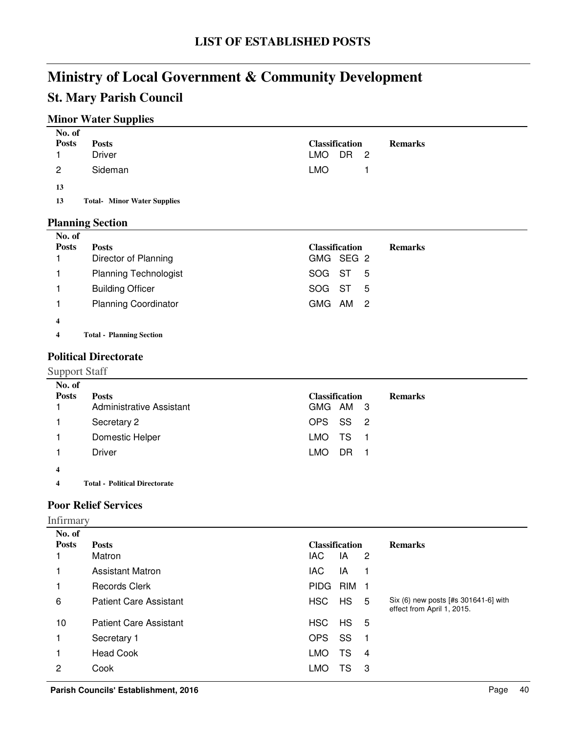# **St. Mary Parish Council**

## **Minor Water Supplies**

| No. of       |                                    |                             |                |
|--------------|------------------------------------|-----------------------------|----------------|
| <b>Posts</b> | <b>Posts</b>                       | <b>Classification</b>       | <b>Remarks</b> |
|              | <b>Driver</b>                      | LMO<br>DR<br>$\overline{2}$ |                |
| 2            | Sideman                            | <b>LMO</b>                  |                |
| 13           |                                    |                             |                |
| 13           | <b>Total- Minor Water Supplies</b> |                             |                |
|              | <b>Planning Section</b>            |                             |                |
| No. of       |                                    |                             |                |
| <b>Posts</b> | <b>Posts</b>                       | <b>Classification</b>       | <b>Remarks</b> |
|              | Director of Planning               | GMG SEG 2                   |                |
|              | <b>Planning Technologist</b>       | <b>SOG</b><br>ST<br>5       |                |

**4**

**4 Planning Section Total -**

### **Political Directorate**

Support Staff

| No. of<br><b>Posts</b><br>1 | <b>Posts</b><br>Administrative Assistant | <b>Classification</b><br>GMG AM 3 | <b>Remarks</b> |
|-----------------------------|------------------------------------------|-----------------------------------|----------------|
|                             | Secretary 2                              | OPS SS 2                          |                |
|                             | Domestic Helper                          | LMO TS 1                          |                |
|                             | Driver                                   | LMO.<br>DR.                       |                |
| 4                           |                                          |                                   |                |

1 Building Officer SOG ST 5 1 Planning Coordinator COMG AM 2

**4 Political Directorate Total -**

### **Poor Relief Services**

Infirmary

| No. of       |                               |             |                       |                |                                                                    |
|--------------|-------------------------------|-------------|-----------------------|----------------|--------------------------------------------------------------------|
| <b>Posts</b> | <b>Posts</b>                  |             | <b>Classification</b> |                | <b>Remarks</b>                                                     |
|              | Matron                        | <b>IAC</b>  | IA                    | $\overline{2}$ |                                                                    |
|              | <b>Assistant Matron</b>       | <b>IAC</b>  | IA                    |                |                                                                    |
|              | <b>Records Clerk</b>          | <b>PIDG</b> | RIM                   | - 1            |                                                                    |
| 6            | <b>Patient Care Assistant</b> | HSC         | <b>HS</b>             | 5              | Six (6) new posts [#s 301641-6] with<br>effect from April 1, 2015. |
| 10           | <b>Patient Care Assistant</b> | HSC         | $HS$ 5                |                |                                                                    |
|              | Secretary 1                   | <b>OPS</b>  | SS                    | - 1            |                                                                    |
|              | <b>Head Cook</b>              | <b>LMO</b>  | TS                    | 4              |                                                                    |
| 2            | Cook                          | LMO         | TS                    | 3              |                                                                    |
|              |                               |             |                       |                |                                                                    |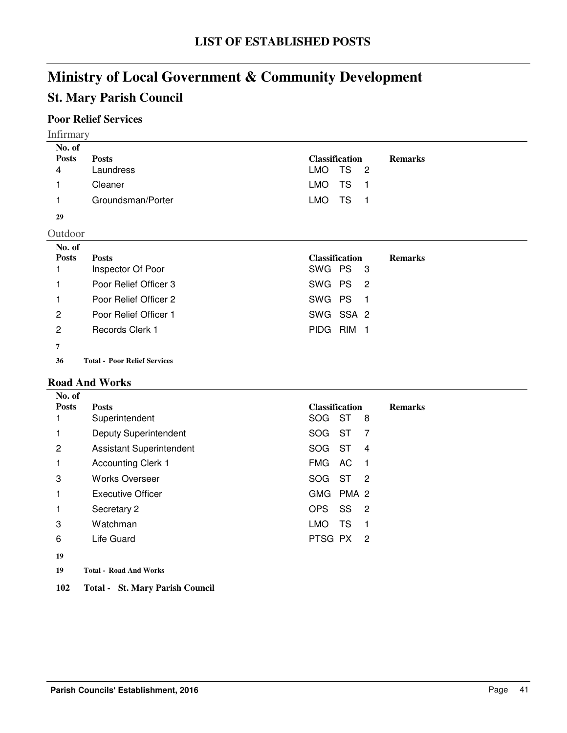# **St. Mary Parish Council**

# **Poor Relief Services**

| <b>Infirmary</b>                                         |                                                                                                                                 |                                                                                                                                                      |
|----------------------------------------------------------|---------------------------------------------------------------------------------------------------------------------------------|------------------------------------------------------------------------------------------------------------------------------------------------------|
| No. of<br><b>Posts</b><br>4                              | <b>Posts</b><br>Laundress<br>Cleaner                                                                                            | <b>Classification</b><br><b>Remarks</b><br>TS<br>LMO<br>- 2<br><b>LMO</b><br><b>TS</b><br>- 1                                                        |
| 29<br>Outdoor                                            | Groundsman/Porter                                                                                                               | <b>LMO</b><br>TS<br>- 1                                                                                                                              |
| No. of<br><b>Posts</b><br>$\mathbf{2}$<br>$\overline{c}$ | <b>Posts</b><br>Inspector Of Poor<br>Poor Relief Officer 3<br>Poor Relief Officer 2<br>Poor Relief Officer 1<br>Records Clerk 1 | <b>Classification</b><br><b>Remarks</b><br>SWG PS<br>-3<br>SWG PS<br>$\overline{2}$<br>SWG PS<br>- 1<br>SWG SSA 2<br><b>PIDG</b><br>RIM <sub>1</sub> |
| 7<br>36                                                  | <b>Total - Poor Relief Services</b>                                                                                             |                                                                                                                                                      |

#### **Road And Works**

| No. of       |                                 |                                                |                |
|--------------|---------------------------------|------------------------------------------------|----------------|
| <b>Posts</b> | <b>Posts</b>                    | <b>Classification</b>                          | <b>Remarks</b> |
|              | Superintendent                  | SOG ST<br>8                                    |                |
|              | <b>Deputy Superintendent</b>    | SOG<br><b>ST</b><br>-7                         |                |
| 2            | <b>Assistant Superintendent</b> | SOG<br><b>ST</b><br>$\overline{4}$             |                |
|              | <b>Accounting Clerk 1</b>       | <b>FMG</b><br>AC.<br>-1                        |                |
| 3            | <b>Works Overseer</b>           | SOG ST<br>$\overline{2}$                       |                |
|              | <b>Executive Officer</b>        | <b>GMG</b><br>PMA 2                            |                |
|              | Secretary 2                     | <b>OPS</b><br>SS<br>$\overline{\phantom{a}}^2$ |                |
| 3            | Watchman                        | TS<br>LMO.<br>-1                               |                |
| 6            | Life Guard                      | PTSG PX<br>$\overline{2}$                      |                |
| 19           |                                 |                                                |                |

- **19 Road And Works Total -**
- **102 Total - St. Mary Parish Council**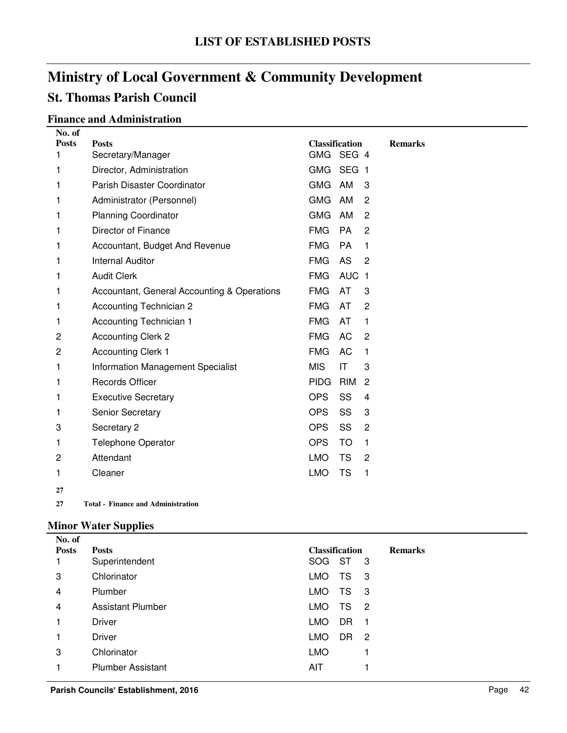# **St. Thomas Parish Council**

## **Finance and Administration**

| No. of       |                                             |                       |                  |     |                |
|--------------|---------------------------------------------|-----------------------|------------------|-----|----------------|
| <b>Posts</b> | <b>Posts</b>                                | <b>Classification</b> |                  |     | <b>Remarks</b> |
| 1            | Secretary/Manager                           | <b>GMG</b>            | SEG 4            |     |                |
| 1            | Director, Administration                    | <b>GMG</b>            | SEG <sub>1</sub> |     |                |
| 1            | Parish Disaster Coordinator                 | <b>GMG</b>            | AM               | 3   |                |
| 1            | Administrator (Personnel)                   | <b>GMG</b>            | AM               | 2   |                |
| 1            | <b>Planning Coordinator</b>                 | <b>GMG</b>            | AM               | 2   |                |
| 1            | Director of Finance                         | <b>FMG</b>            | <b>PA</b>        | 2   |                |
| 1            | Accountant, Budget And Revenue              | <b>FMG</b>            | <b>PA</b>        | 1   |                |
| 1            | <b>Internal Auditor</b>                     | <b>FMG</b>            | AS               | 2   |                |
| 1            | <b>Audit Clerk</b>                          | <b>FMG</b>            | <b>AUC</b>       | - 1 |                |
| 1            | Accountant, General Accounting & Operations | <b>FMG</b>            | AT               | 3   |                |
| 1            | <b>Accounting Technician 2</b>              | <b>FMG</b>            | AT               | 2   |                |
| 1            | <b>Accounting Technician 1</b>              | <b>FMG</b>            | AT               | 1   |                |
| 2            | <b>Accounting Clerk 2</b>                   | <b>FMG</b>            | AC               | 2   |                |
| 2            | <b>Accounting Clerk 1</b>                   | <b>FMG</b>            | AC               | 1   |                |
| 1            | <b>Information Management Specialist</b>    | <b>MIS</b>            | IT               | 3   |                |
| 1            | Records Officer                             | <b>PIDG</b>           | <b>RIM</b>       | 2   |                |
| 1            | <b>Executive Secretary</b>                  | <b>OPS</b>            | SS               | 4   |                |
| 1            | <b>Senior Secretary</b>                     | <b>OPS</b>            | SS               | 3   |                |
| 3            | Secretary 2                                 | <b>OPS</b>            | SS               | 2   |                |
| 1            | <b>Telephone Operator</b>                   | <b>OPS</b>            | TO               | 1   |                |
| 2            | Attendant                                   | <b>LMO</b>            | TS               | 2   |                |
| 1            | Cleaner                                     | <b>LMO</b>            | <b>TS</b>        | 1   |                |
| 27           |                                             |                       |                  |     |                |

**27 Finance and Administration Total -**

## **Minor Water Supplies**

| No. of       |                          |                                                |                |
|--------------|--------------------------|------------------------------------------------|----------------|
| <b>Posts</b> | <b>Posts</b>             | <b>Classification</b>                          | <b>Remarks</b> |
|              | Superintendent           | SOG ST<br>-3                                   |                |
| 3            | Chlorinator              | TS<br><b>LMO</b><br>- 3                        |                |
| 4            | Plumber                  | <b>LMO</b><br>TS<br>- 3                        |                |
| 4            | <b>Assistant Plumber</b> | <b>LMO</b><br>TS<br>$\overline{\phantom{a}}^2$ |                |
| 1            | <b>Driver</b>            | DR<br>LMO.<br>-1                               |                |
|              | <b>Driver</b>            | <b>LMO</b><br><b>DR</b><br>-2                  |                |
| 3            | Chlorinator              | <b>LMO</b>                                     |                |
|              | <b>Plumber Assistant</b> | AIT                                            |                |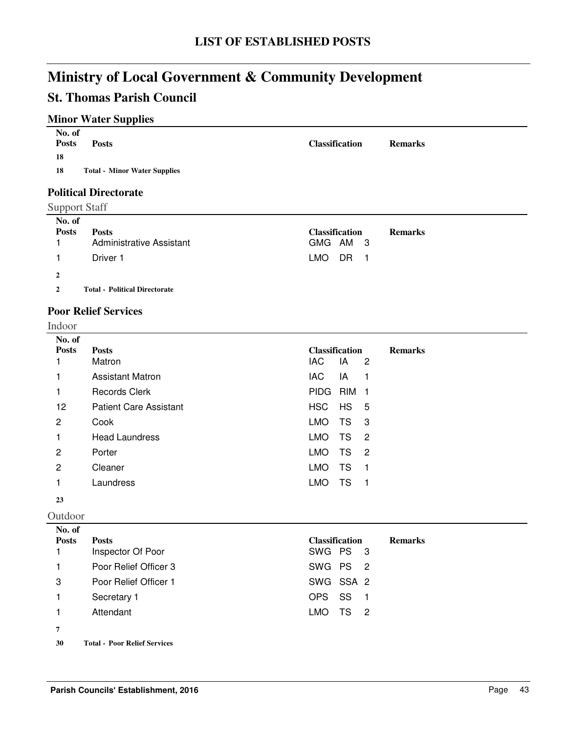# **St. Thomas Parish Council**

# **Minor Water Supplies**

| No. of<br><b>Posts</b><br><b>Posts</b><br>18 | <b>Classification</b> | <b>Remarks</b> |
|----------------------------------------------|-----------------------|----------------|
| <b>Total - Minor Water Supplies</b><br>18    |                       |                |
| <b>Political Directorate</b>                 |                       |                |
| <b>Support Staff</b>                         |                       |                |
| No. of                                       |                       |                |

| No. of<br><b>Posts</b> | <b>Posts</b><br>Administrative Assistant | <b>Classification</b><br><b>Remarks</b><br>GMG AM 3 |
|------------------------|------------------------------------------|-----------------------------------------------------|
|                        | Driver 1                                 | LMO<br>DR 1                                         |
| $\mathbf{2}$           |                                          |                                                     |
| $\mathbf{2}$           | <b>Total - Political Directorate</b>     |                                                     |

### **Poor Relief Services**

Indoor

| No. of       |                               |                       |           |                            |                |
|--------------|-------------------------------|-----------------------|-----------|----------------------------|----------------|
| <b>Posts</b> | <b>Posts</b>                  | <b>Classification</b> |           |                            | <b>Remarks</b> |
|              | Matron                        | IAC                   | IA        | $\overline{c}$             |                |
|              | <b>Assistant Matron</b>       | IAC                   | IA        | 1                          |                |
|              | <b>Records Clerk</b>          | <b>PIDG</b>           | RIM       | 1                          |                |
| 12           | <b>Patient Care Assistant</b> | <b>HSC</b>            | HS 5      |                            |                |
| 2            | Cook                          | <b>LMO</b>            | <b>TS</b> | $\overline{\phantom{a}}$ 3 |                |
| 1            | <b>Head Laundress</b>         | <b>LMO</b>            | TS        | $\overline{2}$             |                |
| 2            | Porter                        | <b>LMO</b>            | TS        | $\overline{2}$             |                |
| 2            | Cleaner                       | <b>LMO</b>            | TS        | - 1                        |                |
|              | Laundress                     | <b>LMO</b>            | TS        | $\blacksquare$             |                |
| 23           |                               |                       |           |                            |                |
| Outdoor      |                               |                       |           |                            |                |

| No. of       |                                     |                                         |
|--------------|-------------------------------------|-----------------------------------------|
| <b>Posts</b> | <b>Posts</b>                        | <b>Classification</b><br><b>Remarks</b> |
|              | Inspector Of Poor                   | SWG PS 3                                |
|              | Poor Relief Officer 3               | SWG PS <sub>2</sub>                     |
| 3            | Poor Relief Officer 1               | SWG SSA 2                               |
|              | Secretary 1                         | SS<br>OPS.                              |
|              | Attendant                           | LMO<br>TS<br>$\overline{\phantom{0}}^2$ |
| 7            |                                     |                                         |
| 30           | <b>Total - Poor Relief Services</b> |                                         |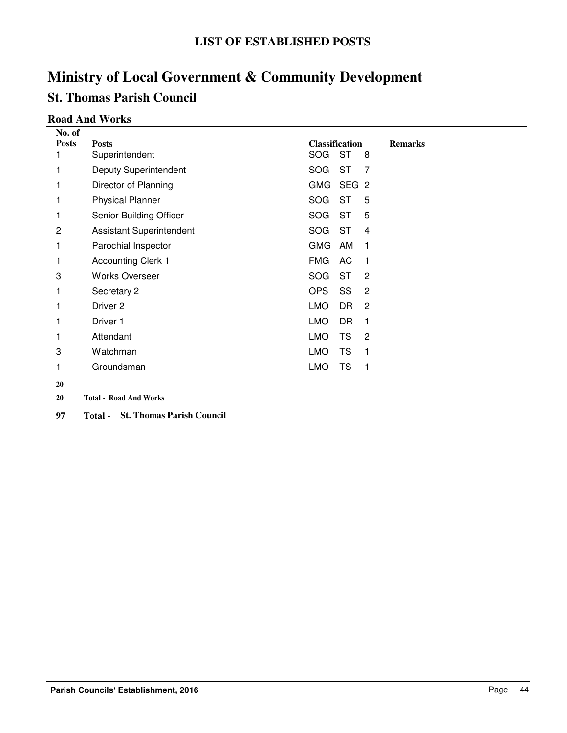# **St. Thomas Parish Council**

### **Road And Works**

| No. of       |                                 |            |                       |                |                |
|--------------|---------------------------------|------------|-----------------------|----------------|----------------|
| <b>Posts</b> | <b>Posts</b>                    |            | <b>Classification</b> |                | <b>Remarks</b> |
| 1            | Superintendent                  | SOG        | <b>ST</b>             | 8              |                |
| 1            | <b>Deputy Superintendent</b>    | <b>SOG</b> | <b>ST</b>             | 7              |                |
| 1            | Director of Planning            | <b>GMG</b> | SEG <sub>2</sub>      |                |                |
| 1            | <b>Physical Planner</b>         | <b>SOG</b> | <b>ST</b>             | 5              |                |
| 1            | Senior Building Officer         | SOG        | <b>ST</b>             | 5              |                |
| 2            | <b>Assistant Superintendent</b> | <b>SOG</b> | <b>ST</b>             | 4              |                |
| 1            | Parochial Inspector             | <b>GMG</b> | AM                    | 1              |                |
| 1            | <b>Accounting Clerk 1</b>       | <b>FMG</b> | AC                    | 1              |                |
| 3            | <b>Works Overseer</b>           | <b>SOG</b> | <b>ST</b>             | $\overline{c}$ |                |
| 1            | Secretary 2                     | <b>OPS</b> | SS                    | 2              |                |
| 1            | Driver 2                        | <b>LMO</b> | DR                    | 2              |                |
| 1            | Driver 1                        | <b>LMO</b> | DR                    | 1              |                |
| 1            | Attendant                       | <b>LMO</b> | <b>TS</b>             | 2              |                |
| 3            | Watchman                        | <b>LMO</b> | TS                    | 1              |                |
| 1            | Groundsman                      | <b>LMO</b> | <b>TS</b>             | 1              |                |
| 20           |                                 |            |                       |                |                |
| 20           | <b>Total - Road And Works</b>   |            |                       |                |                |

**97 Total - St. Thomas Parish Council**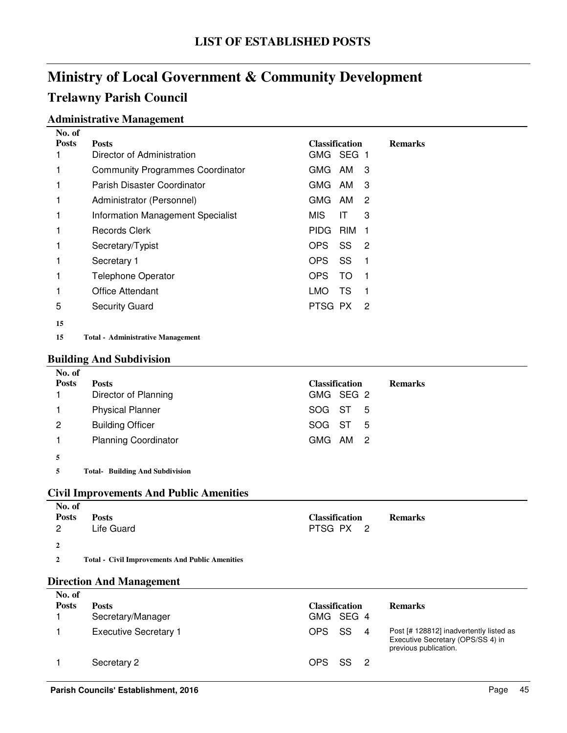# **Ministry of Local Government & Community Development Trelawny Parish Council**

### **Administrative Management**

| No. of       |                                         |                       |                |                |
|--------------|-----------------------------------------|-----------------------|----------------|----------------|
| <b>Posts</b> | <b>Posts</b>                            | <b>Classification</b> |                | <b>Remarks</b> |
|              | Director of Administration              | GMG SEG 1             |                |                |
|              | <b>Community Programmes Coordinator</b> | GMG<br>AM             | 3              |                |
|              | Parish Disaster Coordinator             | GMG AM                | 3              |                |
|              | Administrator (Personnel)               | GMG AM                | 2              |                |
| 1            | Information Management Specialist       | MIS.<br>IT            | 3              |                |
|              | Records Clerk                           | PIDG RIM              | 1              |                |
|              | Secretary/Typist                        | OPS.<br>SS            | $\overline{2}$ |                |
|              | Secretary 1                             | OPS.<br>SS            |                |                |
|              | <b>Telephone Operator</b>               | OPS<br>TO             |                |                |
|              | Office Attendant                        | LMO<br>TS             |                |                |
| 5            | <b>Security Guard</b>                   | PTSG PX               | 2              |                |
| 15           |                                         |                       |                |                |

**15 Administrative Management Total -**

#### **Building And Subdivision**

| No. of       |                             |                       |                |
|--------------|-----------------------------|-----------------------|----------------|
| <b>Posts</b> | <b>Posts</b>                | <b>Classification</b> | <b>Remarks</b> |
|              | Director of Planning        | GMG SEG 2             |                |
|              | <b>Physical Planner</b>     | SOG ST 5              |                |
| 2            | <b>Building Officer</b>     | SOG ST 5              |                |
|              | <b>Planning Coordinator</b> | GMG AM 2              |                |
|              |                             |                       |                |

**5 Building And Subdivision Total-**

#### **Civil Improvements And Public Amenities**

| No. of         |                                                        |                       |                |
|----------------|--------------------------------------------------------|-----------------------|----------------|
| <b>Posts</b>   | <b>Posts</b>                                           | <b>Classification</b> | <b>Remarks</b> |
| $\overline{2}$ | Life Guard                                             | PTSG PX <sub>2</sub>  |                |
| $\overline{2}$ |                                                        |                       |                |
|                |                                                        |                       |                |
| $\overline{2}$ | <b>Total - Civil Improvements And Public Amenities</b> |                       |                |

### **Direction And Management**

| No. of<br><b>Posts</b> | <b>Posts</b><br>Secretary/Manager | <b>Classification</b><br>GMG SEG 4 | <b>Remarks</b>                                                                                        |
|------------------------|-----------------------------------|------------------------------------|-------------------------------------------------------------------------------------------------------|
|                        | <b>Executive Secretary 1</b>      | -SS<br>OPS.<br>$\overline{4}$      | Post [# 128812] inadvertently listed as<br>Executive Secretary (OPS/SS 4) in<br>previous publication. |
|                        | Secretary 2                       | SS S<br>OPS.                       |                                                                                                       |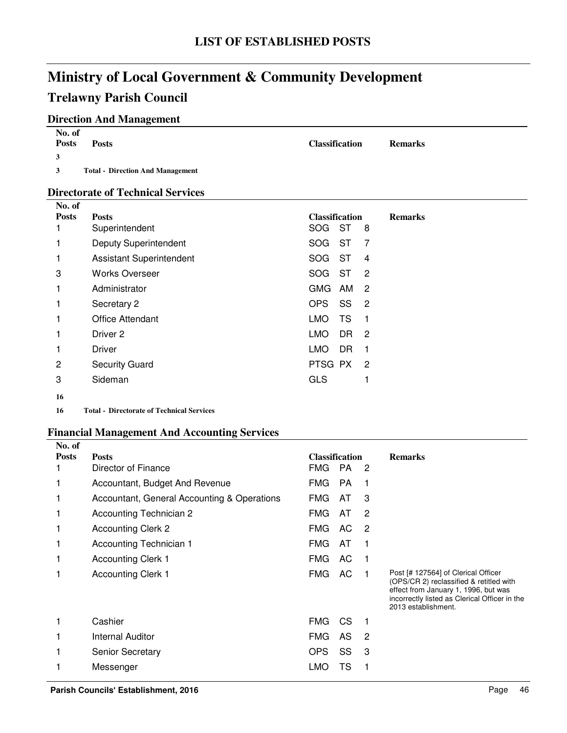# **Ministry of Local Government & Community Development Trelawny Parish Council**

## **Direction And Management**

| No. of<br><b>Posts</b> | <b>Posts</b>                            | <b>Classification</b> | <b>Remarks</b> |
|------------------------|-----------------------------------------|-----------------------|----------------|
| $\mathbf{3}$           |                                         |                       |                |
| $\mathbf{3}$           | <b>Total - Direction And Management</b> |                       |                |

### **Directorate of Technical Services**

| No. of         |                                                  |                                                 |                |
|----------------|--------------------------------------------------|-------------------------------------------------|----------------|
| <b>Posts</b>   | <b>Posts</b>                                     | <b>Classification</b>                           | <b>Remarks</b> |
|                | Superintendent                                   | <b>ST</b><br>SOG<br>8                           |                |
|                | Deputy Superintendent                            | <b>SOG</b><br><b>ST</b><br>7                    |                |
|                | <b>Assistant Superintendent</b>                  | - ST<br><b>SOG</b><br>$\overline{4}$            |                |
| 3              | <b>Works Overseer</b>                            | <b>SOG</b><br>ST<br>$\overline{2}$              |                |
|                | Administrator                                    | <b>GMG</b><br>AM<br>$\overline{2}$              |                |
|                | Secretary 2                                      | <b>OPS</b><br>SS<br>$\overline{\phantom{0}}^2$  |                |
|                | <b>Office Attendant</b>                          | <b>LMO</b><br><b>TS</b><br>-1                   |                |
|                | Driver <sub>2</sub>                              | <b>LMO</b><br>DR.<br>$\overline{\phantom{0}}^2$ |                |
|                | Driver                                           | <b>LMO</b><br><b>DR</b><br>1                    |                |
| $\overline{c}$ | <b>Security Guard</b>                            | PTSG PX<br>-2                                   |                |
| 3              | Sideman                                          | <b>GLS</b>                                      |                |
| 16             |                                                  |                                                 |                |
| 16             | <b>Total - Directorate of Technical Services</b> |                                                 |                |

### **Financial Management And Accounting Services**

| No. of       |                                             |                       |           |                |                                                                                                                                                                                                |
|--------------|---------------------------------------------|-----------------------|-----------|----------------|------------------------------------------------------------------------------------------------------------------------------------------------------------------------------------------------|
| <b>Posts</b> | <b>Posts</b>                                | <b>Classification</b> |           |                | <b>Remarks</b>                                                                                                                                                                                 |
|              | Director of Finance                         | <b>FMG</b>            | <b>PA</b> | -2             |                                                                                                                                                                                                |
|              | Accountant, Budget And Revenue              | <b>FMG</b>            | <b>PA</b> |                |                                                                                                                                                                                                |
| 1            | Accountant, General Accounting & Operations | FMG                   | AT        | 3              |                                                                                                                                                                                                |
| 1            | Accounting Technician 2                     | FMG                   | AT        | 2              |                                                                                                                                                                                                |
|              | <b>Accounting Clerk 2</b>                   | <b>FMG</b>            | AC.       | -2             |                                                                                                                                                                                                |
| 1            | Accounting Technician 1                     | <b>FMG</b>            | AT        |                |                                                                                                                                                                                                |
|              | <b>Accounting Clerk 1</b>                   | FMG                   | AC        |                |                                                                                                                                                                                                |
|              | <b>Accounting Clerk 1</b>                   | FMG                   | AC        |                | Post [# 127564] of Clerical Officer<br>(OPS/CR 2) reclassified & retitled with<br>effect from January 1, 1996, but was<br>incorrectly listed as Clerical Officer in the<br>2013 establishment. |
|              | Cashier                                     | <b>FMG</b>            | CS.       |                |                                                                                                                                                                                                |
| 1            | <b>Internal Auditor</b>                     | <b>FMG</b>            | AS        | $\overline{2}$ |                                                                                                                                                                                                |
|              | <b>Senior Secretary</b>                     | OPS                   | SS        | 3              |                                                                                                                                                                                                |
|              | Messenger                                   | LMO                   | TS        |                |                                                                                                                                                                                                |
|              |                                             |                       |           |                |                                                                                                                                                                                                |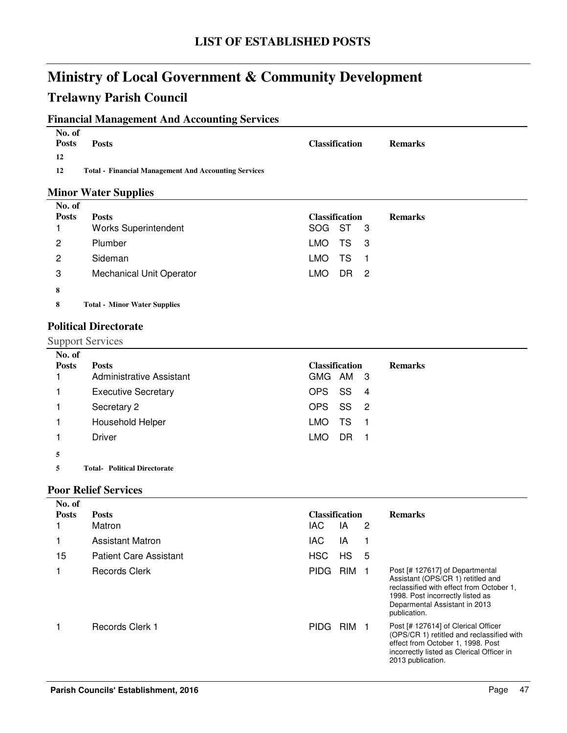# **Trelawny Parish Council**

## **Financial Management And Accounting Services**

| No. of<br><b>Posts</b> | <b>Posts</b>                                                | <b>Classification</b> | <b>Remarks</b> |
|------------------------|-------------------------------------------------------------|-----------------------|----------------|
| 12                     |                                                             |                       |                |
| 12                     | <b>Total - Financial Management And Accounting Services</b> |                       |                |

### **Minor Water Supplies**

| No. of       |                                     |                                         |
|--------------|-------------------------------------|-----------------------------------------|
| <b>Posts</b> | <b>Posts</b>                        | <b>Classification</b><br><b>Remarks</b> |
|              | <b>Works Superintendent</b>         | SOG ST 3                                |
| 2            | Plumber                             | LMO.<br>TS 3                            |
| 2            | Sideman                             | TS.<br>LMO.<br>- 1                      |
| 3            | <b>Mechanical Unit Operator</b>     | LMO.<br>DR <sub>2</sub>                 |
| 8            |                                     |                                         |
| 8            | <b>Total - Minor Water Supplies</b> |                                         |

### **Political Directorate**

Support Services

| No. of<br><b>Posts</b> | <b>Posts</b><br><b>Administrative Assistant</b> | <b>Classification</b><br>GMG AM 3 | <b>Remarks</b> |
|------------------------|-------------------------------------------------|-----------------------------------|----------------|
|                        | <b>Executive Secretary</b>                      | OPS SS<br>- 4                     |                |
|                        | Secretary 2                                     | OPS SS 2                          |                |
|                        | Household Helper                                | LMO<br>TS.<br>- 1                 |                |
|                        | Driver                                          | LMO.<br>DR.<br>- 1                |                |
| 5                      |                                                 |                                   |                |

**5 Political Directorate Total-**

### **Poor Relief Services**

| No. of       |                               |                       |                  |   |                                                                                                                                                                                                       |
|--------------|-------------------------------|-----------------------|------------------|---|-------------------------------------------------------------------------------------------------------------------------------------------------------------------------------------------------------|
| <b>Posts</b> | <b>Posts</b>                  | <b>Classification</b> |                  |   | <b>Remarks</b>                                                                                                                                                                                        |
|              | Matron                        | IAC.                  | ΙA               | 2 |                                                                                                                                                                                                       |
|              | <b>Assistant Matron</b>       | <b>IAC</b>            | IA               |   |                                                                                                                                                                                                       |
| 15           | <b>Patient Care Assistant</b> | <b>HSC</b>            | HS               | 5 |                                                                                                                                                                                                       |
|              | Records Clerk                 | <b>PIDG</b>           | RIM <sub>1</sub> |   | Post [# 127617] of Departmental<br>Assistant (OPS/CR 1) retitled and<br>reclassified with effect from October 1,<br>1998. Post incorrectly listed as<br>Deparmental Assistant in 2013<br>publication. |
|              | Records Clerk 1               | <b>PIDG</b>           | RIM <sub>1</sub> |   | Post [# 127614] of Clerical Officer<br>(OPS/CR 1) retitled and reclassified with<br>effect from October 1, 1998. Post<br>incorrectly listed as Clerical Officer in<br>2013 publication.               |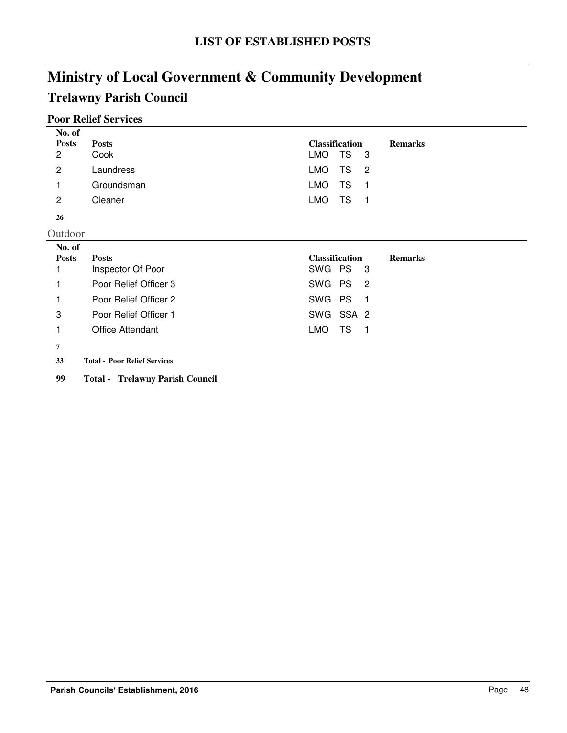# **Trelawny Parish Council**

# **Poor Relief Services**

| No. of<br><b>Posts</b><br>$\overline{2}$ | <b>Posts</b><br>Cook    | <b>Classification</b><br><b>Remarks</b><br><b>TS</b><br><b>LMO</b><br>-3 |
|------------------------------------------|-------------------------|--------------------------------------------------------------------------|
| $\overline{2}$                           | Laundress               | <b>LMO</b><br>TS<br>$\overline{c}$                                       |
|                                          | Groundsman              | <b>LMO</b><br>TS<br>1                                                    |
| $\mathbf{2}$                             | Cleaner                 | <b>LMO</b><br>TS<br>$\blacksquare$                                       |
| 26                                       |                         |                                                                          |
| Outdoor                                  |                         |                                                                          |
| No. of                                   |                         |                                                                          |
| <b>Posts</b>                             | <b>Posts</b>            | <b>Classification</b><br><b>Remarks</b>                                  |
|                                          | Inspector Of Poor       | SWG PS<br>- 3                                                            |
|                                          |                         |                                                                          |
| 1                                        | Poor Relief Officer 3   | SWG PS<br>$\overline{2}$                                                 |
|                                          | Poor Relief Officer 2   | SWG PS<br>$\overline{1}$                                                 |
| 3                                        | Poor Relief Officer 1   | SWG SSA 2                                                                |
|                                          | <b>Office Attendant</b> | <b>LMO</b><br><b>TS</b><br>$\blacksquare$ 1                              |
| 7                                        |                         |                                                                          |

**99 Total - Trelawny Parish Council**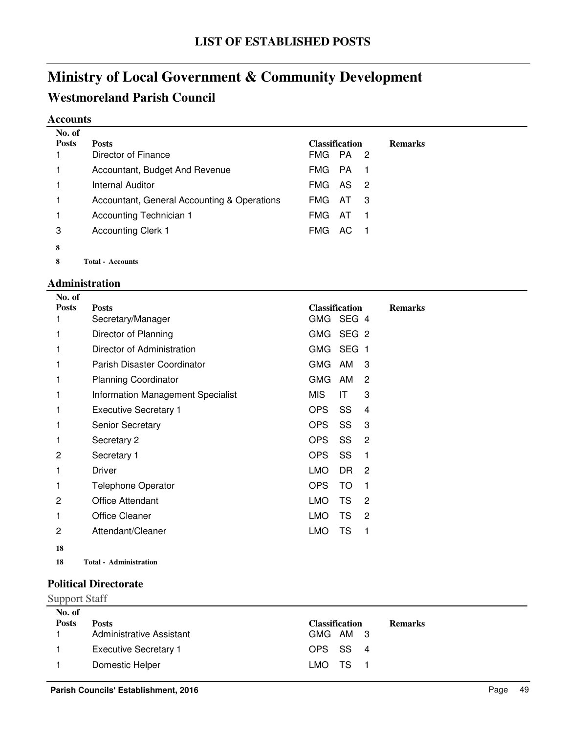# **Ministry of Local Government & Community Development Westmoreland Parish Council**

#### **Accounts**

| No. of       |                                             |                       |           |                            |                |
|--------------|---------------------------------------------|-----------------------|-----------|----------------------------|----------------|
| <b>Posts</b> | <b>Posts</b>                                | <b>Classification</b> |           |                            | <b>Remarks</b> |
|              | Director of Finance                         | FMG.                  | PA        | -2                         |                |
|              | Accountant, Budget And Revenue              | FMG.                  | <b>PA</b> | - 1                        |                |
|              | Internal Auditor                            | <b>FMG</b>            | - AS      | $\overline{\phantom{0}}^2$ |                |
| 1            | Accountant, General Accounting & Operations | FMG.                  | AT.       | 3                          |                |
| 1            | Accounting Technician 1                     | FMG.                  | - AT      |                            |                |
| 3            | <b>Accounting Clerk 1</b>                   | FMG.                  | - AC      |                            |                |
| 8            |                                             |                       |           |                            |                |
| 8            | <b>Total - Accounts</b>                     |                       |           |                            |                |

### **Administration**

| No. of       |                                   |                       |           |                |                |
|--------------|-----------------------------------|-----------------------|-----------|----------------|----------------|
| <b>Posts</b> | <b>Posts</b>                      | <b>Classification</b> |           |                | <b>Remarks</b> |
| 1            | Secretary/Manager                 | GMG                   | SEG 4     |                |                |
| 1            | Director of Planning              | GMG SEG 2             |           |                |                |
| 1            | Director of Administration        | GMG SEG 1             |           |                |                |
| 1            | Parish Disaster Coordinator       | GMG                   | AM        | 3              |                |
| 1            | <b>Planning Coordinator</b>       | <b>GMG</b>            | AM        | 2              |                |
| 1            | Information Management Specialist | MIS.                  | ΙT        | 3              |                |
| 1            | <b>Executive Secretary 1</b>      | OPS                   | SS        | 4              |                |
| 1            | <b>Senior Secretary</b>           | OPS                   | SS        | 3              |                |
| 1            | Secretary 2                       | <b>OPS</b>            | SS        | 2              |                |
| 2            | Secretary 1                       | OPS                   | SS        | 1              |                |
| 1            | Driver                            | <b>LMO</b>            | DR.       | $\overline{2}$ |                |
| 1            | <b>Telephone Operator</b>         | <b>OPS</b>            | TO.       | 1              |                |
| 2            | Office Attendant                  | LMO.                  | <b>TS</b> | 2              |                |
| 1            | <b>Office Cleaner</b>             | LMO.                  | <b>TS</b> | 2              |                |
| 2            | Attendant/Cleaner                 | LMO.                  | TS        | 1              |                |
| 18           |                                   |                       |           |                |                |

**18 Administration Total -**

### **Political Directorate**

# Support Staff

| No. of<br><b>Posts</b> | <b>Posts</b>                    | <b>Classification</b> | <b>Remarks</b> |
|------------------------|---------------------------------|-----------------------|----------------|
|                        | <b>Administrative Assistant</b> | GMG AM 3              |                |
|                        | <b>Executive Secretary 1</b>    | OPS SS 4              |                |
|                        | Domestic Helper                 | LMO TS 1              |                |
|                        |                                 |                       |                |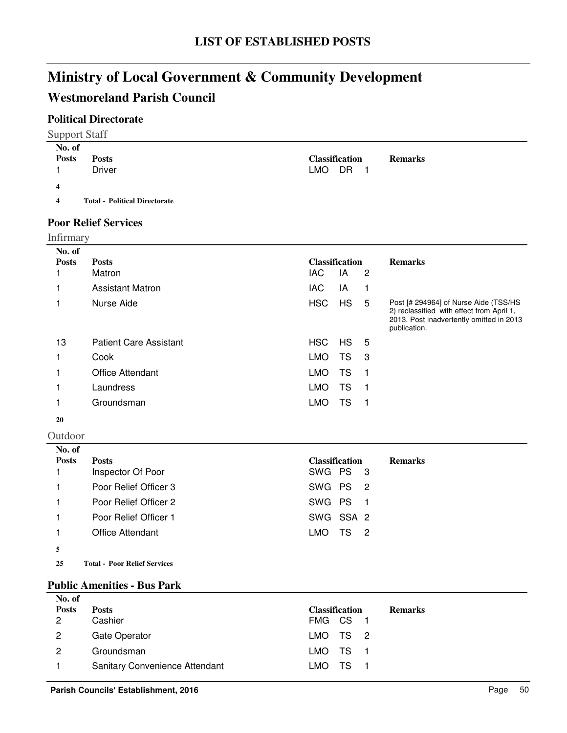# **Westmoreland Parish Council**

### **Political Directorate**

| <b>Support Staff</b> |  |
|----------------------|--|
|----------------------|--|

| No. of                  |                                      |                       |                |
|-------------------------|--------------------------------------|-----------------------|----------------|
| <b>Posts</b>            | <b>Posts</b>                         | <b>Classification</b> | <b>Remarks</b> |
|                         | <b>Driver</b>                        | LMO DR 1              |                |
| 4                       |                                      |                       |                |
| $\overline{\mathbf{4}}$ | <b>Total - Political Directorate</b> |                       |                |
| $\sim$                  | $     -$                             |                       |                |

### **Poor Relief Services**

| <b>Infirmary</b>       |                               |                              |           |    |                                                                                                                                                |
|------------------------|-------------------------------|------------------------------|-----------|----|------------------------------------------------------------------------------------------------------------------------------------------------|
| No. of<br><b>Posts</b> | <b>Posts</b><br>Matron        | <b>Classification</b><br>IAC | IA        | 2  | <b>Remarks</b>                                                                                                                                 |
|                        | <b>Assistant Matron</b>       | <b>IAC</b>                   | IA        | 1  |                                                                                                                                                |
|                        | Nurse Aide                    | <b>HSC</b>                   | <b>HS</b> | 5  | Post [# 294964] of Nurse Aide (TSS/HS<br>2) reclassified with effect from April 1,<br>2013. Post inadvertently omitted in 2013<br>publication. |
| 13                     | <b>Patient Care Assistant</b> | HSC                          | HS.       | 5  |                                                                                                                                                |
|                        | Cook                          | <b>LMO</b>                   | TS        | -3 |                                                                                                                                                |
|                        | <b>Office Attendant</b>       | <b>LMO</b>                   | TS        |    |                                                                                                                                                |
|                        | Laundress                     | <b>LMO</b>                   | TS        |    |                                                                                                                                                |
|                        | Groundsman                    | <b>LMO</b>                   | TS        | 1  |                                                                                                                                                |

### **20**

Outdoor

| No. of       |                                     |                                           |
|--------------|-------------------------------------|-------------------------------------------|
| <b>Posts</b> | <b>Posts</b>                        | <b>Classification</b><br><b>Remarks</b>   |
|              | Inspector Of Poor                   | SWG PS 3                                  |
|              | Poor Relief Officer 3               | SWG PS 2                                  |
|              | Poor Relief Officer 2               | SWG PS<br>$-1$                            |
|              | Poor Relief Officer 1               | SWG SSA 2                                 |
|              | Office Attendant                    | LMO.<br>TS.<br>$\overline{\phantom{0}}^2$ |
| 5            |                                     |                                           |
| 25           | <b>Total - Poor Relief Services</b> |                                           |

#### **Public Amenities - Bus Park**

| No. of       |                                |                       |                |
|--------------|--------------------------------|-----------------------|----------------|
| <b>Posts</b> | <b>Posts</b>                   | <b>Classification</b> | <b>Remarks</b> |
| 2            | Cashier                        | FMG CS 1              |                |
| $\mathbf{2}$ | Gate Operator                  | LMO TS 2              |                |
| 2            | Groundsman                     | LMO TS 1              |                |
|              | Sanitary Convenience Attendant | LMO TS 1              |                |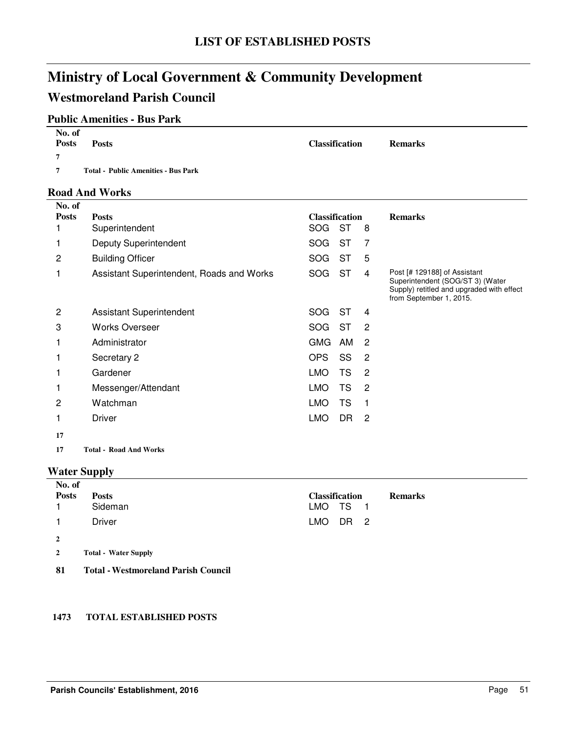# **Ministry of Local Government & Community Development Westmoreland Parish Council**

### **Public Amenities - Bus Park**

| No. of<br><b>Posts</b> | <b>Posts</b>                               | <b>Classification</b> | <b>Remarks</b> |
|------------------------|--------------------------------------------|-----------------------|----------------|
|                        |                                            |                       |                |
| $\overline{ }$         | <b>Total - Public Amenities - Bus Park</b> |                       |                |

#### **Road And Works**

| No. of<br><b>Posts</b> |                                           |            | <b>Classification</b> |                | <b>Remarks</b>                                                                                                                           |
|------------------------|-------------------------------------------|------------|-----------------------|----------------|------------------------------------------------------------------------------------------------------------------------------------------|
|                        | <b>Posts</b><br>Superintendent            | <b>SOG</b> | <b>ST</b>             | 8              |                                                                                                                                          |
|                        | Deputy Superintendent                     | <b>SOG</b> | <b>ST</b>             | 7              |                                                                                                                                          |
| 2                      | <b>Building Officer</b>                   | <b>SOG</b> | ST                    | 5              |                                                                                                                                          |
|                        | Assistant Superintendent, Roads and Works | <b>SOG</b> | <b>ST</b>             | $\overline{4}$ | Post [# 129188] of Assistant<br>Superintendent (SOG/ST 3) (Water<br>Supply) retitled and upgraded with effect<br>from September 1, 2015. |
| 2                      | <b>Assistant Superintendent</b>           | SOG.       | ST                    | 4              |                                                                                                                                          |
| 3                      | <b>Works Overseer</b>                     | SOG.       | <b>ST</b>             | $\overline{2}$ |                                                                                                                                          |
|                        | Administrator                             | <b>GMG</b> | AM                    | $\overline{2}$ |                                                                                                                                          |
|                        | Secretary 2                               | OPS        | SS                    | $\overline{2}$ |                                                                                                                                          |
|                        | Gardener                                  | LMO.       | <b>TS</b>             | $\overline{2}$ |                                                                                                                                          |
|                        | Messenger/Attendant                       | <b>LMO</b> | <b>TS</b>             | 2              |                                                                                                                                          |
| 2                      | Watchman                                  | <b>LMO</b> | <b>TS</b>             | 1              |                                                                                                                                          |
|                        | <b>Driver</b>                             | <b>LMO</b> | DR                    | $\overline{2}$ |                                                                                                                                          |
| 17                     |                                           |            |                       |                |                                                                                                                                          |

**17 Road And Works Total -**

### **Water Supply**

| No. of         |                                            |                       |                |  |
|----------------|--------------------------------------------|-----------------------|----------------|--|
| <b>Posts</b>   | <b>Posts</b>                               | <b>Classification</b> | <b>Remarks</b> |  |
|                | Sideman                                    | LMO TS 1              |                |  |
|                | Driver                                     | LMO.                  | DR 2           |  |
| $\overline{2}$ |                                            |                       |                |  |
| $\overline{2}$ | <b>Total - Water Supply</b>                |                       |                |  |
| 81             | <b>Total - Westmoreland Parish Council</b> |                       |                |  |

#### **1473 TOTAL ESTABLISHED POSTS**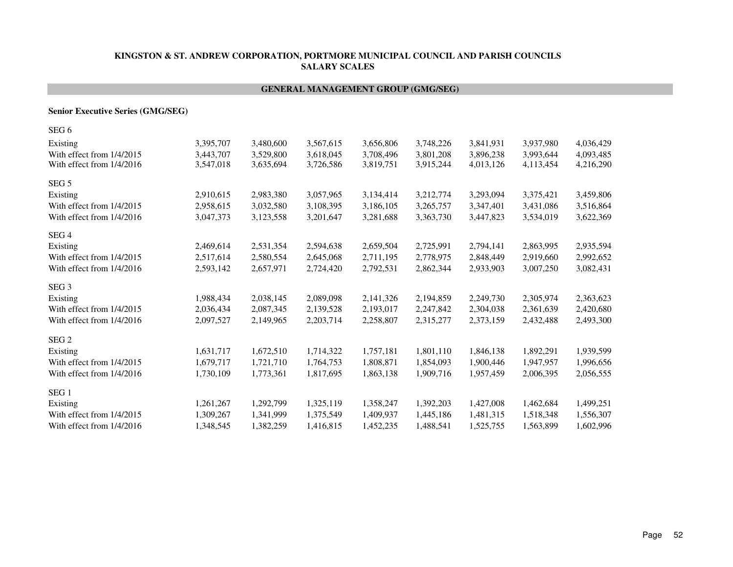#### **GENERAL MANAGEMENT GROUP (GMG/SEG)**

#### **Senior Executive Series (GMG/SEG)**

| 3,395,707 | 3,480,600 | 3,567,615 | 3,656,806 | 3,748,226 | 3,841,931 | 3,937,980 | 4,036,429 |
|-----------|-----------|-----------|-----------|-----------|-----------|-----------|-----------|
| 3,443,707 | 3,529,800 | 3,618,045 | 3,708,496 | 3,801,208 | 3,896,238 | 3,993,644 | 4,093,485 |
| 3,547,018 | 3,635,694 | 3,726,586 | 3,819,751 | 3,915,244 | 4,013,126 | 4,113,454 | 4,216,290 |
|           |           |           |           |           |           |           |           |
| 2,910,615 | 2,983,380 | 3,057,965 | 3,134,414 | 3,212,774 | 3,293,094 | 3,375,421 | 3,459,806 |
| 2,958,615 | 3,032,580 | 3,108,395 | 3,186,105 | 3,265,757 | 3,347,401 | 3,431,086 | 3,516,864 |
| 3,047,373 | 3,123,558 | 3,201,647 | 3,281,688 | 3,363,730 | 3,447,823 | 3,534,019 | 3,622,369 |
|           |           |           |           |           |           |           |           |
| 2,469,614 | 2,531,354 | 2,594,638 | 2,659,504 | 2,725,991 | 2,794,141 | 2,863,995 | 2,935,594 |
| 2,517,614 | 2,580,554 | 2,645,068 | 2,711,195 | 2,778,975 | 2,848,449 | 2,919,660 | 2,992,652 |
| 2,593,142 | 2,657,971 | 2,724,420 | 2,792,531 | 2,862,344 | 2,933,903 | 3,007,250 | 3,082,431 |
|           |           |           |           |           |           |           |           |
| 1,988,434 | 2,038,145 | 2,089,098 | 2,141,326 | 2,194,859 | 2,249,730 | 2,305,974 | 2,363,623 |
| 2,036,434 | 2,087,345 | 2,139,528 | 2,193,017 | 2,247,842 | 2,304,038 | 2,361,639 | 2,420,680 |
| 2,097,527 | 2,149,965 | 2,203,714 | 2,258,807 | 2,315,277 | 2,373,159 | 2,432,488 | 2,493,300 |
|           |           |           |           |           |           |           |           |
| 1,631,717 | 1,672,510 | 1,714,322 | 1,757,181 | 1,801,110 | 1,846,138 | 1,892,291 | 1,939,599 |
| 1,679,717 | 1,721,710 | 1,764,753 | 1,808,871 | 1,854,093 | 1,900,446 | 1,947,957 | 1,996,656 |
| 1,730,109 | 1,773,361 | 1,817,695 | 1,863,138 | 1,909,716 | 1,957,459 | 2,006,395 | 2,056,555 |
|           |           |           |           |           |           |           |           |
| 1,261,267 | 1,292,799 | 1,325,119 | 1,358,247 | 1,392,203 | 1,427,008 | 1,462,684 | 1,499,251 |
| 1,309,267 | 1,341,999 | 1,375,549 | 1,409,937 | 1,445,186 | 1,481,315 | 1,518,348 | 1,556,307 |
| 1,348,545 | 1,382,259 | 1,416,815 | 1,452,235 | 1,488,541 | 1,525,755 | 1,563,899 | 1,602,996 |
|           |           |           |           |           |           |           |           |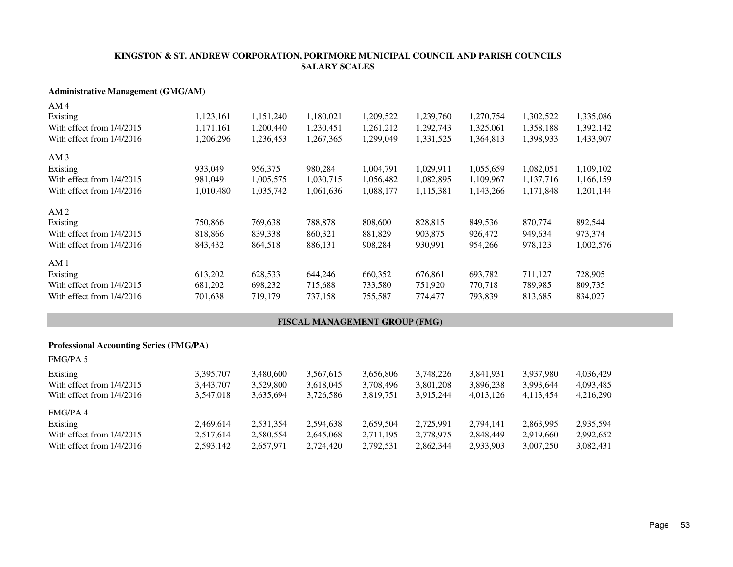#### **Administrative Management (GMG/AM)**

| AM 4                      |           |           |           |           |           |           |           |           |
|---------------------------|-----------|-----------|-----------|-----------|-----------|-----------|-----------|-----------|
| Existing                  | 1,123,161 | 1,151,240 | 1,180,021 | 1,209,522 | 1,239,760 | 1,270,754 | 1,302,522 | 1,335,086 |
| With effect from 1/4/2015 | 1,171,161 | 1,200,440 | 1,230,451 | 1,261,212 | 1,292,743 | 1,325,061 | 1,358,188 | 1,392,142 |
| With effect from 1/4/2016 | 1,206,296 | 1,236,453 | 1,267,365 | 1,299,049 | 1,331,525 | 1,364,813 | 1,398,933 | 1,433,907 |
| AM <sub>3</sub>           |           |           |           |           |           |           |           |           |
| Existing                  | 933,049   | 956,375   | 980,284   | 1,004,791 | 1,029,911 | 1,055,659 | 1,082,051 | 1,109,102 |
| With effect from 1/4/2015 | 981,049   | 1,005,575 | 1,030,715 | 1,056,482 | 1,082,895 | 1,109,967 | 1,137,716 | 1,166,159 |
| With effect from 1/4/2016 | 1,010,480 | 1,035,742 | 1,061,636 | 1,088,177 | 1,115,381 | 1,143,266 | 1,171,848 | 1,201,144 |
| AM <sub>2</sub>           |           |           |           |           |           |           |           |           |
| Existing                  | 750,866   | 769,638   | 788,878   | 808,600   | 828,815   | 849,536   | 870,774   | 892,544   |
| With effect from 1/4/2015 | 818,866   | 839,338   | 860,321   | 881,829   | 903,875   | 926,472   | 949,634   | 973,374   |
| With effect from 1/4/2016 | 843,432   | 864,518   | 886,131   | 908,284   | 930,991   | 954,266   | 978,123   | 1,002,576 |
| AM <sub>1</sub>           |           |           |           |           |           |           |           |           |
| Existing                  | 613,202   | 628,533   | 644,246   | 660,352   | 676,861   | 693,782   | 711,127   | 728,905   |
| With effect from 1/4/2015 | 681,202   | 698,232   | 715,688   | 733,580   | 751,920   | 770,718   | 789,985   | 809,735   |
| With effect from 1/4/2016 | 701,638   | 719,179   | 737,158   | 755,587   | 774,477   | 793.839   | 813,685   | 834,027   |
|                           |           |           |           |           |           |           |           |           |

#### **FISCAL MANAGEMENT GROUP (FMG)**

#### **Professional Accounting Series (FMG/PA)**

| <b>FMG/PA 5</b>             |           |           |           |           |           |           |           |           |
|-----------------------------|-----------|-----------|-----------|-----------|-----------|-----------|-----------|-----------|
| Existing                    | 3,395,707 | 3,480,600 | 3,567,615 | 3,656,806 | 3,748,226 | 3,841,931 | 3,937,980 | 4,036,429 |
| With effect from $1/4/2015$ | 3.443.707 | 3.529.800 | 3.618.045 | 3,708,496 | 3,801,208 | 3,896,238 | 3,993,644 | 4,093,485 |
| With effect from $1/4/2016$ | 3.547.018 | 3,635,694 | 3,726,586 | 3,819,751 | 3,915,244 | 4,013,126 | 4,113,454 | 4,216,290 |
| FMG/PA4                     |           |           |           |           |           |           |           |           |
| Existing                    | 2.469.614 | 2.531.354 | 2,594,638 | 2,659,504 | 2.725.991 | 2,794,141 | 2,863,995 | 2,935,594 |
| With effect from 1/4/2015   | 2.517.614 | 2,580,554 | 2,645,068 | 2,711,195 | 2,778,975 | 2,848,449 | 2,919,660 | 2,992,652 |
| With effect from $1/4/2016$ | 2,593,142 | 2,657,971 | 2,724,420 | 2,792,531 | 2,862,344 | 2,933,903 | 3,007,250 | 3,082,431 |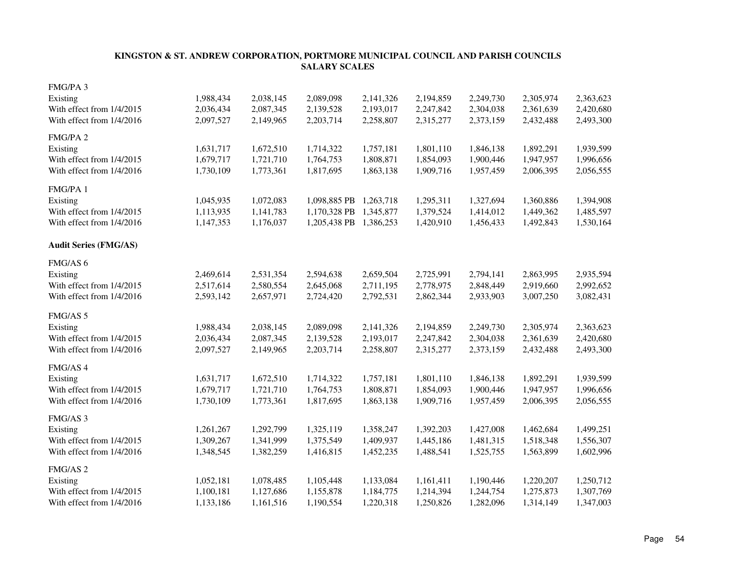| FMG/PA 3                     |           |           |              |           |           |           |           |           |
|------------------------------|-----------|-----------|--------------|-----------|-----------|-----------|-----------|-----------|
| Existing                     | 1,988,434 | 2,038,145 | 2,089,098    | 2,141,326 | 2,194,859 | 2,249,730 | 2,305,974 | 2,363,623 |
| With effect from 1/4/2015    | 2,036,434 | 2,087,345 | 2,139,528    | 2,193,017 | 2,247,842 | 2,304,038 | 2,361,639 | 2,420,680 |
| With effect from 1/4/2016    | 2,097,527 | 2,149,965 | 2,203,714    | 2,258,807 | 2,315,277 | 2,373,159 | 2,432,488 | 2,493,300 |
| FMG/PA 2                     |           |           |              |           |           |           |           |           |
| Existing                     | 1,631,717 | 1,672,510 | 1,714,322    | 1,757,181 | 1,801,110 | 1,846,138 | 1,892,291 | 1,939,599 |
| With effect from 1/4/2015    | 1,679,717 | 1,721,710 | 1,764,753    | 1,808,871 | 1,854,093 | 1,900,446 | 1,947,957 | 1,996,656 |
| With effect from 1/4/2016    | 1,730,109 | 1,773,361 | 1,817,695    | 1,863,138 | 1,909,716 | 1,957,459 | 2,006,395 | 2,056,555 |
| FMG/PA 1                     |           |           |              |           |           |           |           |           |
| Existing                     | 1,045,935 | 1,072,083 | 1,098,885 PB | 1,263,718 | 1,295,311 | 1,327,694 | 1,360,886 | 1,394,908 |
| With effect from 1/4/2015    | 1,113,935 | 1,141,783 | 1,170,328 PB | 1,345,877 | 1,379,524 | 1,414,012 | 1,449,362 | 1,485,597 |
| With effect from 1/4/2016    | 1,147,353 | 1,176,037 | 1,205,438 PB | 1,386,253 | 1,420,910 | 1,456,433 | 1,492,843 | 1,530,164 |
| <b>Audit Series (FMG/AS)</b> |           |           |              |           |           |           |           |           |
| FMG/AS 6                     |           |           |              |           |           |           |           |           |
| Existing                     | 2,469,614 | 2,531,354 | 2,594,638    | 2,659,504 | 2,725,991 | 2,794,141 | 2,863,995 | 2,935,594 |
| With effect from 1/4/2015    | 2,517,614 | 2,580,554 | 2,645,068    | 2,711,195 | 2,778,975 | 2,848,449 | 2,919,660 | 2,992,652 |
| With effect from 1/4/2016    | 2,593,142 | 2,657,971 | 2,724,420    | 2,792,531 | 2,862,344 | 2,933,903 | 3,007,250 | 3,082,431 |
| FMG/AS 5                     |           |           |              |           |           |           |           |           |
| Existing                     | 1,988,434 | 2,038,145 | 2,089,098    | 2,141,326 | 2,194,859 | 2,249,730 | 2,305,974 | 2,363,623 |
| With effect from 1/4/2015    | 2,036,434 | 2,087,345 | 2,139,528    | 2,193,017 | 2,247,842 | 2,304,038 | 2,361,639 | 2,420,680 |
| With effect from 1/4/2016    | 2,097,527 | 2,149,965 | 2,203,714    | 2,258,807 | 2,315,277 | 2,373,159 | 2,432,488 | 2,493,300 |
| FMG/AS 4                     |           |           |              |           |           |           |           |           |
| Existing                     | 1,631,717 | 1,672,510 | 1,714,322    | 1,757,181 | 1,801,110 | 1,846,138 | 1,892,291 | 1,939,599 |
| With effect from 1/4/2015    | 1,679,717 | 1,721,710 | 1,764,753    | 1,808,871 | 1,854,093 | 1,900,446 | 1,947,957 | 1,996,656 |
| With effect from 1/4/2016    | 1,730,109 | 1,773,361 | 1,817,695    | 1,863,138 | 1,909,716 | 1,957,459 | 2,006,395 | 2,056,555 |
| FMG/AS 3                     |           |           |              |           |           |           |           |           |
| Existing                     | 1,261,267 | 1,292,799 | 1,325,119    | 1,358,247 | 1,392,203 | 1,427,008 | 1,462,684 | 1,499,251 |
| With effect from 1/4/2015    | 1,309,267 | 1,341,999 | 1,375,549    | 1,409,937 | 1,445,186 | 1,481,315 | 1,518,348 | 1,556,307 |
| With effect from 1/4/2016    | 1,348,545 | 1,382,259 | 1,416,815    | 1,452,235 | 1,488,541 | 1,525,755 | 1,563,899 | 1,602,996 |
| FMG/AS <sub>2</sub>          |           |           |              |           |           |           |           |           |
| Existing                     | 1,052,181 | 1,078,485 | 1,105,448    | 1,133,084 | 1,161,411 | 1,190,446 | 1,220,207 | 1,250,712 |
| With effect from 1/4/2015    | 1,100,181 | 1,127,686 | 1,155,878    | 1,184,775 | 1,214,394 | 1,244,754 | 1,275,873 | 1,307,769 |
| With effect from 1/4/2016    | 1,133,186 | 1,161,516 | 1,190,554    | 1,220,318 | 1,250,826 | 1,282,096 | 1,314,149 | 1,347,003 |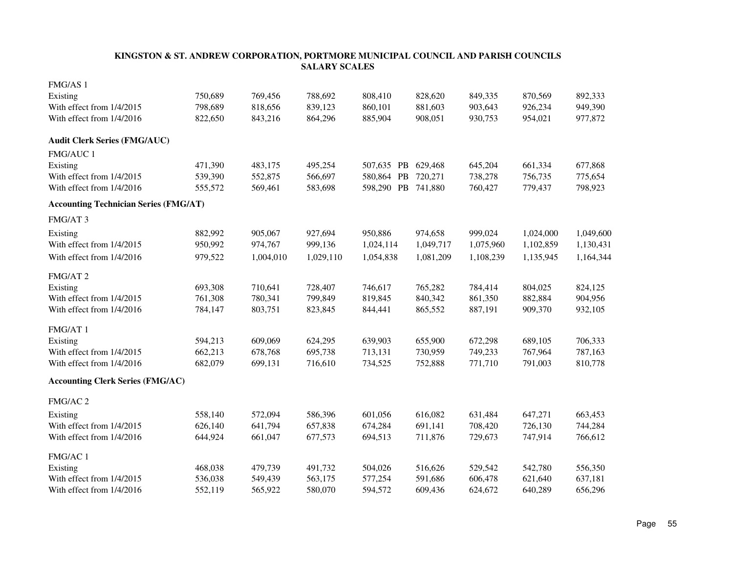| FMG/AS 1                                     |         |           |           |                    |           |           |           |           |
|----------------------------------------------|---------|-----------|-----------|--------------------|-----------|-----------|-----------|-----------|
| Existing                                     | 750,689 | 769,456   | 788,692   | 808,410            | 828,620   | 849,335   | 870,569   | 892,333   |
| With effect from 1/4/2015                    | 798,689 | 818,656   | 839,123   | 860,101            | 881,603   | 903,643   | 926,234   | 949,390   |
| With effect from 1/4/2016                    | 822,650 | 843,216   | 864,296   | 885,904            | 908,051   | 930,753   | 954,021   | 977,872   |
| <b>Audit Clerk Series (FMG/AUC)</b>          |         |           |           |                    |           |           |           |           |
| FMG/AUC 1                                    |         |           |           |                    |           |           |           |           |
| Existing                                     | 471,390 | 483,175   | 495,254   | 507,635 PB         | 629,468   | 645,204   | 661,334   | 677,868   |
| With effect from 1/4/2015                    | 539,390 | 552,875   | 566,697   | 580,864 PB         | 720,271   | 738,278   | 756,735   | 775,654   |
| With effect from 1/4/2016                    | 555,572 | 569,461   | 583,698   | 598,290 PB 741,880 |           | 760,427   | 779,437   | 798,923   |
| <b>Accounting Technician Series (FMG/AT)</b> |         |           |           |                    |           |           |           |           |
| FMG/AT 3                                     |         |           |           |                    |           |           |           |           |
| Existing                                     | 882,992 | 905,067   | 927,694   | 950,886            | 974,658   | 999,024   | 1,024,000 | 1,049,600 |
| With effect from 1/4/2015                    | 950,992 | 974,767   | 999,136   | 1,024,114          | 1,049,717 | 1,075,960 | 1,102,859 | 1,130,431 |
| With effect from 1/4/2016                    | 979,522 | 1,004,010 | 1,029,110 | 1,054,838          | 1,081,209 | 1,108,239 | 1,135,945 | 1,164,344 |
| FMG/AT 2                                     |         |           |           |                    |           |           |           |           |
| Existing                                     | 693,308 | 710,641   | 728,407   | 746,617            | 765,282   | 784,414   | 804,025   | 824,125   |
| With effect from 1/4/2015                    | 761,308 | 780,341   | 799,849   | 819,845            | 840,342   | 861,350   | 882,884   | 904,956   |
| With effect from 1/4/2016                    | 784,147 | 803,751   | 823,845   | 844,441            | 865,552   | 887,191   | 909,370   | 932,105   |
| FMG/AT 1                                     |         |           |           |                    |           |           |           |           |
| Existing                                     | 594,213 | 609,069   | 624,295   | 639,903            | 655,900   | 672,298   | 689,105   | 706,333   |
| With effect from 1/4/2015                    | 662,213 | 678,768   | 695,738   | 713,131            | 730,959   | 749,233   | 767,964   | 787,163   |
| With effect from 1/4/2016                    | 682,079 | 699,131   | 716,610   | 734,525            | 752,888   | 771,710   | 791,003   | 810,778   |
| <b>Accounting Clerk Series (FMG/AC)</b>      |         |           |           |                    |           |           |           |           |
| FMG/AC 2                                     |         |           |           |                    |           |           |           |           |
| Existing                                     | 558,140 | 572,094   | 586,396   | 601,056            | 616,082   | 631,484   | 647,271   | 663,453   |
| With effect from 1/4/2015                    | 626,140 | 641,794   | 657,838   | 674,284            | 691,141   | 708,420   | 726,130   | 744,284   |
| With effect from 1/4/2016                    | 644,924 | 661,047   | 677,573   | 694,513            | 711,876   | 729,673   | 747,914   | 766,612   |
| FMG/AC 1                                     |         |           |           |                    |           |           |           |           |
| Existing                                     | 468,038 | 479,739   | 491,732   | 504,026            | 516,626   | 529,542   | 542,780   | 556,350   |
| With effect from 1/4/2015                    | 536,038 | 549,439   | 563,175   | 577,254            | 591,686   | 606,478   | 621,640   | 637,181   |
| With effect from 1/4/2016                    | 552,119 | 565,922   | 580,070   | 594,572            | 609,436   | 624,672   | 640,289   | 656,296   |
|                                              |         |           |           |                    |           |           |           |           |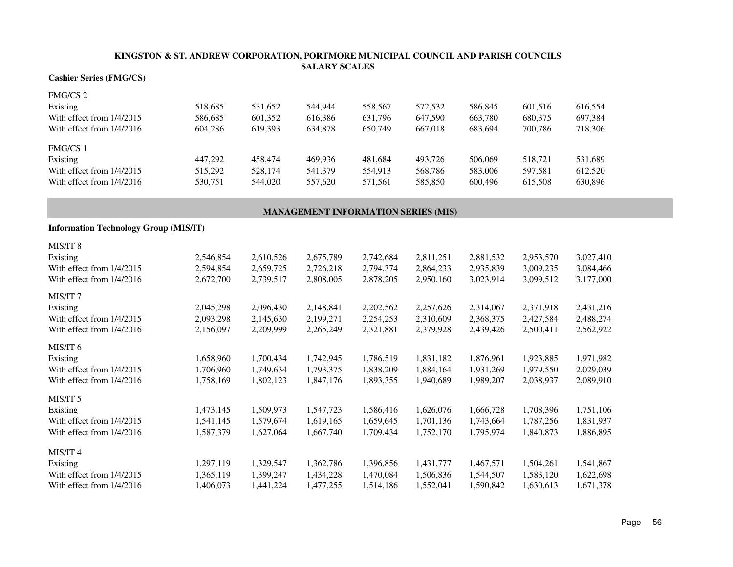#### **Cashier Series (FMG/CS)**

| <b>FMG/CS 2</b>             |         |         |         |         |         |         |         |         |
|-----------------------------|---------|---------|---------|---------|---------|---------|---------|---------|
| Existing                    | 518.685 | 531.652 | 544,944 | 558,567 | 572,532 | 586,845 | 601,516 | 616.554 |
| With effect from $1/4/2015$ | 586,685 | 601,352 | 616,386 | 631,796 | 647.590 | 663,780 | 680,375 | 697,384 |
| With effect from $1/4/2016$ | 604.286 | 619.393 | 634.878 | 650.749 | 667,018 | 683.694 | 700.786 | 718,306 |
| <b>FMG/CS 1</b>             |         |         |         |         |         |         |         |         |
| Existing                    | 447.292 | 458,474 | 469.936 | 481.684 | 493.726 | 506,069 | 518.721 | 531.689 |
| With effect from $1/4/2015$ | 515.292 | 528,174 | 541,379 | 554.913 | 568,786 | 583,006 | 597.581 | 612.520 |
| With effect from $1/4/2016$ | 530.751 | 544,020 | 557,620 | 571,561 | 585,850 | 600.496 | 615,508 | 630.896 |

#### **MANAGEMENT INFORMATION SERIES (MIS)**

| <b>Information Technology Group (MIS/IT)</b> |           |           |
|----------------------------------------------|-----------|-----------|
| MIS/IT 8                                     |           |           |
| <b>Evicting</b>                              | 2,546,854 | 2.610.526 |

| Existing                  | 2,546,854 | 2,610,526 | 2,675,789 | 2,742,684 | 2,811,251 | 2,881,532 | 2,953,570 | 3,027,410 |
|---------------------------|-----------|-----------|-----------|-----------|-----------|-----------|-----------|-----------|
| With effect from 1/4/2015 | 2,594,854 | 2,659,725 | 2,726,218 | 2,794,374 | 2,864,233 | 2,935,839 | 3,009,235 | 3,084,466 |
| With effect from 1/4/2016 | 2,672,700 | 2,739,517 | 2,808,005 | 2,878,205 | 2,950,160 | 3,023,914 | 3,099,512 | 3,177,000 |
| MIS/IT <sub>7</sub>       |           |           |           |           |           |           |           |           |
| Existing                  | 2,045,298 | 2,096,430 | 2,148,841 | 2,202,562 | 2,257,626 | 2,314,067 | 2,371,918 | 2,431,216 |
| With effect from 1/4/2015 | 2,093,298 | 2,145,630 | 2,199,271 | 2,254,253 | 2,310,609 | 2,368,375 | 2,427,584 | 2,488,274 |
| With effect from 1/4/2016 | 2,156,097 | 2,209,999 | 2,265,249 | 2,321,881 | 2,379,928 | 2,439,426 | 2,500,411 | 2,562,922 |
| MIS/IT 6                  |           |           |           |           |           |           |           |           |
| Existing                  | 1,658,960 | 1,700,434 | 1,742,945 | 1,786,519 | 1,831,182 | 1,876,961 | 1,923,885 | 1,971,982 |
| With effect from 1/4/2015 | 1,706,960 | 1,749,634 | 1,793,375 | 1,838,209 | 1,884,164 | 1,931,269 | 1,979,550 | 2,029,039 |
| With effect from 1/4/2016 | 1,758,169 | 1,802,123 | 1,847,176 | 1,893,355 | 1,940,689 | 1,989,207 | 2,038,937 | 2,089,910 |
| MIS/IT 5                  |           |           |           |           |           |           |           |           |
| Existing                  | 1,473,145 | 1,509,973 | 1,547,723 | 1,586,416 | 1,626,076 | 1,666,728 | 1,708,396 | 1,751,106 |
| With effect from 1/4/2015 | 1,541,145 | 1,579,674 | 1,619,165 | 1,659,645 | 1,701,136 | 1,743,664 | 1,787,256 | 1,831,937 |
| With effect from 1/4/2016 | 1,587,379 | 1,627,064 | 1,667,740 | 1,709,434 | 1,752,170 | 1,795,974 | 1,840,873 | 1,886,895 |
| MIS/IT 4                  |           |           |           |           |           |           |           |           |
| Existing                  | 1,297,119 | 1,329,547 | 1,362,786 | 1,396,856 | 1,431,777 | 1,467,571 | 1,504,261 | 1,541,867 |
| With effect from 1/4/2015 | 1,365,119 | 1,399,247 | 1,434,228 | 1,470,084 | 1,506,836 | 1,544,507 | 1,583,120 | 1,622,698 |
| With effect from 1/4/2016 | 1,406,073 | 1,441,224 | 1,477,255 | 1,514,186 | 1,552,041 | 1,590,842 | 1,630,613 | 1,671,378 |
|                           |           |           |           |           |           |           |           |           |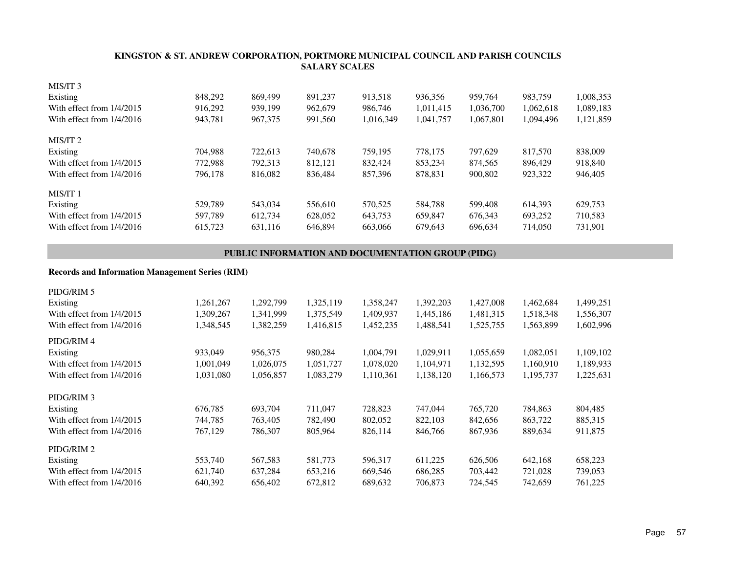| MIS/IT 3                  |         |         |         |           |           |           |           |           |
|---------------------------|---------|---------|---------|-----------|-----------|-----------|-----------|-----------|
| Existing                  | 848,292 | 869,499 | 891.237 | 913.518   | 936.356   | 959,764   | 983.759   | 1,008,353 |
| With effect from 1/4/2015 | 916.292 | 939.199 | 962,679 | 986,746   | 1,011,415 | 1,036,700 | 1,062,618 | 1,089,183 |
| With effect from 1/4/2016 | 943.781 | 967,375 | 991,560 | 1,016,349 | 1,041,757 | 1,067,801 | 1,094,496 | 1,121,859 |
| MIS/IT 2                  |         |         |         |           |           |           |           |           |
| Existing                  | 704.988 | 722,613 | 740,678 | 759.195   | 778.175   | 797,629   | 817,570   | 838,009   |
| With effect from 1/4/2015 | 772,988 | 792.313 | 812.121 | 832.424   | 853.234   | 874.565   | 896,429   | 918,840   |
| With effect from 1/4/2016 | 796.178 | 816,082 | 836,484 | 857,396   | 878,831   | 900,802   | 923,322   | 946,405   |
| MIS/IT 1                  |         |         |         |           |           |           |           |           |
| Existing                  | 529.789 | 543,034 | 556,610 | 570.525   | 584.788   | 599,408   | 614.393   | 629.753   |
| With effect from 1/4/2015 | 597.789 | 612.734 | 628,052 | 643.753   | 659.847   | 676.343   | 693.252   | 710,583   |
| With effect from 1/4/2016 | 615.723 | 631,116 | 646.894 | 663,066   | 679.643   | 696.634   | 714,050   | 731,901   |

#### **PUBLIC INFORMATION AND DOCUMENTATION GROUP (PIDG)**

#### **Records and Information Management Series (RIM)**

| 1,261,267 | 1,292,799 | 1,325,119 | 1,358,247 | 1,392,203 | 1,427,008 | 1,462,684 | 1,499,251 |
|-----------|-----------|-----------|-----------|-----------|-----------|-----------|-----------|
| 1,309,267 | 1,341,999 | 1,375,549 | 1,409,937 | 1,445,186 | 1,481,315 | 1,518,348 | 1,556,307 |
| 1,348,545 | 1,382,259 | 1,416,815 | 1,452,235 | 1,488,541 | 1,525,755 | 1,563,899 | 1,602,996 |
|           |           |           |           |           |           |           |           |
| 933,049   | 956,375   | 980,284   | 1,004,791 | 1,029,911 | 1,055,659 | 1,082,051 | 1,109,102 |
| 1,001,049 | 1,026,075 | 1,051,727 | 1,078,020 | 1,104,971 | 1,132,595 | 1,160,910 | 1,189,933 |
| 1,031,080 | 1,056,857 | 1,083,279 | 1,110,361 | 1,138,120 | 1,166,573 | 1,195,737 | 1,225,631 |
|           |           |           |           |           |           |           |           |
| 676,785   | 693,704   | 711,047   | 728,823   | 747,044   | 765,720   | 784,863   | 804,485   |
| 744,785   | 763,405   | 782,490   | 802,052   | 822,103   | 842,656   | 863,722   | 885,315   |
| 767,129   | 786,307   | 805,964   | 826,114   | 846,766   | 867,936   | 889,634   | 911,875   |
|           |           |           |           |           |           |           |           |
| 553,740   | 567,583   | 581,773   | 596,317   | 611,225   | 626,506   | 642,168   | 658,223   |
| 621,740   | 637,284   | 653,216   | 669,546   | 686,285   | 703,442   | 721,028   | 739,053   |
| 640,392   | 656,402   | 672,812   | 689,632   | 706,873   | 724,545   | 742,659   | 761,225   |
|           |           |           |           |           |           |           |           |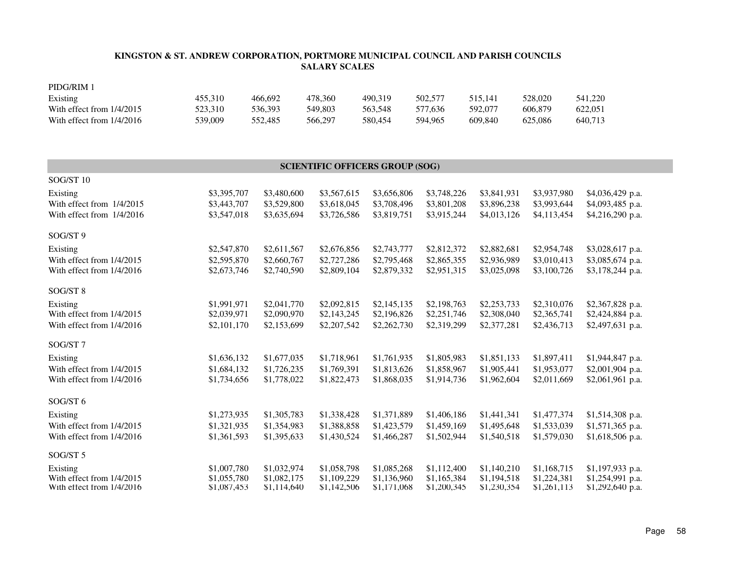| PIDG/RIM 1                  |         |         |         |         |         |         |         |         |
|-----------------------------|---------|---------|---------|---------|---------|---------|---------|---------|
| Existing                    | 455,310 | 466.692 | 478.360 | 490.319 | 502,577 | 515.141 | 528,020 | 541,220 |
| With effect from $1/4/2015$ | 523.310 | 536.393 | 549,803 | 563.548 | 577,636 | 592,077 | 606.879 | 622,051 |
| With effect from $1/4/2016$ | 539,009 | 552.485 | 566.297 | 580.454 | 594.965 | 609.840 | 625.086 | 640,713 |

#### SOG/ST 10Existing \$3,395,707 \$3,480,600 \$3,567,615 \$3,656,806 \$3,748,226 \$3,841,931 \$3,937,980 \$4,036,429 p.a. With effect from 1/4/2015 \$3,443,707 \$3,529,800 \$3,618,045 \$3,708,496 \$3,801,208 \$3,896,238 \$3,993,644 \$4,093,485 p.a. With effect from 1/4/2016 \$3,547,018 \$3,635,694 \$3,726,586 \$3,819,751 \$3,915,244 \$4,013,126 \$4,113,454 \$4,216,290 p.a. SOG/ST 9Existing \$2,547,870 \$2,611,567 \$2,676,856 \$2,743,777 \$2,812,372 \$2,882,681 \$2,954,748 \$3,028,617 p.a. With effect from 1/4/2015 \$2,595,870 \$2,660,767 \$2,727,286 \$2,795,468 \$2,865,355 \$2,936,989 \$3,010,413 \$3,085,674 p.a. With effect from 1/4/2016 \$2,673,746 \$2,740,590 \$2,809,104 \$2,879,332 \$2,951,315 \$3,025,098 \$3,100,726 \$3,178,244 p.a. SOG/ST 8Existing \$1,991,971 \$2,041,770 \$2,092,815 \$2,145,135 \$2,198,763 \$2,253,733 \$2,310,076 \$2,367,828 p.a. With effect from 1/4/2015 \$2,039,971 \$2,090,970 \$2,143,245 \$2,196,826 \$2,251,746 \$2,308,040 \$2,365,741 \$2,424,884 p.a. With effect from 1/4/2016 \$2,101,170 \$2,153,699 \$2,207,542 \$2,262,730 \$2,319,299 \$2,377,281 \$2,436,713 \$2,497,631 p.a. SOG/ST 7Existing \$1,636,132 \$1,677,035 \$1,718,961 \$1,761,935 \$1,805,983 \$1,851,133 \$1,897,411 \$1,944,847 p.a. With effect from 1/4/2015 \$1,684,132 \$1,726,235 \$1,769,391 \$1,813,626 \$1,858,967 \$1,905,441 \$1,953,077 \$2,001,904 p.a. With effect from 1/4/2016 \$1,734,656 \$1,778,022 \$1,822,473 \$1,868,035 \$1,914,736 \$1,962,604 \$2,011,669 \$2,061,961 p.a. SOG/ST 6Existing \$1,273,935 \$1,305,783 \$1,338,428 \$1,371,889 \$1,406,186 \$1,441,341 \$1,477,374 \$1,514,308 p.a. With effect from 1/4/2015 \$1,321,935 \$1,354,983 \$1,388,858 \$1,423,579 \$1,459,169 \$1,495,648 \$1,533,039 \$1,571,365 p.a. With effect from 1/4/2016 \$1,361,593 \$1,395,633 \$1,430,524 \$1,466,287 \$1,502,944 \$1,540,518 \$1,579,030 \$1,618,506 p.a. SOG/ST 5Existing \$1,007,780 \$1,032,974 \$1,058,798 \$1,085,268 \$1,112,400 \$1,140,210 \$1,168,715 \$1,197,933 p.a. With effect from 1/4/2015 \$1,055,780 \$1,082,175 \$1,109,229 \$1,136,960 \$1,165,384 \$1,194,518 \$1,224,381 \$1,254,991 p.a. With effect from 1/4/2016 \$1,087,453 \$1,114,640 \$1,142,506 \$1,171,068 \$1,200,345 \$1,230,354 \$1,261,113 \$1,292,640 p.a. **SCIENTIFIC OFFICERS GROUP (SOG)**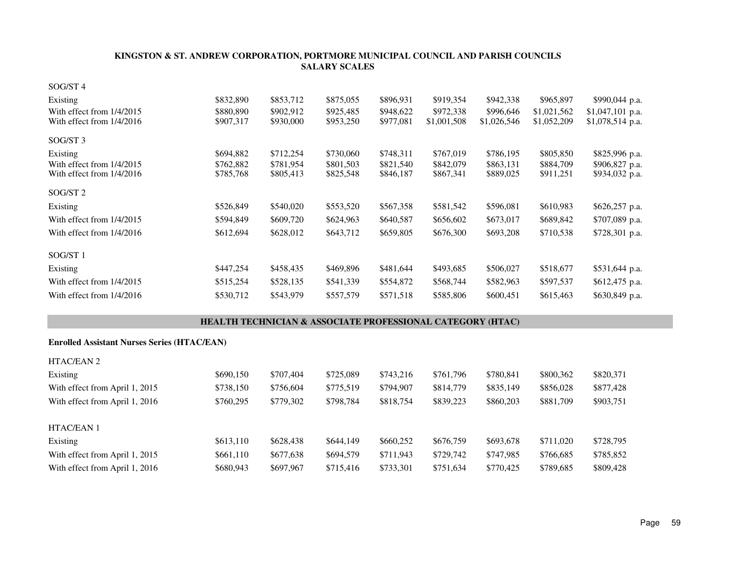| SOG/ST 4                                           |                                                                       |           |           |           |             |             |             |                  |  |
|----------------------------------------------------|-----------------------------------------------------------------------|-----------|-----------|-----------|-------------|-------------|-------------|------------------|--|
| Existing                                           | \$832,890                                                             | \$853,712 | \$875,055 | \$896,931 | \$919,354   | \$942,338   | \$965,897   | \$990,044 p.a.   |  |
| With effect from 1/4/2015                          | \$880,890                                                             | \$902,912 | \$925,485 | \$948,622 | \$972,338   | \$996,646   | \$1,021,562 | \$1,047,101 p.a. |  |
| With effect from 1/4/2016                          | \$907,317                                                             | \$930,000 | \$953,250 | \$977,081 | \$1,001,508 | \$1,026,546 | \$1,052,209 | \$1,078,514 p.a. |  |
| SOG/ST 3                                           |                                                                       |           |           |           |             |             |             |                  |  |
| Existing                                           | \$694,882                                                             | \$712,254 | \$730,060 | \$748,311 | \$767,019   | \$786,195   | \$805,850   | \$825,996 p.a.   |  |
| With effect from 1/4/2015                          | \$762,882                                                             | \$781,954 | \$801,503 | \$821,540 | \$842,079   | \$863,131   | \$884,709   | \$906,827 p.a.   |  |
| With effect from 1/4/2016                          | \$785,768                                                             | \$805,413 | \$825,548 | \$846,187 | \$867,341   | \$889,025   | \$911,251   | \$934,032 p.a.   |  |
| SOG/ST <sub>2</sub>                                |                                                                       |           |           |           |             |             |             |                  |  |
| Existing                                           | \$526,849                                                             | \$540,020 | \$553,520 | \$567,358 | \$581,542   | \$596,081   | \$610,983   | \$626,257 p.a.   |  |
| With effect from 1/4/2015                          | \$594,849                                                             | \$609,720 | \$624,963 | \$640,587 | \$656,602   | \$673,017   | \$689,842   | \$707,089 p.a.   |  |
| With effect from 1/4/2016                          | \$612,694                                                             | \$628,012 | \$643,712 | \$659,805 | \$676,300   | \$693,208   | \$710,538   | \$728,301 p.a.   |  |
| SOG/ST 1                                           |                                                                       |           |           |           |             |             |             |                  |  |
| Existing                                           | \$447,254                                                             | \$458,435 | \$469,896 | \$481,644 | \$493,685   | \$506,027   | \$518,677   | \$531,644 p.a.   |  |
| With effect from 1/4/2015                          | \$515,254                                                             | \$528,135 | \$541,339 | \$554,872 | \$568,744   | \$582,963   | \$597,537   | \$612,475 p.a.   |  |
| With effect from 1/4/2016                          | \$530,712                                                             | \$543,979 | \$557,579 | \$571,518 | \$585,806   | \$600,451   | \$615,463   | \$630,849 p.a.   |  |
|                                                    | <b>HEALTH TECHNICIAN &amp; ASSOCIATE PROFESSIONAL CATEGORY (HTAC)</b> |           |           |           |             |             |             |                  |  |
| <b>Enrolled Assistant Nurses Series (HTAC/EAN)</b> |                                                                       |           |           |           |             |             |             |                  |  |
| HTAC/EAN 2                                         |                                                                       |           |           |           |             |             |             |                  |  |
| Existing                                           | \$690,150                                                             | \$707,404 | \$725,089 | \$743,216 | \$761,796   | \$780,841   | \$800,362   | \$820,371        |  |
| With effect from April 1, 2015                     | \$738,150                                                             | \$756,604 | \$775,519 | \$794,907 | \$814,779   | \$835,149   | \$856,028   | \$877,428        |  |
| With effect from April 1, 2016                     | \$760,295                                                             | \$779,302 | \$798,784 | \$818,754 | \$839,223   | \$860,203   | \$881,709   | \$903,751        |  |
| HTAC/EAN 1                                         |                                                                       |           |           |           |             |             |             |                  |  |
| Existing                                           | \$613,110                                                             | \$628,438 | \$644,149 | \$660,252 | \$676,759   | \$693,678   | \$711,020   | \$728,795        |  |
| With effect from April 1, 2015                     | \$661,110                                                             | \$677,638 | \$694,579 | \$711,943 | \$729,742   | \$747,985   | \$766,685   | \$785,852        |  |
| With effect from April 1, 2016                     | \$680,943                                                             | \$697,967 | \$715,416 | \$733,301 | \$751,634   | \$770,425   | \$789,685   | \$809,428        |  |
|                                                    |                                                                       |           |           |           |             |             |             |                  |  |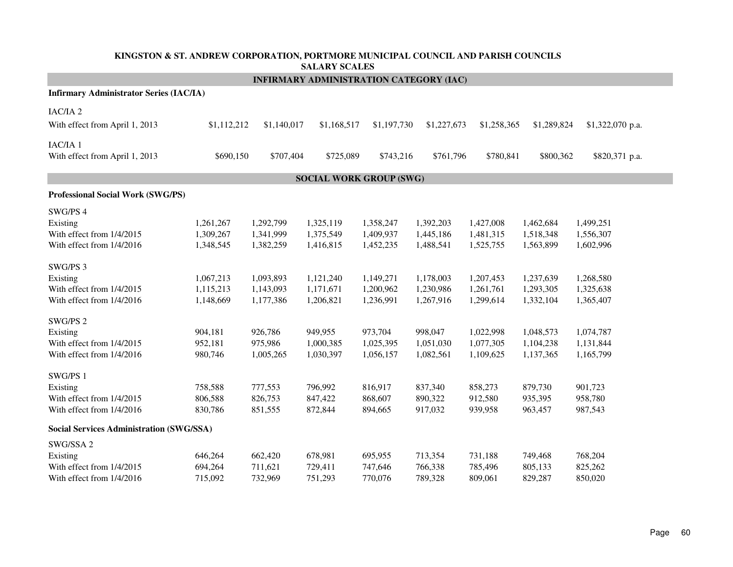| KINGSTON & ST. ANDREW CORPORATION, PORTMORE MUNICIPAL COUNCIL AND PARISH COUNCILS<br><b>SALARY SCALES</b> |                                     |                                     |                                                |                                     |                                     |                                     |                                     |                                     |  |  |  |  |  |
|-----------------------------------------------------------------------------------------------------------|-------------------------------------|-------------------------------------|------------------------------------------------|-------------------------------------|-------------------------------------|-------------------------------------|-------------------------------------|-------------------------------------|--|--|--|--|--|
|                                                                                                           |                                     |                                     | <b>INFIRMARY ADMINISTRATION CATEGORY (IAC)</b> |                                     |                                     |                                     |                                     |                                     |  |  |  |  |  |
| <b>Infirmary Administrator Series (IAC/IA)</b>                                                            |                                     |                                     |                                                |                                     |                                     |                                     |                                     |                                     |  |  |  |  |  |
| IAC/IA <sub>2</sub><br>With effect from April 1, 2013                                                     | \$1,112,212                         | \$1,140,017                         | \$1,168,517                                    | \$1,197,730                         | \$1,227,673                         | \$1,258,365                         | \$1,289,824                         | \$1,322,070 p.a.                    |  |  |  |  |  |
| IAC/IA 1<br>With effect from April 1, 2013                                                                | \$690,150                           | \$707,404                           | \$725,089                                      | \$743,216                           | \$761,796                           | \$780,841                           | \$800,362                           | \$820,371 p.a.                      |  |  |  |  |  |
| <b>SOCIAL WORK GROUP (SWG)</b>                                                                            |                                     |                                     |                                                |                                     |                                     |                                     |                                     |                                     |  |  |  |  |  |
| Professional Social Work (SWG/PS)                                                                         |                                     |                                     |                                                |                                     |                                     |                                     |                                     |                                     |  |  |  |  |  |
| SWG/PS 4                                                                                                  |                                     |                                     |                                                |                                     |                                     |                                     |                                     |                                     |  |  |  |  |  |
| Existing<br>With effect from 1/4/2015<br>With effect from 1/4/2016                                        | 1,261,267<br>1,309,267<br>1,348,545 | 1,292,799<br>1,341,999<br>1,382,259 | 1,325,119<br>1,375,549<br>1,416,815            | 1,358,247<br>1,409,937<br>1,452,235 | 1,392,203<br>1,445,186<br>1,488,541 | 1,427,008<br>1,481,315<br>1,525,755 | 1,462,684<br>1,518,348<br>1,563,899 | 1,499,251<br>1,556,307<br>1,602,996 |  |  |  |  |  |
| SWG/PS 3                                                                                                  |                                     |                                     |                                                |                                     |                                     |                                     |                                     |                                     |  |  |  |  |  |
| Existing<br>With effect from 1/4/2015<br>With effect from 1/4/2016                                        | 1,067,213<br>1,115,213<br>1,148,669 | 1,093,893<br>1,143,093<br>1,177,386 | 1,121,240<br>1,171,671<br>1,206,821            | 1,149,271<br>1,200,962<br>1,236,991 | 1,178,003<br>1,230,986<br>1,267,916 | 1,207,453<br>1,261,761<br>1,299,614 | 1,237,639<br>1,293,305<br>1,332,104 | 1,268,580<br>1,325,638<br>1,365,407 |  |  |  |  |  |
| SWG/PS 2                                                                                                  |                                     |                                     |                                                |                                     |                                     |                                     |                                     |                                     |  |  |  |  |  |
| Existing<br>With effect from 1/4/2015<br>With effect from 1/4/2016                                        | 904,181<br>952,181<br>980,746       | 926,786<br>975,986<br>1,005,265     | 949,955<br>1,000,385<br>1,030,397              | 973,704<br>1,025,395<br>1,056,157   | 998,047<br>1,051,030<br>1,082,561   | 1,022,998<br>1,077,305<br>1,109,625 | 1,048,573<br>1,104,238<br>1,137,365 | 1,074,787<br>1,131,844<br>1,165,799 |  |  |  |  |  |
| SWG/PS 1                                                                                                  |                                     |                                     |                                                |                                     |                                     |                                     |                                     |                                     |  |  |  |  |  |
| Existing<br>With effect from 1/4/2015<br>With effect from 1/4/2016                                        | 758,588<br>806,588<br>830,786       | 777,553<br>826,753<br>851,555       | 796,992<br>847,422<br>872,844                  | 816,917<br>868,607<br>894,665       | 837,340<br>890,322<br>917,032       | 858,273<br>912,580<br>939,958       | 879,730<br>935,395<br>963,457       | 901,723<br>958,780<br>987,543       |  |  |  |  |  |
| <b>Social Services Administration (SWG/SSA)</b>                                                           |                                     |                                     |                                                |                                     |                                     |                                     |                                     |                                     |  |  |  |  |  |
| SWG/SSA 2<br>Existing                                                                                     | 646,264                             | 662,420                             | 678,981                                        | 695,955                             | 713,354                             | 731,188                             | 749,468                             | 768,204                             |  |  |  |  |  |
| With effect from 1/4/2015<br>With effect from 1/4/2016                                                    | 694,264<br>715,092                  | 711,621<br>732,969                  | 729,411<br>751,293                             | 747,646<br>770,076                  | 766,338<br>789,328                  | 785,496<br>809,061                  | 805,133<br>829,287                  | 825,262<br>850,020                  |  |  |  |  |  |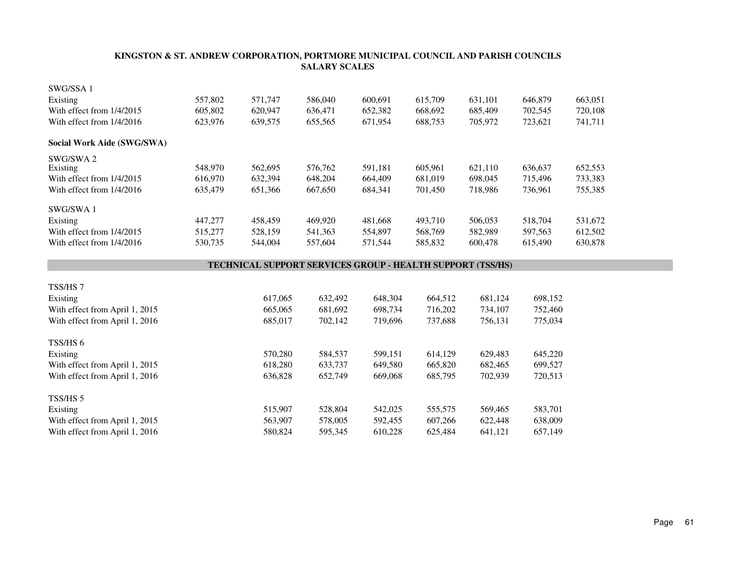| SWG/SSA 1                                  |         |                                                                   |                    |         |                    |                    |                    |         |  |
|--------------------------------------------|---------|-------------------------------------------------------------------|--------------------|---------|--------------------|--------------------|--------------------|---------|--|
| Existing                                   | 557,802 | 571,747                                                           | 586,040            | 600,691 | 615,709            | 631,101            | 646,879            | 663,051 |  |
| With effect from 1/4/2015                  | 605,802 | 620,947                                                           | 636,471            | 652,382 | 668,692            | 685,409            | 702,545            | 720,108 |  |
| With effect from 1/4/2016                  | 623,976 | 639,575                                                           | 655,565            | 671,954 | 688,753            | 705,972            | 723,621            | 741,711 |  |
| Social Work Aide (SWG/SWA)                 |         |                                                                   |                    |         |                    |                    |                    |         |  |
| SWG/SWA 2                                  |         |                                                                   |                    |         |                    |                    |                    |         |  |
| Existing                                   | 548,970 | 562,695                                                           | 576,762            | 591,181 | 605,961            | 621,110            | 636,637            | 652,553 |  |
| With effect from 1/4/2015                  | 616,970 | 632,394                                                           | 648,204            | 664,409 | 681,019            | 698,045            | 715,496            | 733,383 |  |
| With effect from 1/4/2016                  | 635,479 | 651,366                                                           | 667,650            | 684,341 | 701,450            | 718,986            | 736,961            | 755,385 |  |
| SWG/SWA 1                                  |         |                                                                   |                    |         |                    |                    |                    |         |  |
| Existing                                   | 447,277 | 458,459                                                           | 469,920            | 481,668 | 493,710            | 506,053            | 518,704            | 531,672 |  |
| With effect from 1/4/2015                  | 515,277 | 528,159                                                           | 541,363            | 554,897 | 568,769            | 582,989            | 597,563            | 612,502 |  |
| With effect from 1/4/2016                  | 530,735 | 544,004                                                           | 557,604            | 571,544 | 585,832            | 600,478            | 615,490            | 630,878 |  |
|                                            |         | <b>TECHNICAL SUPPORT SERVICES GROUP - HEALTH SUPPORT (TSS/HS)</b> |                    |         |                    |                    |                    |         |  |
|                                            |         |                                                                   |                    |         |                    |                    |                    |         |  |
|                                            |         |                                                                   |                    |         |                    |                    |                    |         |  |
| TSS/HS 7                                   |         |                                                                   |                    |         |                    |                    |                    |         |  |
| Existing                                   |         | 617,065                                                           | 632,492            | 648,304 | 664,512            | 681,124            | 698,152            |         |  |
| With effect from April 1, 2015             |         | 665,065                                                           | 681,692            | 698,734 | 716,202            | 734,107            | 752,460            |         |  |
| With effect from April 1, 2016             |         | 685,017                                                           | 702,142            | 719,696 | 737,688            | 756,131            | 775,034            |         |  |
| TSS/HS 6                                   |         |                                                                   |                    |         |                    |                    |                    |         |  |
| Existing                                   |         | 570,280                                                           | 584,537            | 599,151 | 614,129            | 629,483            | 645,220            |         |  |
| With effect from April 1, 2015             |         | 618,280                                                           | 633,737            | 649,580 | 665,820            | 682,465            | 699,527            |         |  |
| With effect from April 1, 2016             |         | 636,828                                                           | 652,749            | 669,068 | 685,795            | 702,939            | 720,513            |         |  |
| TSS/HS 5                                   |         |                                                                   |                    |         |                    |                    |                    |         |  |
|                                            |         | 515,907                                                           |                    | 542,025 |                    |                    |                    |         |  |
| Existing<br>With effect from April 1, 2015 |         | 563,907                                                           | 528,804<br>578,005 | 592,455 | 555,575<br>607,266 | 569,465<br>622,448 | 583,701<br>638,009 |         |  |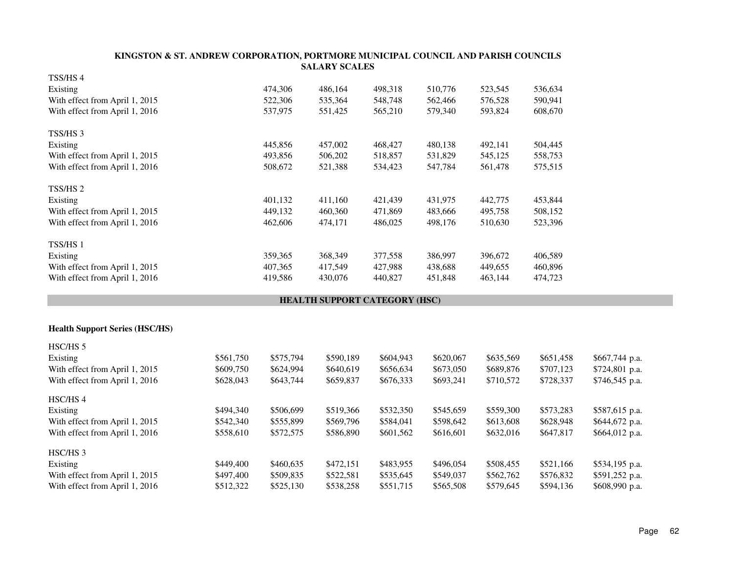|                                       |           |           | <b>SALARY SCALES</b>          |           |           |           |           |                |
|---------------------------------------|-----------|-----------|-------------------------------|-----------|-----------|-----------|-----------|----------------|
| TSS/HS 4                              |           |           |                               |           |           |           |           |                |
| Existing                              |           | 474,306   | 486,164                       | 498,318   | 510,776   | 523,545   | 536,634   |                |
| With effect from April 1, 2015        |           | 522,306   | 535,364                       | 548,748   | 562,466   | 576,528   | 590,941   |                |
| With effect from April 1, 2016        |           | 537,975   | 551,425                       | 565,210   | 579,340   | 593,824   | 608,670   |                |
| TSS/HS 3                              |           |           |                               |           |           |           |           |                |
| Existing                              |           | 445,856   | 457,002                       | 468,427   | 480,138   | 492,141   | 504,445   |                |
| With effect from April 1, 2015        |           | 493,856   | 506,202                       | 518,857   | 531,829   | 545,125   | 558,753   |                |
| With effect from April 1, 2016        |           | 508,672   | 521,388                       | 534,423   | 547,784   | 561,478   | 575,515   |                |
| TSS/HS 2                              |           |           |                               |           |           |           |           |                |
| Existing                              |           | 401,132   | 411,160                       | 421,439   | 431,975   | 442,775   | 453,844   |                |
| With effect from April 1, 2015        |           | 449,132   | 460,360                       | 471,869   | 483,666   | 495,758   | 508,152   |                |
| With effect from April 1, 2016        |           | 462,606   | 474,171                       | 486,025   | 498,176   | 510,630   | 523,396   |                |
| TSS/HS 1                              |           |           |                               |           |           |           |           |                |
| Existing                              |           | 359,365   | 368,349                       | 377,558   | 386,997   | 396,672   | 406,589   |                |
| With effect from April 1, 2015        |           | 407,365   | 417,549                       | 427,988   | 438,688   | 449,655   | 460,896   |                |
| With effect from April 1, 2016        |           | 419,586   | 430,076                       | 440,827   | 451,848   | 463,144   | 474,723   |                |
|                                       |           |           | HEALTH SUPPORT CATEGORY (HSC) |           |           |           |           |                |
|                                       |           |           |                               |           |           |           |           |                |
| <b>Health Support Series (HSC/HS)</b> |           |           |                               |           |           |           |           |                |
| HSC/HS 5                              |           |           |                               |           |           |           |           |                |
| Existing                              | \$561,750 | \$575,794 | \$590,189                     | \$604,943 | \$620,067 | \$635,569 | \$651,458 | \$667,744 p.a. |
| With effect from April 1, 2015        | \$609,750 | \$624,994 | \$640,619                     | \$656,634 | \$673,050 | \$689,876 | \$707,123 | \$724,801 p.a. |
| With effect from April 1 2016         | \$628.043 | \$643.744 | \$659.837                     | \$676.333 | \$693.21  | \$710.572 | \$728.337 | \$746545 n     |

With effect from April 1, 2016 \$628,043 \$643,744 \$659,837 \$676,333 \$693,241 \$710,572 \$728,337 \$746,545 p.a. HSC/HS 4Existing \$494,340 \$506,699 \$519,366 \$532,350 \$545,659 \$559,300 \$573,283 \$587,615 p.a. With effect from April 1, 2015 \$542,340 \$555,899 \$569,796 \$584,041 \$598,642 \$613,608 \$628,948 \$644,672 p.a.

With effect from April 1, 2016 \$558,610 \$572,575 \$586,890 \$601,562 \$616,601 \$632,016 \$647,817 \$664,012 p.a. HSC/HS 3Existing \$449,400 \$460,635 \$472,151 \$483,955 \$496,054 \$508,455 \$521,166 \$534,195 p.a. With effect from April 1, 2015 \$497,400 \$509,835 \$522,581 \$535,645 \$549,037 \$562,762 \$576,832 \$591,252 p.a. With effect from April 1, 2016 \$512,322 \$525,130 \$538,258 \$551,715 \$565,508 \$579,645 \$594,136 \$608,990 p.a.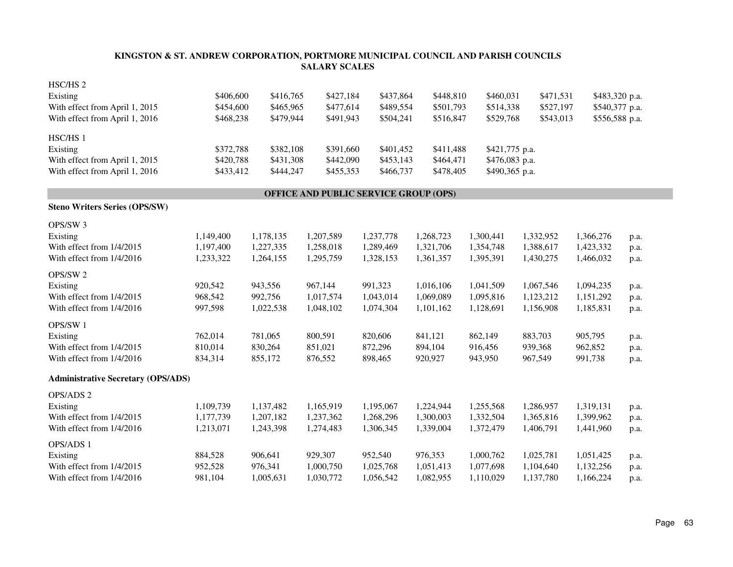| HSC/HS <sub>2</sub>                       |           |           |                                       |           |           |                |           |                |      |
|-------------------------------------------|-----------|-----------|---------------------------------------|-----------|-----------|----------------|-----------|----------------|------|
| Existing                                  | \$406,600 | \$416,765 | \$427,184                             | \$437,864 | \$448,810 | \$460,031      | \$471,531 | \$483,320 p.a. |      |
| With effect from April 1, 2015            | \$454,600 | \$465,965 | \$477,614                             | \$489,554 | \$501,793 | \$514,338      | \$527,197 | \$540,377 p.a. |      |
| With effect from April 1, 2016            | \$468,238 | \$479,944 | \$491,943                             | \$504,241 | \$516,847 | \$529,768      | \$543,013 | \$556,588 p.a. |      |
| HSC/HS 1                                  |           |           |                                       |           |           |                |           |                |      |
| Existing                                  | \$372,788 | \$382,108 | \$391,660                             | \$401,452 | \$411,488 | \$421,775 p.a. |           |                |      |
| With effect from April 1, 2015            | \$420,788 | \$431,308 | \$442,090                             | \$453,143 | \$464,471 | \$476,083 p.a. |           |                |      |
| With effect from April 1, 2016            | \$433,412 | \$444,247 | \$455,353                             | \$466,737 | \$478,405 | \$490,365 p.a. |           |                |      |
|                                           |           |           | OFFICE AND PUBLIC SERVICE GROUP (OPS) |           |           |                |           |                |      |
| <b>Steno Writers Series (OPS/SW)</b>      |           |           |                                       |           |           |                |           |                |      |
| OPS/SW 3                                  |           |           |                                       |           |           |                |           |                |      |
| Existing                                  | 1,149,400 | 1,178,135 | 1,207,589                             | 1,237,778 | 1,268,723 | 1,300,441      | 1,332,952 | 1,366,276      | p.a. |
| With effect from 1/4/2015                 | 1,197,400 | 1,227,335 | 1,258,018                             | 1,289,469 | 1,321,706 | 1,354,748      | 1,388,617 | 1,423,332      | p.a. |
| With effect from 1/4/2016                 | 1,233,322 | 1,264,155 | 1,295,759                             | 1,328,153 | 1,361,357 | 1,395,391      | 1,430,275 | 1,466,032      | p.a. |
| OPS/SW 2                                  |           |           |                                       |           |           |                |           |                |      |
| Existing                                  | 920,542   | 943,556   | 967,144                               | 991,323   | 1,016,106 | 1,041,509      | 1,067,546 | 1,094,235      | p.a. |
| With effect from 1/4/2015                 | 968,542   | 992,756   | 1,017,574                             | 1,043,014 | 1,069,089 | 1,095,816      | 1,123,212 | 1,151,292      | p.a. |
| With effect from 1/4/2016                 | 997,598   | 1,022,538 | 1,048,102                             | 1,074,304 | 1,101,162 | 1,128,691      | 1,156,908 | 1,185,831      | p.a. |
| OPS/SW1                                   |           |           |                                       |           |           |                |           |                |      |
| Existing                                  | 762,014   | 781,065   | 800,591                               | 820,606   | 841,121   | 862,149        | 883,703   | 905,795        | p.a. |
| With effect from 1/4/2015                 | 810,014   | 830,264   | 851,021                               | 872,296   | 894,104   | 916,456        | 939,368   | 962,852        | p.a. |
| With effect from 1/4/2016                 | 834,314   | 855,172   | 876,552                               | 898,465   | 920,927   | 943,950        | 967,549   | 991,738        | p.a. |
| <b>Administrative Secretary (OPS/ADS)</b> |           |           |                                       |           |           |                |           |                |      |
| OPS/ADS 2                                 |           |           |                                       |           |           |                |           |                |      |
| Existing                                  | 1,109,739 | 1,137,482 | 1,165,919                             | 1,195,067 | 1,224,944 | 1,255,568      | 1,286,957 | 1,319,131      | p.a. |
| With effect from 1/4/2015                 | 1,177,739 | 1,207,182 | 1,237,362                             | 1,268,296 | 1,300,003 | 1,332,504      | 1,365,816 | 1,399,962      | p.a. |
| With effect from 1/4/2016                 | 1,213,071 | 1,243,398 | 1,274,483                             | 1,306,345 | 1,339,004 | 1,372,479      | 1,406,791 | 1,441,960      | p.a. |
| OPS/ADS 1                                 |           |           |                                       |           |           |                |           |                |      |
| Existing                                  | 884,528   | 906,641   | 929,307                               | 952,540   | 976,353   | 1,000,762      | 1,025,781 | 1,051,425      | p.a. |
| With effect from 1/4/2015                 | 952,528   | 976,341   | 1,000,750                             | 1,025,768 | 1,051,413 | 1,077,698      | 1,104,640 | 1,132,256      | p.a. |
| With effect from 1/4/2016                 | 981,104   | 1,005,631 | 1,030,772                             | 1,056,542 | 1,082,955 | 1,110,029      | 1,137,780 | 1,166,224      | p.a. |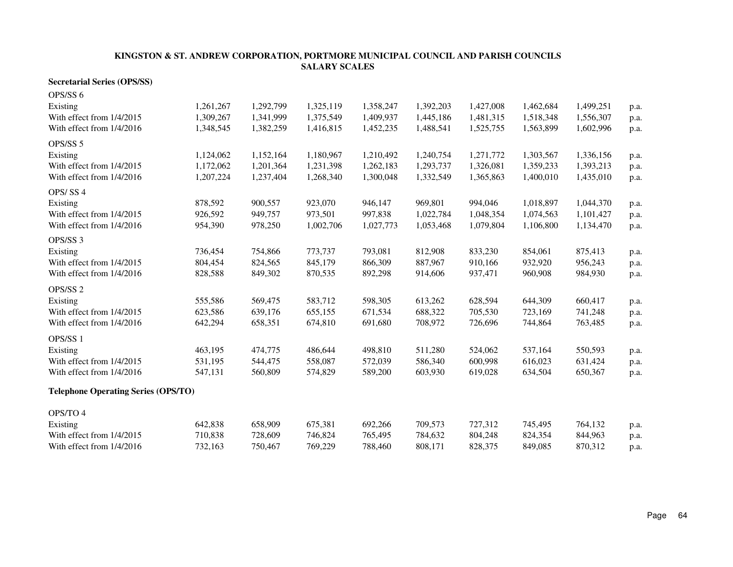#### **Secretarial Series (OPS/SS)**

| OPS/SS 6                                   |           |           |           |           |           |           |           |           |      |
|--------------------------------------------|-----------|-----------|-----------|-----------|-----------|-----------|-----------|-----------|------|
| Existing                                   | 1,261,267 | 1,292,799 | 1,325,119 | 1,358,247 | 1,392,203 | 1,427,008 | 1,462,684 | 1,499,251 | p.a. |
| With effect from 1/4/2015                  | 1,309,267 | 1,341,999 | 1,375,549 | 1,409,937 | 1,445,186 | 1,481,315 | 1,518,348 | 1,556,307 | p.a. |
| With effect from 1/4/2016                  | 1,348,545 | 1,382,259 | 1,416,815 | 1,452,235 | 1,488,541 | 1,525,755 | 1,563,899 | 1,602,996 | p.a. |
| OPS/SS 5                                   |           |           |           |           |           |           |           |           |      |
| Existing                                   | 1,124,062 | 1,152,164 | 1,180,967 | 1,210,492 | 1,240,754 | 1,271,772 | 1,303,567 | 1,336,156 | p.a. |
| With effect from 1/4/2015                  | 1,172,062 | 1,201,364 | 1,231,398 | 1,262,183 | 1,293,737 | 1,326,081 | 1,359,233 | 1,393,213 | p.a. |
| With effect from 1/4/2016                  | 1,207,224 | 1,237,404 | 1,268,340 | 1,300,048 | 1,332,549 | 1,365,863 | 1,400,010 | 1,435,010 | p.a. |
| OPS/SS4                                    |           |           |           |           |           |           |           |           |      |
| Existing                                   | 878,592   | 900,557   | 923,070   | 946,147   | 969,801   | 994,046   | 1,018,897 | 1,044,370 | p.a. |
| With effect from 1/4/2015                  | 926,592   | 949,757   | 973,501   | 997,838   | 1,022,784 | 1,048,354 | 1,074,563 | 1,101,427 | p.a. |
| With effect from 1/4/2016                  | 954,390   | 978,250   | 1,002,706 | 1,027,773 | 1,053,468 | 1,079,804 | 1,106,800 | 1,134,470 | p.a. |
| OPS/SS 3                                   |           |           |           |           |           |           |           |           |      |
| Existing                                   | 736,454   | 754,866   | 773,737   | 793,081   | 812,908   | 833,230   | 854,061   | 875,413   | p.a. |
| With effect from 1/4/2015                  | 804,454   | 824,565   | 845,179   | 866,309   | 887,967   | 910,166   | 932,920   | 956,243   | p.a. |
| With effect from 1/4/2016                  | 828,588   | 849,302   | 870,535   | 892,298   | 914,606   | 937,471   | 960,908   | 984,930   | p.a. |
| OPS/SS 2                                   |           |           |           |           |           |           |           |           |      |
| Existing                                   | 555,586   | 569,475   | 583,712   | 598,305   | 613,262   | 628,594   | 644,309   | 660,417   | p.a. |
| With effect from 1/4/2015                  | 623,586   | 639,176   | 655,155   | 671,534   | 688,322   | 705,530   | 723,169   | 741,248   | p.a. |
| With effect from 1/4/2016                  | 642,294   | 658,351   | 674,810   | 691,680   | 708,972   | 726,696   | 744,864   | 763,485   | p.a. |
| OPS/SS 1                                   |           |           |           |           |           |           |           |           |      |
| Existing                                   | 463,195   | 474,775   | 486,644   | 498,810   | 511,280   | 524,062   | 537,164   | 550,593   | p.a. |
| With effect from 1/4/2015                  | 531,195   | 544,475   | 558,087   | 572,039   | 586,340   | 600,998   | 616,023   | 631,424   | p.a. |
| With effect from 1/4/2016                  | 547,131   | 560,809   | 574,829   | 589,200   | 603,930   | 619,028   | 634,504   | 650,367   | p.a. |
| <b>Telephone Operating Series (OPS/TO)</b> |           |           |           |           |           |           |           |           |      |
| OPS/TO 4                                   |           |           |           |           |           |           |           |           |      |
| Existing                                   | 642,838   | 658,909   | 675,381   | 692,266   | 709,573   | 727,312   | 745,495   | 764,132   | p.a. |
| With effect from 1/4/2015                  | 710,838   | 728,609   | 746,824   | 765,495   | 784,632   | 804,248   | 824,354   | 844,963   | p.a. |
| With effect from 1/4/2016                  | 732,163   | 750,467   | 769,229   | 788,460   | 808,171   | 828,375   | 849,085   | 870,312   | p.a. |
|                                            |           |           |           |           |           |           |           |           |      |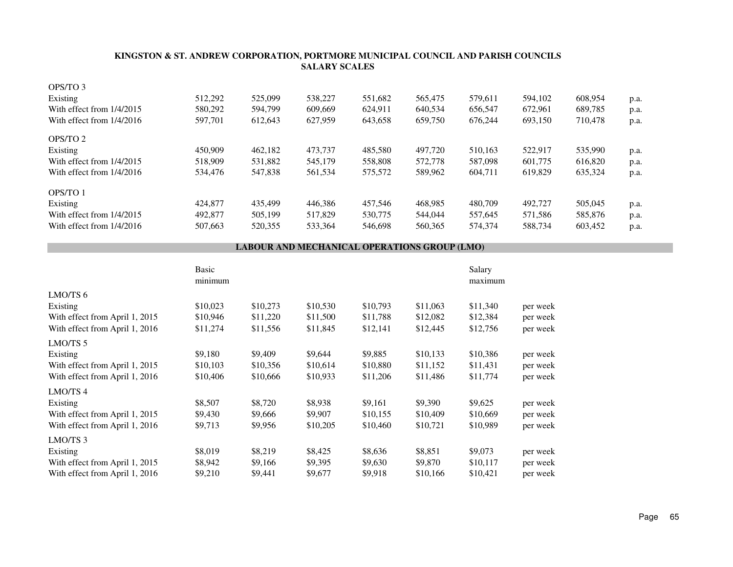| OPS/TO 3                    |         |         |         |         |         |         |         |         |      |
|-----------------------------|---------|---------|---------|---------|---------|---------|---------|---------|------|
| Existing                    | 512,292 | 525,099 | 538,227 | 551.682 | 565,475 | 579.611 | 594.102 | 608.954 | p.a. |
| With effect from 1/4/2015   | 580,292 | 594.799 | 609,669 | 624,911 | 640.534 | 656.547 | 672,961 | 689,785 | p.a. |
| With effect from $1/4/2016$ | 597.701 | 612.643 | 627,959 | 643,658 | 659,750 | 676,244 | 693,150 | 710.478 | p.a. |
| OPS/TO 2                    |         |         |         |         |         |         |         |         |      |
| Existing                    | 450,909 | 462.182 | 473.737 | 485,580 | 497,720 | 510.163 | 522.917 | 535,990 | p.a. |
| With effect from $1/4/2015$ | 518,909 | 531,882 | 545,179 | 558,808 | 572,778 | 587,098 | 601.775 | 616,820 | p.a. |
| With effect from 1/4/2016   | 534,476 | 547,838 | 561,534 | 575,572 | 589,962 | 604.711 | 619.829 | 635,324 | p.a. |
| OPS/TO 1                    |         |         |         |         |         |         |         |         |      |
| Existing                    | 424,877 | 435.499 | 446,386 | 457.546 | 468.985 | 480,709 | 492,727 | 505,045 | p.a. |
| With effect from $1/4/2015$ | 492,877 | 505,199 | 517,829 | 530,775 | 544,044 | 557,645 | 571,586 | 585,876 | p.a. |
| With effect from 1/4/2016   | 507,663 | 520,355 | 533,364 | 546,698 | 560,365 | 574,374 | 588,734 | 603,452 | p.a. |

#### **LABOUR AND MECHANICAL OPERATIONS GROUP (LMO)**

|                                | Basic<br>minimum |          |          |          |          | Salary<br>maximum |          |
|--------------------------------|------------------|----------|----------|----------|----------|-------------------|----------|
| LMO/TS 6                       |                  |          |          |          |          |                   |          |
| Existing                       | \$10,023         | \$10,273 | \$10,530 | \$10,793 | \$11,063 | \$11,340          | per week |
| With effect from April 1, 2015 | \$10,946         | \$11,220 | \$11,500 | \$11,788 | \$12,082 | \$12,384          | per week |
| With effect from April 1, 2016 | \$11,274         | \$11,556 | \$11,845 | \$12,141 | \$12,445 | \$12,756          | per week |
| LMO/TS <sub>5</sub>            |                  |          |          |          |          |                   |          |
| Existing                       | \$9,180          | \$9,409  | \$9,644  | \$9,885  | \$10,133 | \$10,386          | per week |
| With effect from April 1, 2015 | \$10,103         | \$10,356 | \$10,614 | \$10,880 | \$11,152 | \$11,431          | per week |
| With effect from April 1, 2016 | \$10,406         | \$10,666 | \$10,933 | \$11,206 | \$11,486 | \$11,774          | per week |
| LMO/TS <sub>4</sub>            |                  |          |          |          |          |                   |          |
| Existing                       | \$8,507          | \$8,720  | \$8,938  | \$9,161  | \$9,390  | \$9,625           | per week |
| With effect from April 1, 2015 | \$9,430          | \$9,666  | \$9,907  | \$10,155 | \$10,409 | \$10,669          | per week |
| With effect from April 1, 2016 | \$9,713          | \$9,956  | \$10,205 | \$10,460 | \$10,721 | \$10,989          | per week |
| LMO/TS 3                       |                  |          |          |          |          |                   |          |
| Existing                       | \$8,019          | \$8,219  | \$8,425  | \$8,636  | \$8,851  | \$9,073           | per week |
| With effect from April 1, 2015 | \$8,942          | \$9,166  | \$9,395  | \$9,630  | \$9,870  | \$10,117          | per week |
| With effect from April 1, 2016 | \$9,210          | \$9,441  | \$9,677  | \$9,918  | \$10,166 | \$10,421          | per week |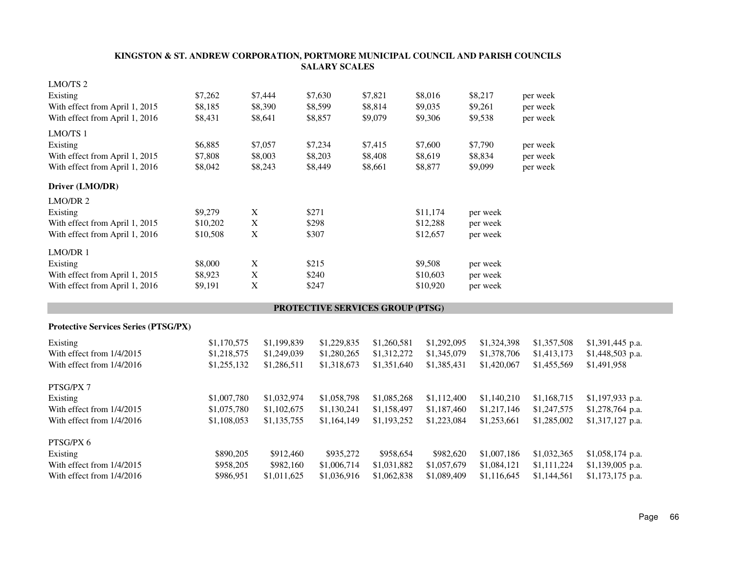|                                             |             |             | <b>SALARY SCALES</b>             |             |             |             |             |                  |
|---------------------------------------------|-------------|-------------|----------------------------------|-------------|-------------|-------------|-------------|------------------|
| LMO/TS <sub>2</sub>                         |             |             |                                  |             |             |             |             |                  |
| Existing                                    | \$7,262     | \$7,444     | \$7,630                          | \$7,821     | \$8,016     | \$8,217     | per week    |                  |
| With effect from April 1, 2015              | \$8,185     | \$8,390     | \$8,599                          | \$8,814     | \$9,035     | \$9,261     | per week    |                  |
| With effect from April 1, 2016              | \$8,431     | \$8,641     | \$8,857                          | \$9,079     | \$9,306     | \$9,538     | per week    |                  |
| LMO/TS 1                                    |             |             |                                  |             |             |             |             |                  |
| Existing                                    | \$6,885     | \$7,057     | \$7,234                          | \$7,415     | \$7,600     | \$7,790     | per week    |                  |
| With effect from April 1, 2015              | \$7,808     | \$8,003     | \$8,203                          | \$8,408     | \$8,619     | \$8,834     | per week    |                  |
| With effect from April 1, 2016              | \$8,042     | \$8,243     | \$8,449                          | \$8,661     | \$8,877     | \$9,099     | per week    |                  |
| Driver (LMO/DR)                             |             |             |                                  |             |             |             |             |                  |
| LMO/DR 2                                    |             |             |                                  |             |             |             |             |                  |
| Existing                                    | \$9,279     | $\mathbf X$ | \$271                            |             | \$11,174    | per week    |             |                  |
| With effect from April 1, 2015              | \$10,202    | $\mathbf X$ | \$298                            |             | \$12,288    | per week    |             |                  |
| With effect from April 1, 2016              | \$10,508    | $\mathbf X$ | \$307                            |             | \$12,657    | per week    |             |                  |
| LMO/DR 1                                    |             |             |                                  |             |             |             |             |                  |
| Existing                                    | \$8,000     | $\mathbf X$ | \$215                            |             | \$9,508     | per week    |             |                  |
| With effect from April 1, 2015              | \$8,923     | $\mathbf X$ | \$240                            |             | \$10,603    | per week    |             |                  |
| With effect from April 1, 2016              | \$9,191     | $\mathbf X$ | \$247                            |             | \$10,920    | per week    |             |                  |
|                                             |             |             | PROTECTIVE SERVICES GROUP (PTSG) |             |             |             |             |                  |
| <b>Protective Services Series (PTSG/PX)</b> |             |             |                                  |             |             |             |             |                  |
|                                             |             |             |                                  |             |             |             |             |                  |
| Existing                                    | \$1,170,575 | \$1,199,839 | \$1,229,835                      | \$1,260,581 | \$1,292,095 | \$1,324,398 | \$1,357,508 | \$1,391,445 p.a. |
| With effect from 1/4/2015                   | \$1,218,575 | \$1,249,039 | \$1,280,265                      | \$1,312,272 | \$1,345,079 | \$1,378,706 | \$1,413,173 | \$1,448,503 p.a. |
| With effect from 1/4/2016                   | \$1,255,132 | \$1,286,511 | \$1,318,673                      | \$1,351,640 | \$1,385,431 | \$1,420,067 | \$1,455,569 | \$1,491,958      |
| PTSG/PX 7                                   |             |             |                                  |             |             |             |             |                  |
| Existing                                    | \$1,007,780 | \$1,032,974 | \$1,058,798                      | \$1,085,268 | \$1,112,400 | \$1,140,210 | \$1,168,715 | \$1,197,933 p.a. |
| With effect from 1/4/2015                   | \$1,075,780 | \$1,102,675 | \$1,130,241                      | \$1,158,497 | \$1,187,460 | \$1,217,146 | \$1,247,575 | \$1,278,764 p.a. |
| With effect from 1/4/2016                   | \$1,108,053 | \$1,135,755 | \$1,164,149                      | \$1,193,252 | \$1,223,084 | \$1,253,661 | \$1,285,002 | \$1,317,127 p.a. |
| PTSG/PX 6                                   |             |             |                                  |             |             |             |             |                  |
| Existing                                    | \$890,205   |             | \$912,460<br>\$935,272           | \$958,654   | \$982,620   | \$1,007,186 | \$1,032,365 | \$1,058,174 p.a. |
| With effect from 1/4/2015                   | \$958,205   |             | \$982,160<br>\$1,006,714         | \$1,031,882 | \$1,057,679 | \$1,084,121 | \$1,111,224 | \$1,139,005 p.a. |
| With effect from 1/4/2016                   | \$986,951   | \$1,011,625 | \$1,036,916                      | \$1,062,838 | \$1,089,409 | \$1,116,645 | \$1,144,561 | \$1,173,175 p.a. |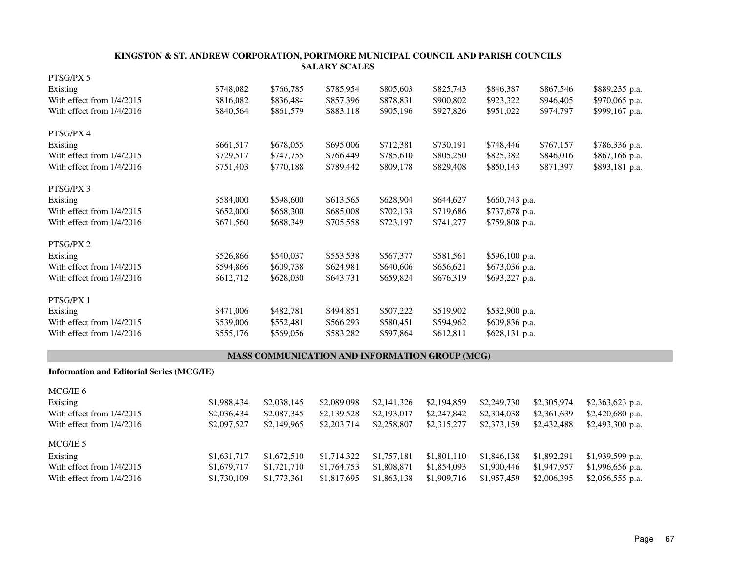| PTSG/PX 5                                        |           |           |                                                       |           |           |                |           |                |
|--------------------------------------------------|-----------|-----------|-------------------------------------------------------|-----------|-----------|----------------|-----------|----------------|
| Existing                                         | \$748,082 | \$766,785 | \$785,954                                             | \$805,603 | \$825,743 | \$846,387      | \$867,546 | \$889,235 p.a. |
| With effect from 1/4/2015                        | \$816,082 | \$836,484 | \$857,396                                             | \$878,831 | \$900,802 | \$923,322      | \$946,405 | \$970,065 p.a. |
| With effect from 1/4/2016                        | \$840,564 | \$861,579 | \$883,118                                             | \$905,196 | \$927,826 | \$951,022      | \$974,797 | \$999,167 p.a. |
| PTSG/PX 4                                        |           |           |                                                       |           |           |                |           |                |
| Existing                                         | \$661,517 | \$678,055 | \$695,006                                             | \$712,381 | \$730,191 | \$748,446      | \$767,157 | \$786,336 p.a. |
| With effect from 1/4/2015                        | \$729,517 | \$747,755 | \$766,449                                             | \$785,610 | \$805,250 | \$825,382      | \$846,016 | \$867,166 p.a. |
| With effect from 1/4/2016                        | \$751,403 | \$770,188 | \$789,442                                             | \$809,178 | \$829,408 | \$850,143      | \$871,397 | \$893,181 p.a. |
| PTSG/PX 3                                        |           |           |                                                       |           |           |                |           |                |
| Existing                                         | \$584,000 | \$598,600 | \$613,565                                             | \$628,904 | \$644,627 | \$660,743 p.a. |           |                |
| With effect from 1/4/2015                        | \$652,000 | \$668,300 | \$685,008                                             | \$702,133 | \$719,686 | \$737,678 p.a. |           |                |
| With effect from 1/4/2016                        | \$671,560 | \$688,349 | \$705,558                                             | \$723,197 | \$741,277 | \$759,808 p.a. |           |                |
| PTSG/PX 2                                        |           |           |                                                       |           |           |                |           |                |
| Existing                                         | \$526,866 | \$540,037 | \$553,538                                             | \$567,377 | \$581,561 | \$596,100 p.a. |           |                |
| With effect from 1/4/2015                        | \$594,866 | \$609,738 | \$624,981                                             | \$640,606 | \$656,621 | \$673,036 p.a. |           |                |
| With effect from 1/4/2016                        | \$612,712 | \$628,030 | \$643,731                                             | \$659,824 | \$676,319 | \$693,227 p.a. |           |                |
| PTSG/PX 1                                        |           |           |                                                       |           |           |                |           |                |
| Existing                                         | \$471,006 | \$482,781 | \$494,851                                             | \$507,222 | \$519,902 | \$532,900 p.a. |           |                |
| With effect from 1/4/2015                        | \$539,006 | \$552,481 | \$566,293                                             | \$580,451 | \$594,962 | \$609,836 p.a. |           |                |
| With effect from 1/4/2016                        | \$555,176 | \$569,056 | \$583,282                                             | \$597,864 | \$612,811 | \$628,131 p.a. |           |                |
|                                                  |           |           | <b>MASS COMMUNICATION AND INFORMATION GROUP (MCG)</b> |           |           |                |           |                |
| <b>Information and Editorial Series (MCG/IE)</b> |           |           |                                                       |           |           |                |           |                |
| MCG/IE 6                                         |           |           |                                                       |           |           |                |           |                |

| Existing                    | \$1,988,434 | \$2,038,145 | \$2,089,098 | \$2,141,326 | \$2,194,859 | \$2,249,730 | \$2,305,974 | \$2,363,623 p.a.  |
|-----------------------------|-------------|-------------|-------------|-------------|-------------|-------------|-------------|-------------------|
| With effect from $1/4/2015$ | \$2,036,434 | \$2,087,345 | \$2,139,528 | \$2,193,017 | \$2,247,842 | \$2,304,038 | \$2,361,639 | $$2,420,680$ p.a. |
| With effect from $1/4/2016$ | \$2,097,527 | \$2,149,965 | \$2,203,714 | \$2,258,807 | \$2,315,277 | \$2,373,159 | \$2,432,488 | \$2,493,300 p.a.  |
| MCG/IE 5                    |             |             |             |             |             |             |             |                   |
| Existing                    | \$1,631,717 | \$1,672,510 | \$1,714,322 | \$1,757,181 | \$1,801,110 | \$1,846,138 | \$1,892,291 | $$1,939,599$ p.a. |
| With effect from 1/4/2015   | \$1,679,717 | \$1,721,710 | \$1,764,753 | \$1,808,871 | \$1,854,093 | \$1,900,446 | \$1,947,957 | $$1,996,656$ p.a. |
| With effect from $1/4/2016$ | \$1,730,109 | \$1,773,361 | \$1,817,695 | \$1,863,138 | \$1,909,716 | \$1,957,459 | \$2,006,395 | \$2,056,555 p.a.  |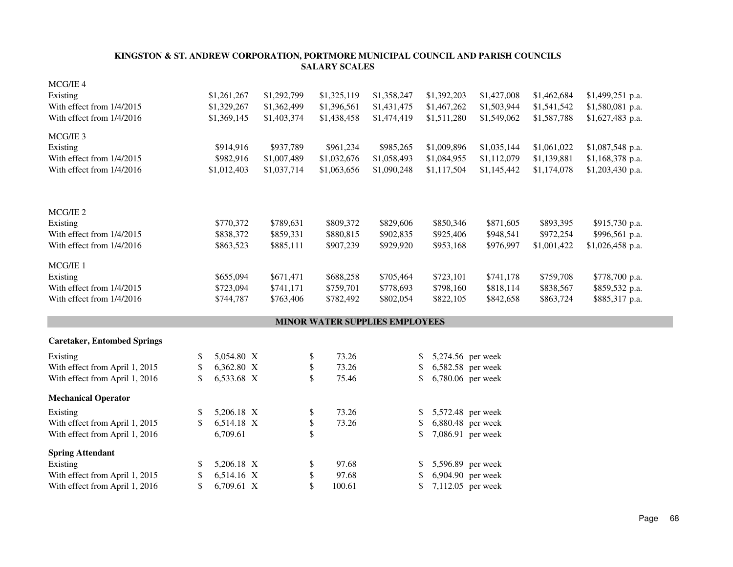| MCG/IE 4                           |                  |             |                                |             |                         |             |             |                  |
|------------------------------------|------------------|-------------|--------------------------------|-------------|-------------------------|-------------|-------------|------------------|
| Existing                           | \$1,261,267      | \$1,292,799 | \$1,325,119                    | \$1,358,247 | \$1,392,203             | \$1,427,008 | \$1,462,684 | \$1,499,251 p.a. |
| With effect from 1/4/2015          | \$1,329,267      | \$1,362,499 | \$1,396,561                    | \$1,431,475 | \$1,467,262             | \$1,503,944 | \$1,541,542 | \$1,580,081 p.a. |
| With effect from 1/4/2016          | \$1,369,145      | \$1,403,374 | \$1,438,458                    | \$1,474,419 | \$1,511,280             | \$1,549,062 | \$1,587,788 | \$1,627,483 p.a. |
| MCG/IE 3                           |                  |             |                                |             |                         |             |             |                  |
| Existing                           | \$914,916        | \$937,789   | \$961,234                      | \$985,265   | \$1,009,896             | \$1,035,144 | \$1,061,022 | \$1,087,548 p.a. |
| With effect from 1/4/2015          | \$982,916        | \$1,007,489 | \$1,032,676                    | \$1,058,493 | \$1,084,955             | \$1,112,079 | \$1,139,881 | \$1,168,378 p.a. |
| With effect from 1/4/2016          | \$1,012,403      | \$1,037,714 | \$1,063,656                    | \$1,090,248 | \$1,117,504             | \$1,145,442 | \$1,174,078 | \$1,203,430 p.a. |
| MCG/IE <sub>2</sub>                |                  |             |                                |             |                         |             |             |                  |
| Existing                           | \$770,372        | \$789,631   | \$809,372                      | \$829,606   | \$850,346               | \$871,605   | \$893,395   | \$915,730 p.a.   |
| With effect from 1/4/2015          | \$838,372        | \$859,331   | \$880,815                      | \$902,835   | \$925,406               | \$948,541   | \$972,254   | \$996,561 p.a.   |
| With effect from 1/4/2016          | \$863,523        | \$885,111   | \$907,239                      | \$929,920   | \$953,168               | \$976,997   | \$1,001,422 | \$1,026,458 p.a. |
| MCG/IE 1                           |                  |             |                                |             |                         |             |             |                  |
| Existing                           | \$655,094        | \$671,471   | \$688,258                      | \$705,464   | \$723,101               | \$741,178   | \$759,708   | \$778,700 p.a.   |
| With effect from 1/4/2015          | \$723,094        | \$741,171   | \$759,701                      | \$778,693   | \$798,160               | \$818,114   | \$838,567   | \$859,532 p.a.   |
| With effect from 1/4/2016          | \$744,787        | \$763,406   | \$782,492                      | \$802,054   | \$822,105               | \$842,658   | \$863,724   | \$885,317 p.a.   |
|                                    |                  |             | MINOR WATER SUPPLIES EMPLOYEES |             |                         |             |             |                  |
| <b>Caretaker, Entombed Springs</b> |                  |             |                                |             |                         |             |             |                  |
| Existing                           | \$<br>5,054.80 X |             | 73.26<br>\$                    |             | 5,274.56 per week<br>\$ |             |             |                  |
| With effect from April 1, 2015     | \$<br>6,362.80 X |             | 73.26<br>\$                    |             | 6,582.58 per week<br>\$ |             |             |                  |
| With effect from April 1, 2016     | \$<br>6,533.68 X |             | \$<br>75.46                    |             | 6,780.06 per week<br>\$ |             |             |                  |
| <b>Mechanical Operator</b>         |                  |             |                                |             |                         |             |             |                  |
| Existing                           | \$<br>5,206.18 X |             | 73.26<br>\$                    |             | 5,572.48 per week<br>\$ |             |             |                  |
| With effect from April 1, 2015     | \$<br>6,514.18 X |             | 73.26<br>\$                    |             | 6,880.48 per week<br>\$ |             |             |                  |
| With effect from April 1, 2016     | 6,709.61         |             | \$                             |             | 7,086.91 per week<br>\$ |             |             |                  |
| <b>Spring Attendant</b>            |                  |             |                                |             |                         |             |             |                  |
| Existing                           | \$<br>5,206.18 X |             | 97.68<br>\$                    |             | 5,596.89 per week<br>\$ |             |             |                  |
| With effect from April 1, 2015     | \$<br>6,514.16 X |             | \$<br>97.68                    |             | 6,904.90 per week<br>\$ |             |             |                  |
| With effect from April 1, 2016     | \$<br>6,709.61 X |             | \$<br>100.61                   |             | 7,112.05 per week<br>\$ |             |             |                  |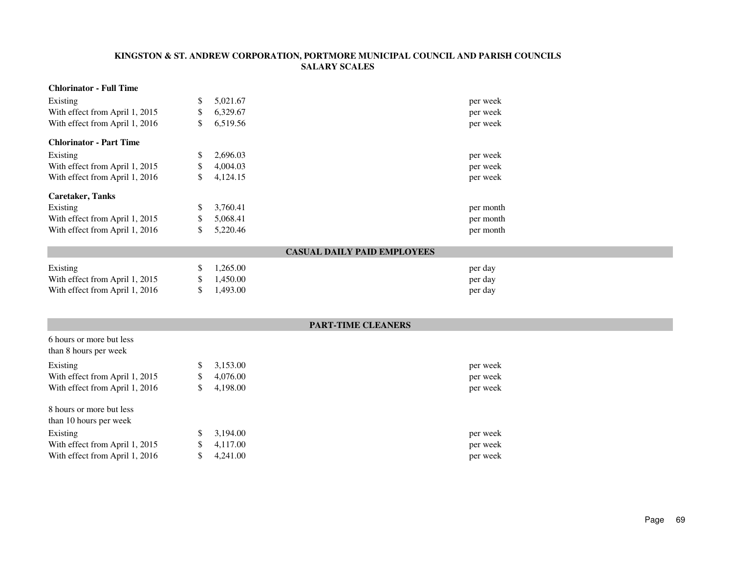#### **Chlorinator - Full Time**Existing \$ 5,021.67  $$5,021.67$  per week With effect from April 1, 2015 \$ 6,329.67 per week<br>\$ 6,519.56 per week With effect from April 1, 2016  $$6,519.56$ **Chlorinator - Part Time**Existing \$ 2,696.03  $\frac{1}{2.696.03}$  per week With effect from April 1, 2015 \$ 4,004.03  $\frac{4,004.03}{9}$  per week With effect from April 1, 2016 \$ 4,124.15 per week **Caretaker, Tanks**Existing \$ 3,760.41  $\frac{1}{2}$  3,760.41 per month With effect from April 1, 2015 \$ 5,068.41  $$5,068.41$  per month With effect from April 1, 2016 \$ 5,220.46  $$5,220.46$  per month

### **CASUAL DAILY PAID EMPLOYEES**

| Existing                       | $\frac{\$}{1.265.00}$ | per day |
|--------------------------------|-----------------------|---------|
| With effect from April 1, 2015 | \$ 1.450.00           | per day |
| With effect from April 1, 2016 | \$ 1.493.00           | per day |

6 hours or more but less

# **PART-TIME CLEANERS**

| \$           | 3,153.00 | per week |
|--------------|----------|----------|
| S            | 4,076.00 | per week |
| <sup>S</sup> | 4,198.00 | per week |
|              |          |          |
| S            | 3.194.00 | per week |
| S            | 4,117.00 | per week |
|              | 4,241.00 | per week |
|              |          |          |